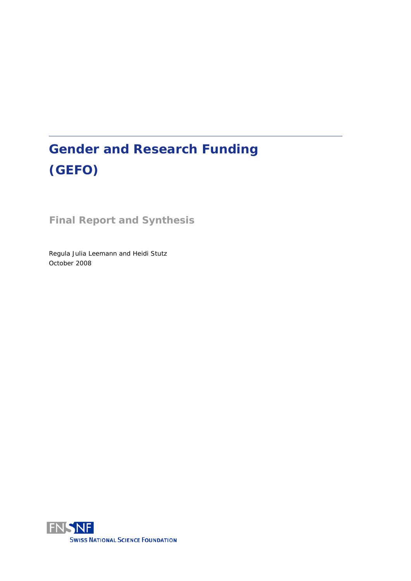# **Gender and Research Funding (GEFO)**

**Final Report and Synthesis**

Regula Julia Leemann and Heidi Stutz October 2008

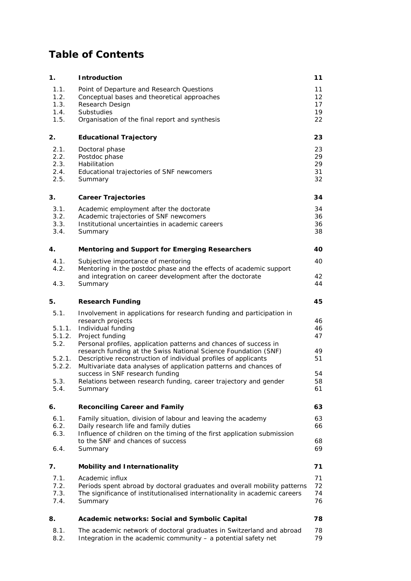## **Table of Contents**

| 1.     | <b>Introduction</b>                                                                                                                  |    |  |  |
|--------|--------------------------------------------------------------------------------------------------------------------------------------|----|--|--|
| 1.1.   | Point of Departure and Research Questions                                                                                            | 11 |  |  |
| 1.2.   | Conceptual bases and theoretical approaches                                                                                          | 12 |  |  |
| 1.3.   | Research Design                                                                                                                      | 17 |  |  |
| 1.4.   | Substudies                                                                                                                           | 19 |  |  |
| 1.5.   | Organisation of the final report and synthesis                                                                                       | 22 |  |  |
| 2.     | <b>Educational Trajectory</b>                                                                                                        | 23 |  |  |
| 2.1.   | Doctoral phase                                                                                                                       | 23 |  |  |
| 2.2.   | Postdoc phase                                                                                                                        | 29 |  |  |
| 2.3.   | Habilitation                                                                                                                         | 29 |  |  |
| 2.4.   | Educational trajectories of SNF newcomers                                                                                            | 31 |  |  |
| 2.5.   | Summary                                                                                                                              | 32 |  |  |
| 3.     | <b>Career Trajectories</b>                                                                                                           | 34 |  |  |
| 3.1.   | Academic employment after the doctorate                                                                                              | 34 |  |  |
| 3.2.   | Academic trajectories of SNF newcomers                                                                                               | 36 |  |  |
| 3.3.   | Institutional uncertainties in academic careers                                                                                      | 36 |  |  |
| 3.4.   | Summary                                                                                                                              | 38 |  |  |
| 4.     | <b>Mentoring and Support for Emerging Researchers</b>                                                                                | 40 |  |  |
| 4.1.   | Subjective importance of mentoring                                                                                                   | 40 |  |  |
| 4.2.   | Mentoring in the postdoc phase and the effects of academic support                                                                   |    |  |  |
|        | and integration on career development after the doctorate                                                                            | 42 |  |  |
| 4.3.   | Summary                                                                                                                              | 44 |  |  |
| 5.     | <b>Research Funding</b>                                                                                                              | 45 |  |  |
| 5.1.   | Involvement in applications for research funding and participation in                                                                |    |  |  |
|        | research projects                                                                                                                    | 46 |  |  |
| 5.1.1. | Individual funding                                                                                                                   | 46 |  |  |
| 5.1.2. | Project funding                                                                                                                      | 47 |  |  |
| 5.2.   | Personal profiles, application patterns and chances of success in<br>research funding at the Swiss National Science Foundation (SNF) | 49 |  |  |
| 5.2.1. | Descriptive reconstruction of individual profiles of applicants                                                                      | 51 |  |  |
| 5.2.2. | Multivariate data analyses of application patterns and chances of                                                                    |    |  |  |
|        | success in SNF research funding                                                                                                      | 54 |  |  |
| 5.3.   | Relations between research funding, career trajectory and gender                                                                     | 58 |  |  |
| 5.4.   | Summary                                                                                                                              | 61 |  |  |
| 6.     | <b>Reconciling Career and Family</b>                                                                                                 | 63 |  |  |
| 6.1.   | Family situation, division of labour and leaving the academy                                                                         | 63 |  |  |
| 6.2.   | Daily research life and family duties                                                                                                | 66 |  |  |
| 6.3.   | Influence of children on the timing of the first application submission                                                              |    |  |  |
|        | to the SNF and chances of success                                                                                                    | 68 |  |  |
| 6.4.   | Summary                                                                                                                              | 69 |  |  |
| 7.     | Mobility and Internationality                                                                                                        | 71 |  |  |
| 7.1.   | Academic influx                                                                                                                      | 71 |  |  |
| 7.2.   | Periods spent abroad by doctoral graduates and overall mobility patterns                                                             | 72 |  |  |
| 7.3.   | The significance of institutionalised internationality in academic careers                                                           | 74 |  |  |
| 7.4.   | Summary                                                                                                                              | 76 |  |  |
| 8.     | Academic networks: Social and Symbolic Capital                                                                                       | 78 |  |  |
| 8.1.   | The academic network of doctoral graduates in Switzerland and abroad                                                                 | 78 |  |  |
| 8.2.   | Integration in the academic community - a potential safety net                                                                       | 79 |  |  |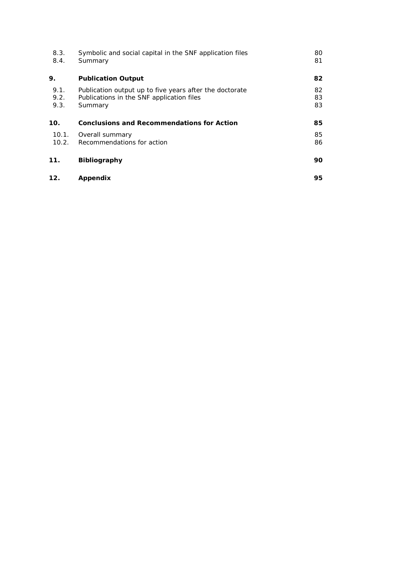| 8.3.<br>8.4.         | Symbolic and social capital in the SNF application files<br>Summary                                             | 80<br>81       |
|----------------------|-----------------------------------------------------------------------------------------------------------------|----------------|
| 9.                   | <b>Publication Output</b>                                                                                       | 82             |
| 9.1.<br>9.2.<br>9.3. | Publication output up to five years after the doctorate<br>Publications in the SNF application files<br>Summary | 82<br>83<br>83 |
| 10.                  | <b>Conclusions and Recommendations for Action</b>                                                               | 85             |
| 10.1.<br>10.2.       | Overall summary<br>Recommendations for action                                                                   | 85<br>86       |
| 11.                  | <b>Bibliography</b>                                                                                             | 90             |
| 12.                  | Appendix                                                                                                        | 95             |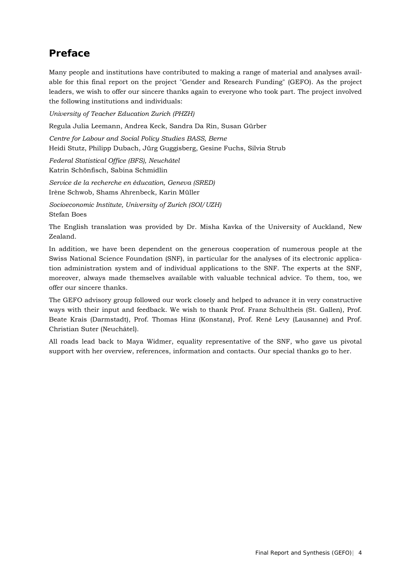## **Preface**

Many people and institutions have contributed to making a range of material and analyses available for this final report on the project "Gender and Research Funding" (GEFO). As the project leaders, we wish to offer our sincere thanks again to everyone who took part. The project involved the following institutions and individuals:

*University of Teacher Education Zurich (PHZH)* 

Regula Julia Leemann, Andrea Keck, Sandra Da Rin, Susan Gürber

*Centre for Labour and Social Policy Studies BASS, Berne* 

Heidi Stutz, Philipp Dubach, Jürg Guggisberg, Gesine Fuchs, Silvia Strub

*Federal Statistical Office (BFS), Neuchâtel*  Katrin Schönfisch, Sabina Schmidlin

*Service de la recherche en éducation, Geneva (SRED)* Irène Schwob, Shams Ahrenbeck, Karin Müller

*Socioeconomic Institute, University of Zurich (SOI/UZH)* Stefan Boes

The English translation was provided by Dr. Misha Kavka of the University of Auckland, New Zealand.

In addition, we have been dependent on the generous cooperation of numerous people at the Swiss National Science Foundation (SNF), in particular for the analyses of its electronic application administration system and of individual applications to the SNF. The experts at the SNF, moreover, always made themselves available with valuable technical advice. To them, too, we offer our sincere thanks.

The GEFO advisory group followed our work closely and helped to advance it in very constructive ways with their input and feedback. We wish to thank Prof. Franz Schultheis (St. Gallen), Prof. Beate Krais (Darmstadt), Prof. Thomas Hinz (Konstanz), Prof. René Levy (Lausanne) and Prof. Christian Suter (Neuchâtel).

All roads lead back to Maya Widmer, equality representative of the SNF, who gave us pivotal support with her overview, references, information and contacts. Our special thanks go to her.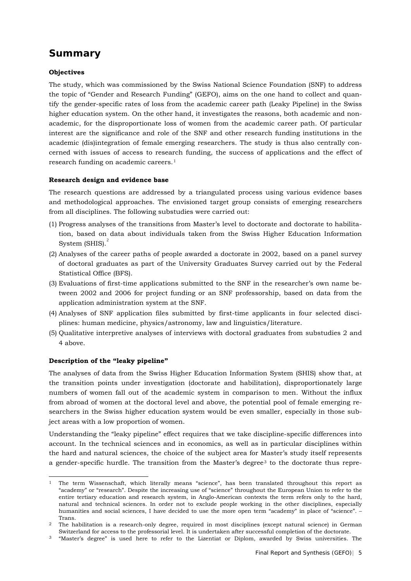## **Summary**

## **Objectives**

The study, which was commissioned by the Swiss National Science Foundation (SNF) to address the topic of "Gender and Research Funding" (GEFO), aims on the one hand to collect and quantify the gender-specific rates of loss from the academic career path (Leaky Pipeline) in the Swiss higher education system. On the other hand, it investigates the reasons, both academic and nonacademic, for the disproportionate loss of women from the academic career path. Of particular interest are the significance and role of the SNF and other research funding institutions in the academic (dis)integration of female emerging researchers. The study is thus also centrally concerned with issues of access to research funding, the success of applications and the effect of research funding on academic careers.[1](#page-4-0)

#### **Research design and evidence base**

The research questions are addressed by a triangulated process using various evidence bases and methodological approaches. The envisioned target group consists of emerging researchers from all disciplines. The following substudies were carried out:

- (1) Progress analyses of the transitions from Master's level to doctorate and doctorate to habilitation, based on data about individuals taken from the Swiss Higher Education Information System (SHIS).<sup>[2](#page-4-1)</sup>
- (2) Analyses of the career paths of people awarded a doctorate in 2002, based on a panel survey of doctoral graduates as part of the University Graduates Survey carried out by the Federal Statistical Office (BFS).
- (3) Evaluations of first-time applications submitted to the SNF in the researcher's own name between 2002 and 2006 for project funding or an SNF professorship, based on data from the application administration system at the SNF.
- (4) Analyses of SNF application files submitted by first-time applicants in four selected disciplines: human medicine, physics/astronomy, law and linguistics/literature.
- (5) Qualitative interpretive analyses of interviews with doctoral graduates from substudies 2 and 4 above.

#### **Description of the "leaky pipeline"**

The analyses of data from the Swiss Higher Education Information System (SHIS) show that, at the transition points under investigation (doctorate and habilitation), disproportionately large numbers of women fall out of the academic system in comparison to men. Without the influx from abroad of women at the doctoral level and above, the potential pool of female emerging researchers in the Swiss higher education system would be even smaller, especially in those subject areas with a low proportion of women.

Understanding the "leaky pipeline" effect requires that we take discipline-specific differences into account. In the technical sciences and in economics, as well as in particular disciplines within the hard and natural sciences, the choice of the subject area for Master's study itself represents a gender-specific hurdle. The transition from the Master's degree<sup>[3](#page-4-2)</sup> to the doctorate thus repre-

<span id="page-4-0"></span> <sup>1</sup> The term Wissenschaft, which literally means "science", has been translated throughout this report as "academy" or "research". Despite the increasing use of "science" throughout the European Union to refer to the entire tertiary education and research system, in Anglo-American contexts the term refers only to the hard, natural and technical sciences. In order not to exclude people working in the other disciplines, especially humanities and social sciences, I have decided to use the more open term "academy" in place of "science". – Trans.

<span id="page-4-1"></span><sup>2</sup> The habilitation is a research-only degree, required in most disciplines (except natural science) in German Switzerland for access to the professorial level. It is undertaken after successful completion of the doctorate.

<span id="page-4-2"></span><sup>3</sup> "Master's degree" is used here to refer to the Lizentiat or Diplom, awarded by Swiss universities. The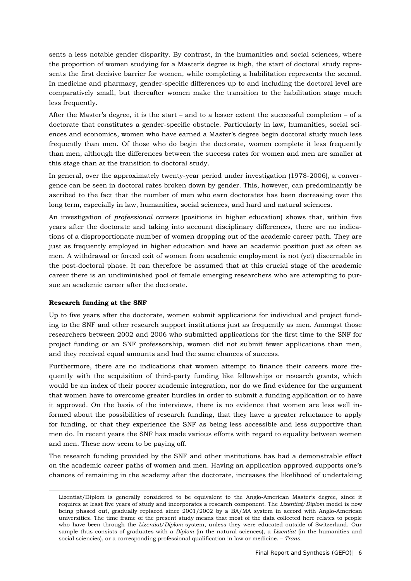sents a less notable gender disparity. By contrast, in the humanities and social sciences, where the proportion of women studying for a Master's degree is high, the start of doctoral study represents the first decisive barrier for women, while completing a habilitation represents the second. In medicine and pharmacy, gender-specific differences up to and including the doctoral level are comparatively small, but thereafter women make the transition to the habilitation stage much less frequently.

After the Master's degree, it is the start – and to a lesser extent the successful completion – of a doctorate that constitutes a gender-specific obstacle. Particularly in law, humanities, social sciences and economics, women who have earned a Master's degree begin doctoral study much less frequently than men. Of those who do begin the doctorate, women complete it less frequently than men, although the differences between the success rates for women and men are smaller at this stage than at the transition to doctoral study.

In general, over the approximately twenty-year period under investigation (1978-2006), a convergence can be seen in doctoral rates broken down by gender. This, however, can predominantly be ascribed to the fact that the number of men who earn doctorates has been decreasing over the long term, especially in law, humanities, social sciences, and hard and natural sciences.

An investigation of *professional careers* (positions in higher education) shows that, within five years after the doctorate and taking into account disciplinary differences, there are no indications of a disproportionate number of women dropping out of the academic career path. They are just as frequently employed in higher education and have an academic position just as often as men. A withdrawal or forced exit of women from academic employment is not (yet) discernable in the post-doctoral phase. It can therefore be assumed that at this crucial stage of the academic career there is an undiminished pool of female emerging researchers who are attempting to pursue an academic career after the doctorate.

## **Research funding at the SNF**

-

Up to five years after the doctorate, women submit applications for individual and project funding to the SNF and other research support institutions just as frequently as men. Amongst those researchers between 2002 and 2006 who submitted applications for the first time to the SNF for project funding or an SNF professorship, women did not submit fewer applications than men, and they received equal amounts and had the same chances of success.

Furthermore, there are no indications that women attempt to finance their careers more frequently with the acquisition of third-party funding like fellowships or research grants, which would be an index of their poorer academic integration, nor do we find evidence for the argument that women have to overcome greater hurdles in order to submit a funding application or to have it approved. On the basis of the interviews, there is no evidence that women are less well informed about the possibilities of research funding, that they have a greater reluctance to apply for funding, or that they experience the SNF as being less accessible and less supportive than men do. In recent years the SNF has made various efforts with regard to equality between women and men. These now seem to be paying off.

The research funding provided by the SNF and other institutions has had a demonstrable effect on the academic career paths of women and men. Having an application approved supports one's chances of remaining in the academy after the doctorate, increases the likelihood of undertaking

Lizentiat/Diplom is generally considered to be equivalent to the Anglo-American Master's degree, since it requires at least five years of study and incorporates a research component. The *Lizentiat/Diplom* model is now being phased out, gradually replaced since 2001/2002 by a BA/MA system in accord with Anglo-American universities. The time frame of the present study means that most of the data collected here relates to people who have been through the *Lizentiat/Diplom* system, unless they were educated outside of Switzerland. Our sample thus consists of graduates with a *Diplom* (in the natural sciences), a *Lizentiat* (in the humanities and social sciencies), or a corresponding professional qualification in law or medicine. – *Trans.*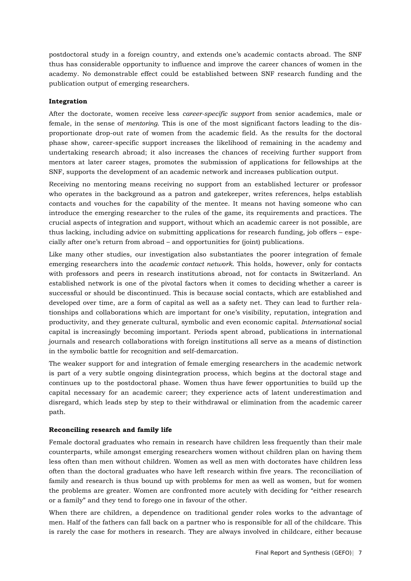postdoctoral study in a foreign country, and extends one's academic contacts abroad. The SNF thus has considerable opportunity to influence and improve the career chances of women in the academy. No demonstrable effect could be established between SNF research funding and the publication output of emerging researchers.

#### **Integration**

After the doctorate, women receive less *career-specific support* from senior academics, male or female, in the sense of *mentoring*. This is one of the most significant factors leading to the disproportionate drop-out rate of women from the academic field. As the results for the doctoral phase show, career-specific support increases the likelihood of remaining in the academy and undertaking research abroad; it also increases the chances of receiving further support from mentors at later career stages, promotes the submission of applications for fellowships at the SNF, supports the development of an academic network and increases publication output.

Receiving no mentoring means receiving no support from an established lecturer or professor who operates in the background as a patron and gatekeeper, writes references, helps establish contacts and vouches for the capability of the mentee. It means not having someone who can introduce the emerging researcher to the rules of the game, its requirements and practices. The crucial aspects of integration and support, without which an academic career is not possible, are thus lacking, including advice on submitting applications for research funding, job offers – especially after one's return from abroad – and opportunities for (joint) publications.

Like many other studies, our investigation also substantiates the poorer integration of female emerging researchers into the *academic contact network*. This holds, however, only for contacts with professors and peers in research institutions abroad, not for contacts in Switzerland. An established network is one of the pivotal factors when it comes to deciding whether a career is successful or should be discontinued. This is because social contacts, which are established and developed over time, are a form of capital as well as a safety net. They can lead to further relationships and collaborations which are important for one's visibility, reputation, integration and productivity, and they generate cultural, symbolic and even economic capital. *International* social capital is increasingly becoming important. Periods spent abroad, publications in international journals and research collaborations with foreign institutions all serve as a means of distinction in the symbolic battle for recognition and self-demarcation.

The weaker support for and integration of female emerging researchers in the academic network is part of a very subtle ongoing disintegration process, which begins at the doctoral stage and continues up to the postdoctoral phase. Women thus have fewer opportunities to build up the capital necessary for an academic career; they experience acts of latent underestimation and disregard, which leads step by step to their withdrawal or elimination from the academic career path.

#### **Reconciling research and family life**

Female doctoral graduates who remain in research have children less frequently than their male counterparts, while amongst emerging researchers women without children plan on having them less often than men without children. Women as well as men with doctorates have children less often than the doctoral graduates who have left research within five years. The reconciliation of family and research is thus bound up with problems for men as well as women, but for women the problems are greater. Women are confronted more acutely with deciding for "either research or a family" and they tend to forego one in favour of the other.

When there are children, a dependence on traditional gender roles works to the advantage of men. Half of the fathers can fall back on a partner who is responsible for all of the childcare. This is rarely the case for mothers in research. They are always involved in childcare, either because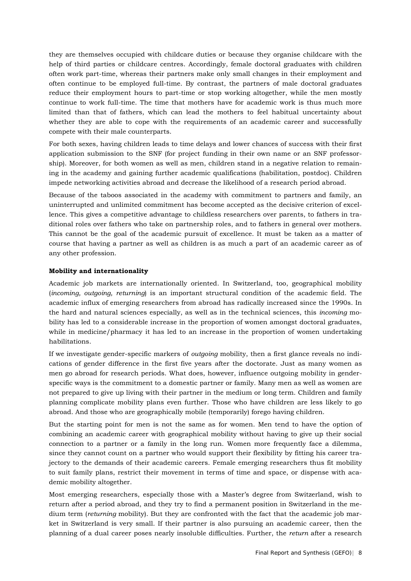they are themselves occupied with childcare duties or because they organise childcare with the help of third parties or childcare centres. Accordingly, female doctoral graduates with children often work part-time, whereas their partners make only small changes in their employment and often continue to be employed full-time. By contrast, the partners of male doctoral graduates reduce their employment hours to part-time or stop working altogether, while the men mostly continue to work full-time. The time that mothers have for academic work is thus much more limited than that of fathers, which can lead the mothers to feel habitual uncertainty about whether they are able to cope with the requirements of an academic career and successfully compete with their male counterparts.

For both sexes, having children leads to time delays and lower chances of success with their first application submission to the SNF (for project funding in their own name or an SNF professorship). Moreover, for both women as well as men, children stand in a negative relation to remaining in the academy and gaining further academic qualifications (habilitation, postdoc). Children impede networking activities abroad and decrease the likelihood of a research period abroad.

Because of the taboos associated in the academy with commitment to partners and family, an uninterrupted and unlimited commitment has become accepted as the decisive criterion of excellence. This gives a competitive advantage to childless researchers over parents, to fathers in traditional roles over fathers who take on partnership roles, and to fathers in general over mothers. This cannot be the goal of the academic pursuit of excellence. It must be taken as a matter of course that having a partner as well as children is as much a part of an academic career as of any other profession.

## **Mobility and internationality**

Academic job markets are internationally oriented. In Switzerland, too, geographical mobility (*incoming, outgoing, returning*) is an important structural condition of the academic field. The academic influx of emerging researchers from abroad has radically increased since the 1990s. In the hard and natural sciences especially, as well as in the technical sciences, this *incoming* mobility has led to a considerable increase in the proportion of women amongst doctoral graduates, while in medicine/pharmacy it has led to an increase in the proportion of women undertaking habilitations.

If we investigate gender-specific markers of *outgoing* mobility, then a first glance reveals no indications of gender difference in the first five years after the doctorate. Just as many women as men go abroad for research periods. What does, however, influence outgoing mobility in genderspecific ways is the commitment to a domestic partner or family. Many men as well as women are not prepared to give up living with their partner in the medium or long term. Children and family planning complicate mobility plans even further. Those who have children are less likely to go abroad. And those who are geographically mobile (temporarily) forego having children.

But the starting point for men is not the same as for women. Men tend to have the option of combining an academic career with geographical mobility without having to give up their social connection to a partner or a family in the long run. Women more frequently face a dilemma, since they cannot count on a partner who would support their flexibility by fitting his career trajectory to the demands of their academic careers. Female emerging researchers thus fit mobility to suit family plans, restrict their movement in terms of time and space, or dispense with academic mobility altogether.

Most emerging researchers, especially those with a Master's degree from Switzerland, wish to return after a period abroad, and they try to find a permanent position in Switzerland in the medium term (*returning* mobility). But they are confronted with the fact that the academic job market in Switzerland is very small. If their partner is also pursuing an academic career, then the planning of a dual career poses nearly insoluble difficulties. Further, the *return* after a research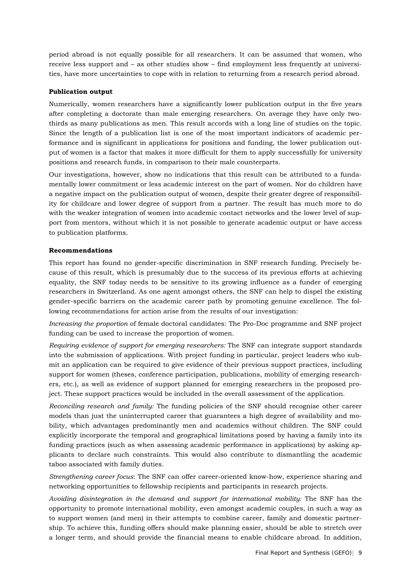period abroad is not equally possible for all researchers. It can be assumed that women, who receive less support and – as other studies show – find employment less frequently at universities, have more uncertainties to cope with in relation to returning from a research period abroad.

#### **Publication output**

Numerically, women researchers have a significantly lower publication output in the five years after completing a doctorate than male emerging researchers. On average they have only twothirds as many publications as men. This result accords with a long line of studies on the topic. Since the length of a publication list is one of the most important indicators of academic performance and is significant in applications for positions and funding, the lower publication output of women is a factor that makes it more difficult for them to apply successfully for university positions and research funds, in comparison to their male counterparts.

Our investigations, however, show no indications that this result can be attributed to a fundamentally lower commitment or less academic interest on the part of women. Nor do children have a negative impact on the publication output of women, despite their greater degree of responsibility for childcare and lower degree of support from a partner. The result has much more to do with the weaker integration of women into academic contact networks and the lower level of support from mentors, without which it is not possible to generate academic output or have access to publication platforms.

#### **Recommendations**

This report has found no gender-specific discrimination in SNF research funding. Precisely because of this result, which is presumably due to the success of its previous efforts at achieving equality, the SNF today needs to be sensitive to its growing influence as a funder of emerging researchers in Switzerland. As one agent amongst others, the SNF can help to dispel the existing gender-specific barriers on the academic career path by promoting genuine excellence. The following recommendations for action arise from the results of our investigation:

*Increasing the proportion* of female doctoral candidates: The Pro-Doc programme and SNF project funding can be used to increase the proportion of women.

*Requiring evidence of support for emerging researchers:* The SNF can integrate support standards into the submission of applications. With project funding in particular, project leaders who submit an application can be required to give evidence of their previous support practices, including support for women (theses, conference participation, publications, mobility of emerging researchers, etc.), as well as evidence of support planned for emerging researchers in the proposed project. These support practices would be included in the overall assessment of the application.

*Reconciling research and family:* The funding policies of the SNF should recognise other career models than just the uninterrupted career that guarantees a high degree of availability and mobility, which advantages predominantly men and academics without children. The SNF could explicitly incorporate the temporal and geographical limitations posed by having a family into its funding practices (such as when assessing academic performance in applications) by asking applicants to declare such constraints. This would also contribute to dismantling the academic taboo associated with family duties.

*Strengthening career focus*: The SNF can offer career-oriented know-how, experience sharing and networking opportunities to fellowship recipients and participants in research projects.

*Avoiding disintegration in the demand and support for international mobility:* The SNF has the opportunity to promote international mobility, even amongst academic couples, in such a way as to support women (and men) in their attempts to combine career, family and domestic partnership. To achieve this, funding offers should make planning easier, should be able to stretch over a longer term, and should provide the financial means to enable childcare abroad. In addition,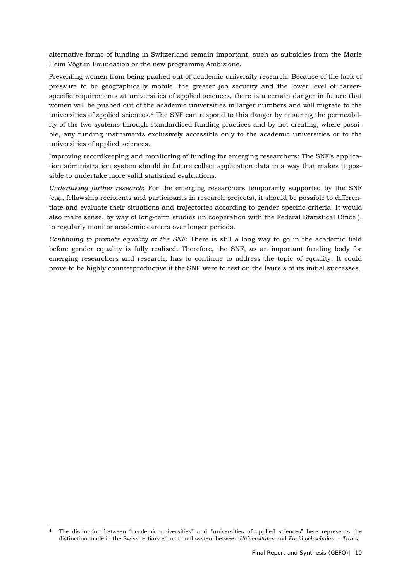alternative forms of funding in Switzerland remain important, such as subsidies from the Marie Heim Vögtlin Foundation or the new programme Ambizione.

Preventing women from being pushed out of academic university research: Because of the lack of pressure to be geographically mobile, the greater job security and the lower level of careerspecific requirements at universities of applied sciences, there is a certain danger in future that women will be pushed out of the academic universities in larger numbers and will migrate to the universities of applied sciences.[4](#page-9-0) The SNF can respond to this danger by ensuring the permeability of the two systems through standardised funding practices and by not creating, where possible, any funding instruments exclusively accessible only to the academic universities or to the universities of applied sciences.

Improving recordkeeping and monitoring of funding for emerging researchers: The SNF's application administration system should in future collect application data in a way that makes it possible to undertake more valid statistical evaluations.

*Undertaking further research*: For the emerging researchers temporarily supported by the SNF (e.g., fellowship recipients and participants in research projects), it should be possible to differentiate and evaluate their situations and trajectories according to gender-specific criteria. It would also make sense, by way of long-term studies (in cooperation with the Federal Statistical Office ), to regularly monitor academic careers over longer periods.

*Continuing to promote equality at the SNF*: There is still a long way to go in the academic field before gender equality is fully realised. Therefore, the SNF, as an important funding body for emerging researchers and research, has to continue to address the topic of equality. It could prove to be highly counterproductive if the SNF were to rest on the laurels of its initial successes.

<span id="page-9-0"></span> <sup>4</sup> The distinction between "academic universities" and "universities of applied sciences" here represents the distinction made in the Swiss tertiary educational system between *Universitäten* and *Fachhochschulen*. – *Trans.*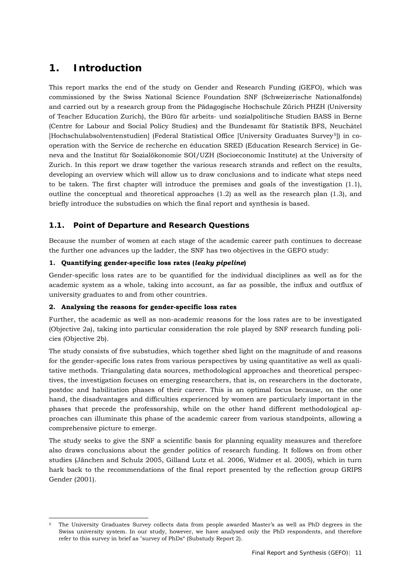## <span id="page-10-0"></span>**1. Introduction**

This report marks the end of the study on Gender and Research Funding (GEFO), which was commissioned by the Swiss National Science Foundation SNF (Schweizerische Nationalfonds) and carried out by a research group from the Pädagogische Hochschule Zürich PHZH (University of Teacher Education Zurich), the Büro für arbeits- und sozialpolitische Studien BASS in Berne (Centre for Labour and Social Policy Studies) and the Bundesamt für Statistik BFS, Neuchâtel [Hochschulabsolventenstudien] (Federal Statistical Office [University Graduates Survey<sup>[5](#page-10-2)</sup>]) in cooperation with the Service de recherche en éducation SRED (Education Research Service) in Geneva and the Institut für Sozialökonomie SOI/UZH (Socioeconomic Institute) at the University of Zurich. In this report we draw together the various research strands and reflect on the results, developing an overview which will allow us to draw conclusions and to indicate what steps need to be taken. The first chapter will introduce the premises and goals of the investigation (1.1), outline the conceptual and theoretical approaches (1.2) as well as the research plan (1.3), and briefly introduce the substudies on which the final report and synthesis is based.

## <span id="page-10-1"></span>**1.1. Point of Departure and Research Questions**

Because the number of women at each stage of the academic career path continues to decrease the further one advances up the ladder, the SNF has two objectives in the GEFO study:

## **1. Quantifying gender-specific loss rates (***leaky pipeline***)**

Gender-specific loss rates are to be quantified for the individual disciplines as well as for the academic system as a whole, taking into account, as far as possible, the influx and outflux of university graduates to and from other countries.

## **2. Analysing the reasons for gender-specific loss rates**

Further, the academic as well as non-academic reasons for the loss rates are to be investigated (Objective 2a), taking into particular consideration the role played by SNF research funding policies (Objective 2b).

The study consists of five substudies, which together shed light on the magnitude of and reasons for the gender-specific loss rates from various perspectives by using quantitative as well as qualitative methods. Triangulating data sources, methodological approaches and theoretical perspectives, the investigation focuses on emerging researchers, that is, on researchers in the doctorate, postdoc and habilitation phases of their career. This is an optimal focus because, on the one hand, the disadvantages and difficulties experienced by women are particularly important in the phases that precede the professorship, while on the other hand different methodological approaches can illuminate this phase of the academic career from various standpoints, allowing a comprehensive picture to emerge.

The study seeks to give the SNF a scientific basis for planning equality measures and therefore also draws conclusions about the gender politics of research funding. It follows on from other studies (Jänchen and Schulz 2005, Gilland Lutz et al. 2006, Widmer et al. 2005), which in turn hark back to the recommendations of the final report presented by the reflection group GRIPS Gender (2001).

<span id="page-10-2"></span> <sup>5</sup> The University Graduates Survey collects data from people awarded Master's as well as PhD degrees in the Swiss university system. In our study, however, we have analysed only the PhD respondents, and therefore refer to this survey in brief as "survey of PhDs" (Substudy Report 2).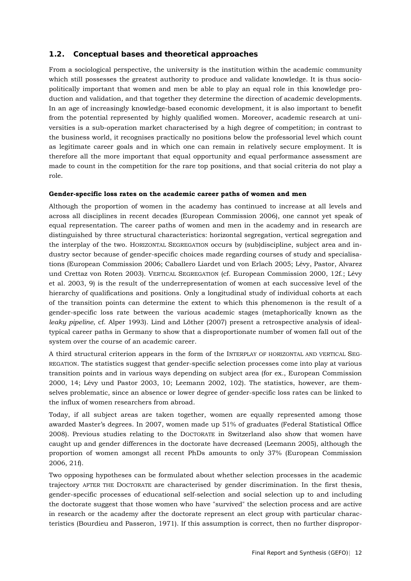## **1.2. Conceptual bases and theoretical approaches**

<span id="page-11-0"></span>From a sociological perspective, the university is the institution within the academic community which still possesses the greatest authority to produce and validate knowledge. It is thus sociopolitically important that women and men be able to play an equal role in this knowledge production and validation, and that together they determine the direction of academic developments. In an age of increasingly knowledge-based economic development, it is also important to benefit from the potential represented by highly qualified women. Moreover, academic research at universities is a sub-operation market characterised by a high degree of competition; in contrast to the business world, it recognises practically no positions below the professorial level which count as legitimate career goals and in which one can remain in relatively secure employment. It is therefore all the more important that equal opportunity and equal performance assessment are made to count in the competition for the rare top positions, and that social criteria do not play a role.

#### **Gender-specific loss rates on the academic career paths of women and men**

Although the proportion of women in the academy has continued to increase at all levels and across all disciplines in recent decades (European Commission 2006), one cannot yet speak of equal representation. The career paths of women and men in the academy and in research are distinguished by three structural characteristics: horizontal segregation, vertical segregation and the interplay of the two. HORIZONTAL SEGREGATION occurs by (sub)discipline, subject area and industry sector because of gender-specific choices made regarding courses of study and specialisations (European Commission 2006; Caballero Liardet und von Erlach 2005; Lévy, Pastor, Alvarez und Crettaz von Roten 2003). VERTICAL SEGREGATION (cf. European Commission 2000, 12f.; Lévy et al. 2003, 9) is the result of the underrepresentation of women at each successive level of the hierarchy of qualifications and positions. Only a longitudinal study of individual cohorts at each of the transition points can determine the extent to which this phenomenon is the result of a gender-specific loss rate between the various academic stages (metaphorically known as the *leaky pipeline*, cf. Alper 1993). Lind and Löther (2007) present a retrospective analysis of idealtypical career paths in Germany to show that a disproportionate number of women fall out of the system over the course of an academic career.

A third structural criterion appears in the form of the INTERPLAY OF HORIZONTAL AND VERTICAL SEG-REGATION. The statistics suggest that gender-specific selection processes come into play at various transition points and in various ways depending on subject area (for ex., European Commission 2000, 14; Lévy und Pastor 2003, 10; Leemann 2002, 102). The statistics, however, are themselves problematic, since an absence or lower degree of gender-specific loss rates can be linked to the influx of women researchers from abroad.

Today, if all subject areas are taken together, women are equally represented among those awarded Master's degrees. In 2007, women made up 51% of graduates (Federal Statistical Office 2008). Previous studies relating to the DOCTORATE in Switzerland also show that women have caught up and gender differences in the doctorate have decreased (Leemann 2005), although the proportion of women amongst all recent PhDs amounts to only 37% (European Commission 2006, 21f).

Two opposing hypotheses can be formulated about whether selection processes in the academic trajectory AFTER THE DOCTORATE are characterised by gender discrimination. In the first thesis, gender-specific processes of educational self-selection and social selection up to and including the doctorate suggest that those women who have "survived" the selection process and are active in research or the academy after the doctorate represent an elect group with particular characteristics (Bourdieu and Passeron, 1971). If this assumption is correct, then no further dispropor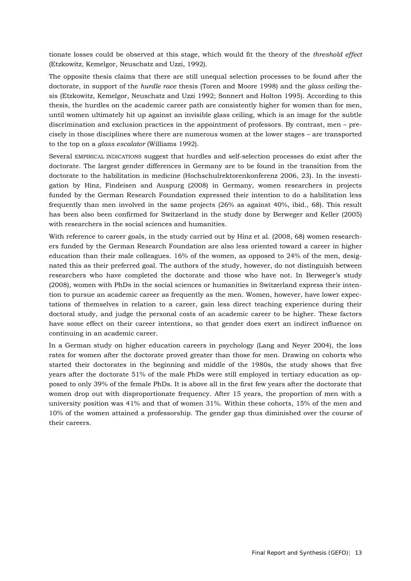tionate losses could be observed at this stage, which would fit the theory of the *threshold effect*  (Etzkowitz, Kemelgor, Neuschatz and Uzzi, 1992).

The opposite thesis claims that there are still unequal selection processes to be found after the doctorate, in support of the *hurdle race* thesis (Toren and Moore 1998) and the *glass ceiling* thesis (Etzkowitz, Kemelgor, Neuschatz and Uzzi 1992; Sonnert and Holton 1995). According to this thesis, the hurdles on the academic career path are consistently higher for women than for men, until women ultimately hit up against an invisible glass ceiling, which is an image for the subtle discrimination and exclusion practices in the appointment of professors. By contrast, men – precisely in those disciplines where there are numerous women at the lower stages – are transported to the top on a *glass escalator* (Williams 1992).

Several EMPIRICAL INDICATIONS suggest that hurdles and self-selection processes do exist after the doctorate. The largest gender differences in Germany are to be found in the transition from the doctorate to the habilitation in medicine (Hochschulrektorenkonferenz 2006, 23). In the investigation by Hinz, Findeisen and Auspurg (2008) in Germany, women researchers in projects funded by the German Research Foundation expressed their intention to do a habilitation less frequently than men involved in the same projects (26% as against 40%, ibid., 68). This result has been also been confirmed for Switzerland in the study done by Berweger and Keller (2005) with researchers in the social sciences and humanities.

With reference to career goals, in the study carried out by Hinz et al. (2008, 68) women researchers funded by the German Research Foundation are also less oriented toward a career in higher education than their male colleagues. 16% of the women, as opposed to 24% of the men, designated this as their preferred goal. The authors of the study, however, do not distinguish between researchers who have completed the doctorate and those who have not. In Berweger's study (2008), women with PhDs in the social sciences or humanities in Switzerland express their intention to pursue an academic career as frequently as the men. Women, however, have lower expectations of themselves in relation to a career, gain less direct teaching experience during their doctoral study, and judge the personal costs of an academic career to be higher. These factors have some effect on their career intentions, so that gender does exert an indirect influence on continuing in an academic career.

In a German study on higher education careers in psychology (Lang and Neyer 2004), the loss rates for women after the doctorate proved greater than those for men. Drawing on cohorts who started their doctorates in the beginning and middle of the 1980s, the study shows that five years after the doctorate 51% of the male PhDs were still employed in tertiary education as opposed to only 39% of the female PhDs. It is above all in the first few years after the doctorate that women drop out with disproportionate frequency. After 15 years, the proportion of men with a university position was 41% and that of women 31%. Within these cohorts, 15% of the men and 10% of the women attained a professorship. The gender gap thus diminished over the course of their careers.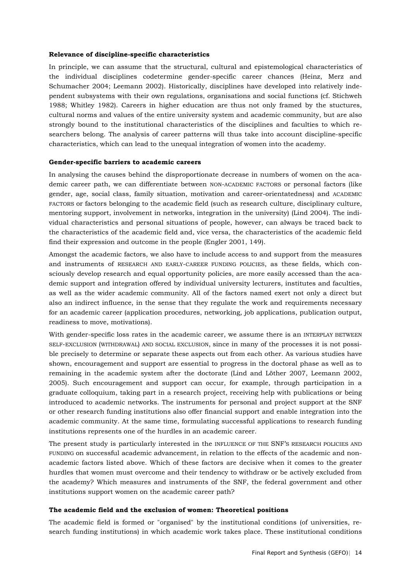#### **Relevance of discipline-specific characteristics**

In principle, we can assume that the structural, cultural and epistemological characteristics of the individual disciplines codetermine gender-specific career chances (Heinz, Merz and Schumacher 2004; Leemann 2002). Historically, disciplines have developed into relatively independent subsystems with their own regulations, organisations and social functions (cf. Stichweh 1988; Whitley 1982). Careers in higher education are thus not only framed by the stuctures, cultural norms and values of the entire university system and academic community, but are also strongly bound to the institutional characteristics of the disciplines and faculties to which researchers belong. The analysis of career patterns will thus take into account discipline-specific characteristics, which can lead to the unequal integration of women into the academy.

#### **Gender-specific barriers to academic careers**

In analysing the causes behind the disproportionate decrease in numbers of women on the academic career path, we can differentiate between NON-ACADEMIC FACTORS or personal factors (like gender, age, social class, family situation, motivation and career-orientatedness) and ACADEMIC FACTORS or factors belonging to the academic field (such as research culture, disciplinary culture, mentoring support, involvement in networks, integration in the university) (Lind 2004). The individual characteristics and personal situations of people, however, can always be traced back to the characteristics of the academic field and, vice versa, the characteristics of the academic field find their expression and outcome in the people (Engler 2001, 149).

Amongst the academic factors, we also have to include access to and support from the measures and instruments of RESEARCH AND EARLY-CAREER FUNDING POLICIES, as these fields, which consciously develop research and equal opportunity policies, are more easily accessed than the academic support and integration offered by individual university lecturers, institutes and faculties, as well as the wider academic community. All of the factors named exert not only a direct but also an indirect influence, in the sense that they regulate the work and requirements necessary for an academic career (application procedures, networking, job applications, publication output, readiness to move, motivations).

With gender-specific loss rates in the academic career, we assume there is an INTERPLAY BETWEEN SELF-EXCLUSION (WITHDRAWAL) AND SOCIAL EXCLUSION, since in many of the processes it is not possible precisely to determine or separate these aspects out from each other. As various studies have shown, encouragement and support are essential to progress in the doctoral phase as well as to remaining in the academic system after the doctorate (Lind and Löther 2007, Leemann 2002, 2005). Such encouragement and support can occur, for example, through participation in a graduate colloquium, taking part in a research project, receiving help with publications or being introduced to academic networks. The instruments for personal and project support at the SNF or other research funding institutions also offer financial support and enable integration into the academic community. At the same time, formulating successful applications to research funding institutions represents one of the hurdles in an academic career.

The present study is particularly interested in the INFLUENCE OF THE SNF'S RESEARCH POLICIES AND FUNDING on successful academic advancement, in relation to the effects of the academic and nonacademic factors listed above. Which of these factors are decisive when it comes to the greater hurdles that women must overcome and their tendency to withdraw or be actively excluded from the academy? Which measures and instruments of the SNF, the federal government and other institutions support women on the academic career path?

#### **The academic field and the exclusion of women: Theoretical positions**

The academic field is formed or "organised" by the institutional conditions (of universities, research funding institutions) in which academic work takes place. These institutional conditions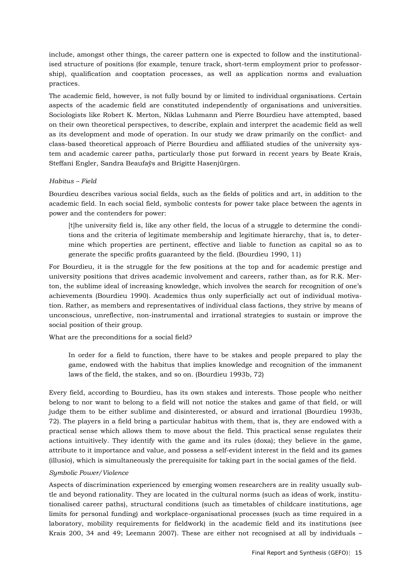include, amongst other things, the career pattern one is expected to follow and the institutionalised structure of positions (for example, tenure track, short-term employment prior to professorship), qualification and cooptation processes, as well as application norms and evaluation practices.

The academic field, however, is not fully bound by or limited to individual organisations. Certain aspects of the academic field are constituted independently of organisations and universities. Sociologists like Robert K. Merton, Niklas Luhmann and Pierre Bourdieu have attempted, based on their own theoretical perspectives, to describe, explain and interpret the academic field as well as its development and mode of operation. In our study we draw primarily on the conflict- and class-based theoretical approach of Pierre Bourdieu and affiliated studies of the university system and academic career paths, particularly those put forward in recent years by Beate Krais, Steffani Engler, Sandra Beaufaÿs and Brigitte Hasenjürgen.

#### *Habitus – Field*

Bourdieu describes various social fields, such as the fields of politics and art, in addition to the academic field. In each social field, symbolic contests for power take place between the agents in power and the contenders for power:

[t]he university field is, like any other field, the locus of a struggle to determine the conditions and the criteria of legitimate membership and legitimate hierarchy, that is, to determine which properties are pertinent, effective and liable to function as capital so as to generate the specific profits guaranteed by the field. (Bourdieu 1990, 11)

For Bourdieu, it is the struggle for the few positions at the top and for academic prestige and university positions that drives academic involvement and careers, rather than, as for R.K. Merton, the sublime ideal of increasing knowledge, which involves the search for recognition of one's achievements (Bourdieu 1990). Academics thus only superficially act out of individual motivation. Rather, as members and representatives of individual class factions, they strive by means of unconscious, unreflective, non-instrumental and irrational strategies to sustain or improve the social position of their group.

What are the preconditions for a social field?

In order for a field to function, there have to be stakes and people prepared to play the game, endowed with the habitus that implies knowledge and recognition of the immanent laws of the field, the stakes, and so on. (Bourdieu 1993b, 72)

Every field, according to Bourdieu, has its own stakes and interests. Those people who neither belong to nor want to belong to a field will not notice the stakes and game of that field, or will judge them to be either sublime and disinterested, or absurd and irrational (Bourdieu 1993b, 72). The players in a field bring a particular habitus with them, that is, they are endowed with a practical sense which allows them to move about the field. This practical sense regulates their actions intuitively. They identify with the game and its rules (doxa); they believe in the game, attribute to it importance and value, and possess a self-evident interest in the field and its games (illusio), which is simultaneously the prerequisite for taking part in the social games of the field.

#### *Symbolic Power/Violence*

Aspects of discrimination experienced by emerging women researchers are in reality usually subtle and beyond rationality. They are located in the cultural norms (such as ideas of work, institutionalised career paths), structural conditions (such as timetables of childcare institutions, age limits for personal funding) and workplace-organisational processes (such as time required in a laboratory, mobility requirements for fieldwork) in the academic field and its institutions (see Krais 200, 34 and 49; Leemann 2007). These are either not recognised at all by individuals –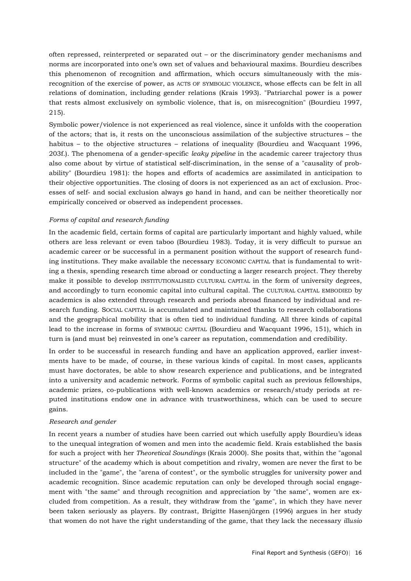often repressed, reinterpreted or separated out – or the discriminatory gender mechanisms and norms are incorporated into one's own set of values and behavioural maxims. Bourdieu describes this phenomenon of recognition and affirmation, which occurs simultaneously with the misrecognition of the exercise of power, as ACTS OF SYMBOLIC VIOLENCE, whose effects can be felt in all relations of domination, including gender relations (Krais 1993). "Patriarchal power is a power that rests almost exclusively on symbolic violence, that is, on misrecognition" (Bourdieu 1997, 215).

Symbolic power/violence is not experienced as real violence, since it unfolds with the cooperation of the actors; that is, it rests on the unconscious assimilation of the subjective structures – the habitus – to the objective structures – relations of inequality (Bourdieu and Wacquant 1996, 203f.). The phenomena of a gender-specific *leaky pipeline* in the academic career trajectory thus also come about by virtue of statistical self-discrimination, in the sense of a "causality of probability" (Bourdieu 1981): the hopes and efforts of academics are assimilated in anticipation to their objective opportunities. The closing of doors is not experienced as an act of exclusion. Processes of self- and social exclusion always go hand in hand, and can be neither theoretically nor empirically conceived or observed as independent processes.

#### *Forms of capital and research funding*

In the academic field, certain forms of capital are particularly important and highly valued, while others are less relevant or even taboo (Bourdieu 1983). Today, it is very difficult to pursue an academic career or be successful in a permanent position without the support of research funding institutions. They make available the necessary ECONOMIC CAPITAL that is fundamental to writing a thesis, spending research time abroad or conducting a larger research project. They thereby make it possible to develop INSTITUTIONALISED CULTURAL CAPITAL in the form of university degrees, and accordingly to turn economic capital into cultural capital. The CULTURAL CAPITAL EMBODIED by academics is also extended through research and periods abroad financed by individual and research funding. SOCIAL CAPITAL is accumulated and maintained thanks to research collaborations and the geographical mobility that is often tied to individual funding. All three kinds of capital lead to the increase in forms of SYMBOLIC CAPITAL (Bourdieu and Wacquant 1996, 151), which in turn is (and must be) reinvested in one's career as reputation, commendation and credibility.

In order to be successful in research funding and have an application approved, earlier investments have to be made, of course, in these various kinds of capital. In most cases, applicants must have doctorates, be able to show research experience and publications, and be integrated into a university and academic network. Forms of symbolic capital such as previous fellowships, academic prizes, co-publications with well-known academics or research/study periods at reputed institutions endow one in advance with trustworthiness, which can be used to secure gains.

#### *Research and gender*

In recent years a number of studies have been carried out which usefully apply Bourdieu's ideas to the unequal integration of women and men into the academic field. Krais established the basis for such a project with her *Theoretical Soundings* (Krais 2000). She posits that, within the "agonal structure" of the academy which is about competition and rivalry, women are never the first to be included in the "game", the "arena of contest", or the symbolic struggles for university power and academic recognition. Since academic reputation can only be developed through social engagement with "the same" and through recognition and appreciation by "the same", women are excluded from competition. As a result, they withdraw from the "game", in which they have never been taken seriously as players. By contrast, Brigitte Hasenjürgen (1996) argues in her study that women do not have the right understanding of the game, that they lack the necessary *illusio*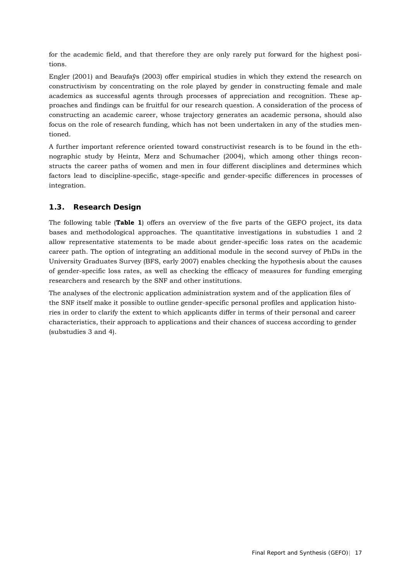for the academic field, and that therefore they are only rarely put forward for the highest positions.

Engler (2001) and Beaufaÿs (2003) offer empirical studies in which they extend the research on constructivism by concentrating on the role played by gender in constructing female and male academics as successful agents through processes of appreciation and recognition. These approaches and findings can be fruitful for our research question. A consideration of the process of constructing an academic career, whose trajectory generates an academic persona, should also focus on the role of research funding, which has not been undertaken in any of the studies mentioned.

A further important reference oriented toward constructivist research is to be found in the ethnographic study by Heintz, Merz and Schumacher (2004), which among other things reconstructs the career paths of women and men in four different disciplines and determines which factors lead to discipline-specific, stage-specific and gender-specific differences in processes of integration.

## <span id="page-16-0"></span>**1.3. Research Design**

The following table (**Table 1**) offers an overview of the five parts of the GEFO project, its data bases and methodological approaches. The quantitative investigations in substudies 1 and 2 allow representative statements to be made about gender-specific loss rates on the academic career path. The option of integrating an additional module in the second survey of PhDs in the University Graduates Survey (BFS, early 2007) enables checking the hypothesis about the causes of gender-specific loss rates, as well as checking the efficacy of measures for funding emerging researchers and research by the SNF and other institutions.

The analyses of the electronic application administration system and of the application files of the SNF itself make it possible to outline gender-specific personal profiles and application histories in order to clarify the extent to which applicants differ in terms of their personal and career characteristics, their approach to applications and their chances of success according to gender (substudies 3 and 4).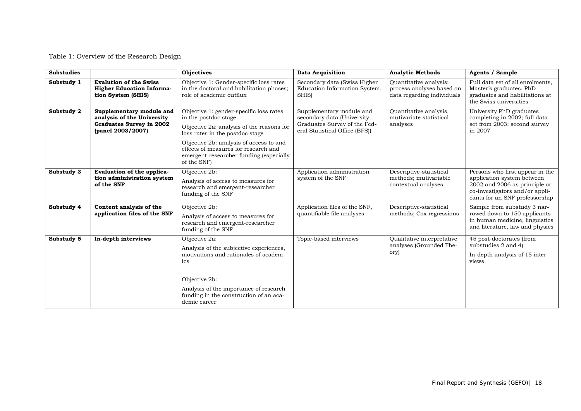Table 1: Overview of the Research Design

| <b>Substudies</b> |                                                                                                         | Objectives                                                                                                                                                                                                                                                                                   | <b>Data Acquisition</b>                                                                                                  | <b>Analytic Methods</b>                                                           | <b>Agents / Sample</b>                                                                                                                                             |
|-------------------|---------------------------------------------------------------------------------------------------------|----------------------------------------------------------------------------------------------------------------------------------------------------------------------------------------------------------------------------------------------------------------------------------------------|--------------------------------------------------------------------------------------------------------------------------|-----------------------------------------------------------------------------------|--------------------------------------------------------------------------------------------------------------------------------------------------------------------|
| Substudy 1        | <b>Evalution of the Swiss</b><br><b>Higher Education Informa-</b><br>tion System (SHIS)                 | Objective 1: Gender-specific loss rates<br>in the doctoral and habilitation phases;<br>role of academic outflux                                                                                                                                                                              | Secondary data (Swiss Higher<br>Education Information System,<br>SHIS)                                                   | Quantitative analysis:<br>process analyses based on<br>data regarding individuals | Full data set of all enrolments,<br>Master's graduates, PhD<br>graduates and habilitations at<br>the Swiss universities                                            |
| Substudy 2        | Supplementary module and<br>analysis of the University<br>Graduates Survey in 2002<br>(panel 2003/2007) | Objective 1: gender-specific loss rates<br>in the postdoc stage<br>Objective 2a: analysis of the reasons for<br>loss rates in the postdoc stage<br>Objective 2b: analysis of access to and<br>effects of measures for research and<br>emergent-researcher funding (especially<br>of the SNF) | Supplementary module and<br>secondary data (University<br>Graduates Survey of the Fed-<br>eral Statistical Office (BFS)) | Quantitative analysis,<br>mutivariate statistical<br>analyses                     | University PhD graduates<br>completing in 2002; full data<br>set from 2003; second survey<br>in 2007                                                               |
| Substudy 3        | Evaluation of the applica-<br>tion administration system<br>of the SNF                                  | Objective 2b:<br>Analysis of access to measures for<br>research and emergent-researcher<br>funding of the SNF                                                                                                                                                                                | Application administration<br>system of the SNF                                                                          | Descriptive-statistical<br>methods; mutivariable<br>contextual analyses.          | Persons who first appear in the<br>application system between<br>2002 and 2006 as principle or<br>co-investigators and/or appli-<br>cants for an SNF professorship |
| Substudy 4        | Content analysis of the<br>application files of the SNF                                                 | Objective 2b:<br>Analysis of access to measures for<br>research and emergent-researcher<br>funding of the SNF                                                                                                                                                                                | Application files of the SNF,<br>quantifiable file analyses                                                              | Descriptive-statistical<br>methods; Cox regressions                               | Sample from substudy 3 nar-<br>rowed down to 150 applicants<br>in human medicine, linguistics<br>and literature, law and physics                                   |
| Substudy 5        | In-depth interviews                                                                                     | Objective 2a:<br>Analysis of the subjective experiences,<br>motivations and rationales of academ-<br>ics<br>Objective 2b:<br>Analysis of the importance of research<br>funding in the construction of an aca-<br>demic career                                                                | Topic-based interviews                                                                                                   | Qualitative interpretative<br>analyses (Grounded The-<br>ory)                     | 45 post-doctorates (from<br>substudies 2 and 4)<br>In-depth analysis of 15 inter-<br>views                                                                         |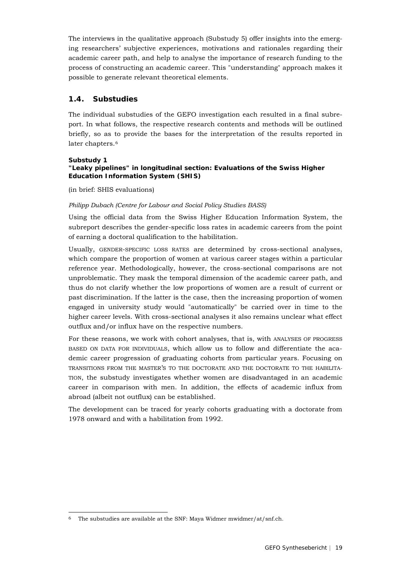The interviews in the qualitative approach (Substudy 5) offer insights into the emerging researchers' subjective experiences, motivations and rationales regarding their academic career path, and help to analyse the importance of research funding to the process of constructing an academic career. This "understanding" approach makes it possible to generate relevant theoretical elements.

## <span id="page-18-0"></span>**1.4. Substudies**

The individual substudies of the GEFO investigation each resulted in a final subreport. In what follows, the respective research contents and methods will be outlined briefly, so as to provide the bases for the interpretation of the results reported in later chapters.<sup>[6](#page-18-1)</sup>

#### **Substudy 1**

## **"Leaky pipelines" in longitudinal section: Evaluations of the Swiss Higher Education Information System (SHIS)**

(in brief: SHIS evaluations)

## *Philipp Dubach (Centre for Labour and Social Policy Studies BASS)*

Using the official data from the Swiss Higher Education Information System, the subreport describes the gender-specific loss rates in academic careers from the point of earning a doctoral qualification to the habilitation.

Usually, GENDER-SPECIFIC LOSS RATES are determined by cross-sectional analyses, which compare the proportion of women at various career stages within a particular reference year. Methodologically, however, the cross-sectional comparisons are not unproblematic. They mask the temporal dimension of the academic career path, and thus do not clarify whether the low proportions of women are a result of current or past discrimination. If the latter is the case, then the increasing proportion of women engaged in university study would "automatically" be carried over in time to the higher career levels. With cross-sectional analyses it also remains unclear what effect outflux and/or influx have on the respective numbers.

For these reasons, we work with cohort analyses, that is, with ANALYSES OF PROGRESS BASED ON DATA FOR INDIVIDUALS, which allow us to follow and differentiate the academic career progression of graduating cohorts from particular years. Focusing on TRANSITIONS FROM THE MASTER'S TO THE DOCTORATE AND THE DOCTORATE TO THE HABILITA-TION, the substudy investigates whether women are disadvantaged in an academic career in comparison with men. In addition, the effects of academic influx from abroad (albeit not outflux) can be established.

The development can be traced for yearly cohorts graduating with a doctorate from 1978 onward and with a habilitation from 1992.

<span id="page-18-1"></span> <sup>6</sup> The substudies are available at the SNF: Maya Widmer [mwidmer/at/snf.ch.](mailto:mwidmer/at/snf.ch)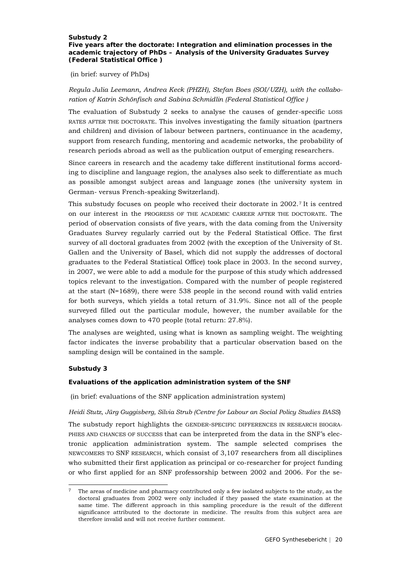#### **Substudy 2 Five years after the doctorate: Integration and elimination processes in the academic trajectory of PhDs – Analysis of the University Graduates Survey (Federal Statistical Office )**

(in brief: survey of PhDs)

## *Regula Julia Leemann, Andrea Keck (PHZH), Stefan Boes (SOI/UZH), with the collaboration of Katrin Schönfisch and Sabina Schmidlin (Federal Statistical Office )*

The evaluation of Substudy 2 seeks to analyse the causes of gender-specific LOSS RATES AFTER THE DOCTORATE. This involves investigating the family situation (partners and children) and division of labour between partners, continuance in the academy, support from research funding, mentoring and academic networks, the probability of research periods abroad as well as the publication output of emerging researchers.

Since careers in research and the academy take different institutional forms according to discipline and language region, the analyses also seek to differentiate as much as possible amongst subject areas and language zones (the university system in German- versus French-speaking Switzerland).

This substudy focuses on people who received their doctorate in 2002.[7](#page-19-0) It is centred on our interest in the PROGRESS OF THE ACADEMIC CAREER AFTER THE DOCTORATE. The period of observation consists of five years, with the data coming from the University Graduates Survey regularly carried out by the Federal Statistical Office. The first survey of all doctoral graduates from 2002 (with the exception of the University of St. Gallen and the University of Basel, which did not supply the addresses of doctoral graduates to the Federal Statistical Office) took place in 2003. In the second survey, in 2007, we were able to add a module for the purpose of this study which addressed topics relevant to the investigation. Compared with the number of people registered at the start (N=1689), there were 538 people in the second round with valid entries for both surveys, which yields a total return of 31.9%. Since not all of the people surveyed filled out the particular module, however, the number available for the analyses comes down to 470 people (total return: 27.8%).

The analyses are weighted, using what is known as sampling weight. The weighting factor indicates the inverse probability that a particular observation based on the sampling design will be contained in the sample.

#### **Substudy 3**

#### **Evaluations of the application administration system of the SNF**

(in brief: evaluations of the SNF application administration system)

#### *Heidi Stutz, Jürg Guggisberg, Silvia Strub (Centre for Labour an Social Policy Studies BASS*)

The substudy report highlights the GENDER-SPECIFIC DIFFERENCES IN RESEARCH BIOGRA-PHIES AND CHANCES OF SUCCESS that can be interpreted from the data in the SNF's electronic application administration system. The sample selected comprises the NEWCOMERS TO SNF RESEARCH, which consist of 3,107 researchers from all disciplines who submitted their first application as principal or co-researcher for project funding or who first applied for an SNF professorship between 2002 and 2006. For the se-

<span id="page-19-0"></span> <sup>7</sup> The areas of medicine and pharmacy contributed only a few isolated subjects to the study, as the doctoral graduates from 2002 were only included if they passed the state examination at the same time. The different approach in this sampling procedure is the result of the different significance attributed to the doctorate in medicine. The results from this subject area are therefore invalid and will not receive further comment.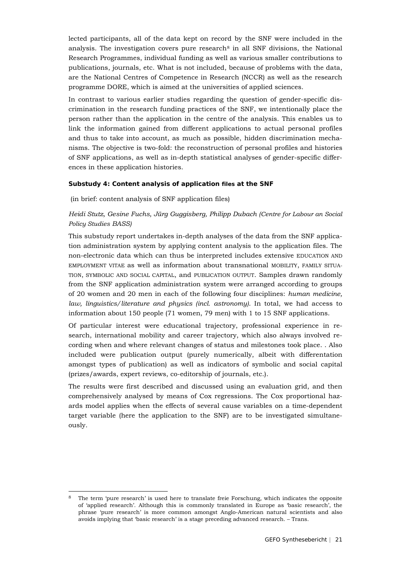lected participants, all of the data kept on record by the SNF were included in the analysis. The investigation covers pure research<sup>[8](#page-20-0)</sup> in all SNF divisions, the National Research Programmes, individual funding as well as various smaller contributions to publications, journals, etc. What is not included, because of problems with the data, are the National Centres of Competence in Research (NCCR) as well as the research programme DORE, which is aimed at the universities of applied sciences.

In contrast to various earlier studies regarding the question of gender-specific discrimination in the research funding practices of the SNF, we intentionally place the person rather than the application in the centre of the analysis. This enables us to link the information gained from different applications to actual personal profiles and thus to take into account, as much as possible, hidden discrimination mechanisms. The objective is two-fold: the reconstruction of personal profiles and histories of SNF applications, as well as in-depth statistical analyses of gender-specific differences in these application histories.

#### **Substudy 4: Content analysis of application files at the SNF**

(in brief: content analysis of SNF application files)

## *Heidi Stutz, Gesine Fuchs, Jürg Guggisberg, Philipp Dubach (Centre for Labour an Social Policy Studies BASS)*

This substudy report undertakes in-depth analyses of the data from the SNF application administration system by applying content analysis to the application files. The non-electronic data which can thus be interpreted includes extensive EDUCATION AND EMPLOYMENT VITAE as well as information about transnational MOBILITY, FAMILY SITUA-TION, SYMBOLIC AND SOCIAL CAPITAL, and PUBLICATION OUTPUT. Samples drawn randomly from the SNF application administration system were arranged according to groups of 20 women and 20 men in each of the following four disciplines: *human medicine, law, linguistics/literature and physics (incl. astronomy)*. In total, we had access to information about 150 people (71 women, 79 men) with 1 to 15 SNF applications.

Of particular interest were educational trajectory, professional experience in research, international mobility and career trajectory, which also always involved recording when and where relevant changes of status and milestones took place. . Also included were publication output (purely numerically, albeit with differentation amongst types of publication) as well as indicators of symbolic and social capital (prizes/awards, expert reviews, co-editorship of journals, etc.).

The results were first described and discussed using an evaluation grid, and then comprehensively analysed by means of Cox regressions. The Cox proportional hazards model applies when the effects of several cause variables on a time-dependent target variable (here the application to the SNF) are to be investigated simultaneously.

<span id="page-20-0"></span> <sup>8</sup> The term 'pure research' is used here to translate freie Forschung, which indicates the opposite of 'applied research'. Although this is commonly translated in Europe as 'basic research', the phrase 'pure research' is more common amongst Anglo-American natural scientists and also avoids implying that 'basic research' is a stage preceding advanced research. – Trans.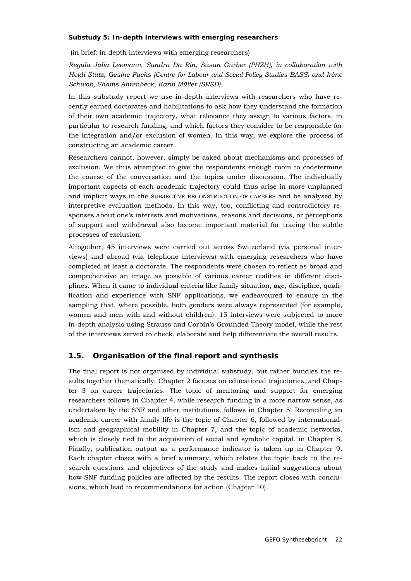#### **Substudy 5: In-depth interviews with emerging researchers**

(in brief: in-depth interviews with emerging researchers)

*Regula Julia Leemann, Sandra Da Rin, Susan Gürber (PHZH), in collaboration with Heidi Stutz, Gesine Fuchs (Centre for Labour and Social Policy Studies BASS) and Irène Schwob, Shams Ahrenbeck, Karin Müller (SRED)*

In this substudy report we use in-depth interviews with researchers who have recently earned doctorates and habilitations to ask how they understand the formation of their own academic trajectory, what relevance they assign to various factors, in particular to research funding, and which factors they consider to be responsible for the integration and/or exclusion of women. In this way, we explore the process of constructing an academic career.

Researchers cannot, however, simply be asked about mechanisms and processes of exclusion. We thus attempted to give the respondents enough room to codetermine the course of the conversation and the topics under discussion. The individually important aspects of each academic trajectory could thus arise in more unplanned and implicit ways in the SUBJECTIVE RECONSTRUCTION OF CAREERS and be analysed by interpretive evaluation methods. In this way, too, conflicting and contradictory responses about one's interests and motivations, reasons and decisions, or perceptions of support and withdrawal also become important material for tracing the subtle processes of exclusion.

Altogether, 45 interviews were carried out across Switzerland (via personal interviews) and abroad (via telephone interviews) with emerging researchers who have completed at least a doctorate. The respondents were chosen to reflect as broad and comprehensive an image as possible of various career realities in different disciplines. When it came to individual criteria like family situation, age, discipline, qualification and experience with SNF applications, we endeavoured to ensure in the sampling that, where possible, both genders were always represented (for example, women and men with and without children). 15 interviews were subjected to more in-depth analysis using Strauss and Corbin's Grounded Theory model, while the rest of the interviews served to check, elaborate and help differentiate the overall results.

## <span id="page-21-0"></span>**1.5. Organisation of the final report and synthesis**

The final report is not organised by individual substudy, but rather bundles the results together thematically. Chapter 2 focuses on educational trajectories, and Chapter 3 on career trajectories. The topic of mentoring and support for emerging researchers follows in Chapter 4, while research funding in a more narrow sense, as undertaken by the SNF and other institutions, follows in Chapter 5. Reconciling an academic career with family life is the topic of Chapter 6, followed by internationalism and geographical mobility in Chapter 7, and the topic of academic networks, which is closely tied to the acquisition of social and symbolic capital, in Chapter 8. Finally, publication output as a performance indicator is taken up in Chapter 9. Each chapter closes with a brief summary, which relates the topic back to the research questions and objectives of the study and makes initial suggestions about how SNF funding policies are affected by the results. The report closes with conclusions, which lead to recommendations for action (Chapter 10).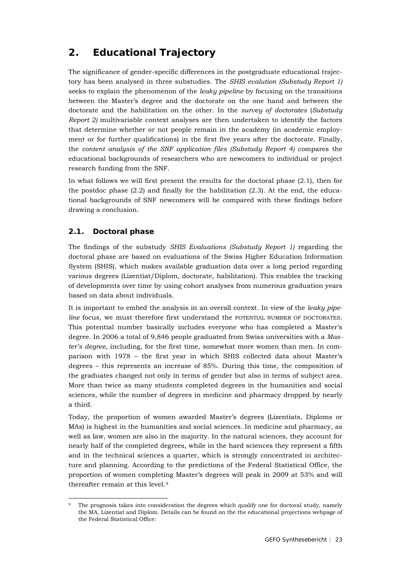## <span id="page-22-0"></span>**2. Educational Trajectory**

The significance of gender-specific differences in the postgraduate educational trajectory has been analysed in three substudies. The *SHIS evalution (Substudy Report 1)* seeks to explain the phenomenon of the *leaky pipeline* by focusing on the transitions between the Master's degree and the doctorate on the one hand and between the doctorate and the habilitation on the other. In the *survey of doctorates* (*Substudy Report 2)* multivariable context analyses are then undertaken to identify the factors that determine whether or not people remain in the academy (in academic employment or for further qualifications) in the first five years after the doctorate. Finally, the *content analysis of the SNF application files (Substudy Report 4)* compares the educational backgrounds of researchers who are newcomers to individual or project research funding from the SNF.

In what follows we will first present the results for the doctoral phase (2.1), then for the postdoc phase  $(2.2)$  and finally for the habilitation  $(2.3)$ . At the end, the educational backgrounds of SNF newcomers will be compared with these findings before drawing a conclusion.

## <span id="page-22-1"></span>**2.1. Doctoral phase**

The findings of the substudy *SHIS Evaluations (Substudy Report 1)* regarding the doctoral phase are based on evaluations of the Swiss Higher Education Information System (SHIS), which makes available graduation data over a long period regarding various degrees (Lizentiat/Diplom, doctorate, habilitation). This enables the tracking of developments over time by using cohort analyses from numerous graduation years based on data about individuals.

It is important to embed the analysis in an overall context. In view of the *leaky pipeline* focus, we must therefore first understand the POTENTIAL NUMBER OF DOCTORATES. This potential number basically includes everyone who has completed a Master's degree. In 2006 a total of 9,846 people graduated from Swiss universities with a *Master's degree*, including, for the first time, somewhat more women than men. In comparison with 1978 – the first year in which SHIS collected data about Master's degrees – this represents an increase of 85%. During this time, the composition of the graduates changed not only in terms of gender but also in terms of subject area. More than twice as many students completed degrees in the humanities and social sciences, while the number of degrees in medicine and pharmacy dropped by nearly a third.

Today, the proportion of women awarded Master's degrees (Lizentiats, Diploms or MAs) is highest in the humanities and social sciences. In medicine and pharmacy, as well as law, women are also in the majority. In the natural sciences, they account for nearly half of the completed degrees, while in the hard sciences they represent a fifth and in the technical sciences a quarter, which is strongly concentrated in architecture and planning. According to the predictions of the Federal Statistical Office, the proportion of women completing Master's degrees will peak in 2009 at 53% and will thereafter remain at this level.[9](#page-22-2)

<span id="page-22-2"></span><sup>&</sup>lt;sup>9</sup> The prognosis takes into consideration the degrees which qualify one for doctoral study, namely the MA, Lizentiat and Diplom. Details can be found on the the educational projections webpage of the Federal Statistical Office: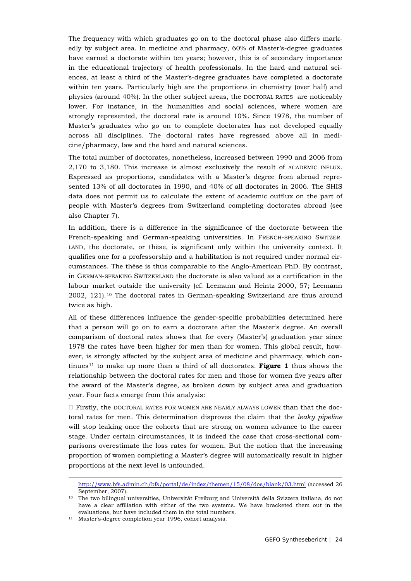The frequency with which graduates go on to the doctoral phase also differs markedly by subject area. In medicine and pharmacy, 60% of Master's-degree graduates have earned a doctorate within ten years; however, this is of secondary importance in the educational trajectory of health professionals. In the hard and natural sciences, at least a third of the Master's-degree graduates have completed a doctorate within ten years. Particularly high are the proportions in chemistry (over half) and physics (around 40%). In the other subject areas, the DOCTORAL RATES are noticeably lower. For instance, in the humanities and social sciences, where women are strongly represented, the doctoral rate is around 10%. Since 1978, the number of Master's graduates who go on to complete doctorates has not developed equally across all disciplines. The doctoral rates have regressed above all in medicine/pharmacy, law and the hard and natural sciences.

The total number of doctorates, nonetheless, increased between 1990 and 2006 from 2,170 to 3,180. This increase is almost exclusively the result of ACADEMIC INFLUX. Expressed as proportions, candidates with a Master's degree from abroad represented 13% of all doctorates in 1990, and 40% of all doctorates in 2006. The SHIS data does not permit us to calculate the extent of academic outflux on the part of people with Master's degrees from Switzerland completing doctorates abroad (see also Chapter 7).

In addition, there is a difference in the significance of the doctorate between the French-speaking and German-speaking universities. In FRENCH-SPEAKING SWITZER-LAND, the doctorate, or thèse, is significant only within the university context. It qualifies one for a professorship and a habilitation is not required under normal circumstances. The thèse is thus comparable to the Anglo-American PhD. By contrast, in GERMAN-SPEAKING SWITZERLAND the doctorate is also valued as a certification in the labour market outside the university (cf. Leemann and Heintz 2000, 57; Leemann 2002, 121).[10](#page-23-0) The doctoral rates in German-speaking Switzerland are thus around twice as high.

All of these differences influence the gender-specific probabilities determined here that a person will go on to earn a doctorate after the Master's degree. An overall comparison of doctoral rates shows that for every (Master's) graduation year since 1978 the rates have been higher for men than for women. This global result, however, is strongly affected by the subject area of medicine and pharmacy, which continues [11](#page-23-1) to make up more than a third of all doctorates. **Figure 1** thus shows the relationship between the doctoral rates for men and those for women five years after the award of the Master's degree, as broken down by subject area and graduation year. Four facts emerge from this analysis:

 $\Box$  Firstly, the DOCTORAL RATES FOR WOMEN ARE NEARLY ALWAYS LOWER than that the doctoral rates for men. This determination disproves the claim that the *leaky pipeline*  will stop leaking once the cohorts that are strong on women advance to the career stage. Under certain circumstances, it is indeed the case that cross-sectional comparisons overestimate the loss rates for women. But the notion that the increasing proportion of women completing a Master's degree will automatically result in higher proportions at the next level is unfounded.

-

<http://www.bfs.admin.ch/bfs/portal/de/index/themen/15/08/dos/blank/03.html> (accessed 26 September, 2007).

<span id="page-23-0"></span><sup>10</sup> The two bilingual universities, Universität Freiburg and Università della Svizzera italiana, do not have a clear affiliation with either of the two systems. We have bracketed them out in the evaluations, but have included them in the total numbers.

<span id="page-23-1"></span><sup>11</sup> Master's-degree completion year 1996, cohort analysis.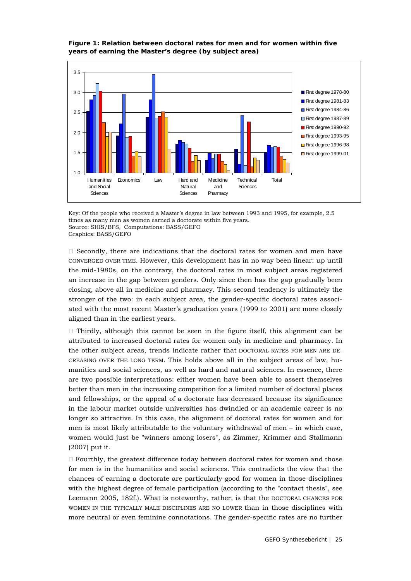



Key: Of the people who received a Master's degree in law between 1993 and 1995, for example, 2.5 times as many men as women earned a doctorate within five years. Source: SHIS/BFS, Computations: BASS/GEFO Graphics: BASS/GEFO

 $\Box$  Secondly, there are indications that the doctoral rates for women and men have CONVERGED OVER TIME. However, this development has in no way been linear: up until the mid-1980s, on the contrary, the doctoral rates in most subject areas registered an increase in the gap between genders. Only since then has the gap gradually been closing, above all in medicine and pharmacy. This second tendency is ultimately the stronger of the two: in each subject area, the gender-specific doctoral rates associated with the most recent Master's graduation years (1999 to 2001) are more closely aligned than in the earliest years.

 $\Box$  Thirdly, although this cannot be seen in the figure itself, this alignment can be attributed to increased doctoral rates for women only in medicine and pharmacy. In the other subject areas, trends indicate rather that DOCTORAL RATES FOR MEN ARE DE-CREASING OVER THE LONG TERM. This holds above all in the subject areas of law, humanities and social sciences, as well as hard and natural sciences. In essence, there are two possible interpretations: either women have been able to assert themselves better than men in the increasing competition for a limited number of doctoral places and fellowships, or the appeal of a doctorate has decreased because its significance in the labour market outside universities has dwindled or an academic career is no longer so attractive. In this case, the alignment of doctoral rates for women and for men is most likely attributable to the voluntary withdrawal of men – in which case, women would just be "winners among losers", as Zimmer, Krimmer and Stallmann (2007) put it.

 $\Box$  Fourthly, the greatest difference today between doctoral rates for women and those for men is in the humanities and social sciences. This contradicts the view that the chances of earning a doctorate are particularly good for women in those disciplines with the highest degree of female participation (according to the "contact thesis", see Leemann 2005, 182f.). What is noteworthy, rather, is that the DOCTORAL CHANCES FOR WOMEN IN THE TYPICALLY MALE DISCIPLINES ARE NO LOWER than in those disciplines with more neutral or even feminine connotations. The gender-specific rates are no further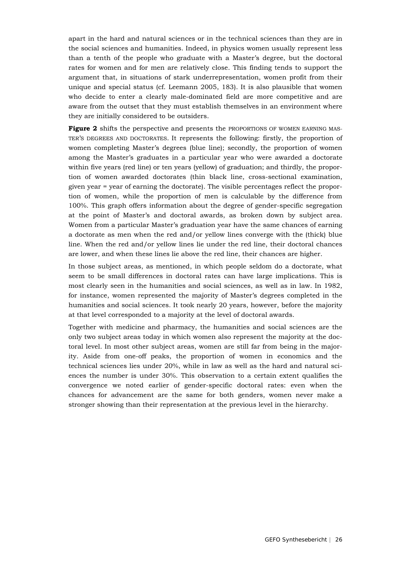apart in the hard and natural sciences or in the technical sciences than they are in the social sciences and humanities. Indeed, in physics women usually represent less than a tenth of the people who graduate with a Master's degree, but the doctoral rates for women and for men are relatively close. This finding tends to support the argument that, in situations of stark underrepresentation, women profit from their unique and special status (cf. Leemann 2005, 183). It is also plausible that women who decide to enter a clearly male-dominated field are more competitive and are aware from the outset that they must establish themselves in an environment where they are initially considered to be outsiders.

**Figure 2** shifts the perspective and presents the PROPORTIONS OF WOMEN EARNING MAS-TER'S DEGREES AND DOCTORATES. It represents the following: firstly, the proportion of women completing Master's degrees (blue line); secondly, the proportion of women among the Master's graduates in a particular year who were awarded a doctorate within five years (red line) or ten years (yellow) of graduation; and thirdly, the proportion of women awarded doctorates (thin black line, cross-sectional examination, given year = year of earning the doctorate). The visible percentages reflect the proportion of women, while the proportion of men is calculable by the difference from 100%. This graph offers information about the degree of gender-specific segregation at the point of Master's and doctoral awards, as broken down by subject area. Women from a particular Master's graduation year have the same chances of earning a doctorate as men when the red and/or yellow lines converge with the (thick) blue line. When the red and/or yellow lines lie under the red line, their doctoral chances are lower, and when these lines lie above the red line, their chances are higher.

In those subject areas, as mentioned, in which people seldom do a doctorate, what seem to be small differences in doctoral rates can have large implications. This is most clearly seen in the humanities and social sciences, as well as in law. In 1982, for instance, women represented the majority of Master's degrees completed in the humanities and social sciences. It took nearly 20 years, however, before the majority at that level corresponded to a majority at the level of doctoral awards.

Together with medicine and pharmacy, the humanities and social sciences are the only two subject areas today in which women also represent the majority at the doctoral level. In most other subject areas, women are still far from being in the majority. Aside from one-off peaks, the proportion of women in economics and the technical sciences lies under 20%, while in law as well as the hard and natural sciences the number is under 30%. This observation to a certain extent qualifies the convergence we noted earlier of gender-specific doctoral rates: even when the chances for advancement are the same for both genders, women never make a stronger showing than their representation at the previous level in the hierarchy.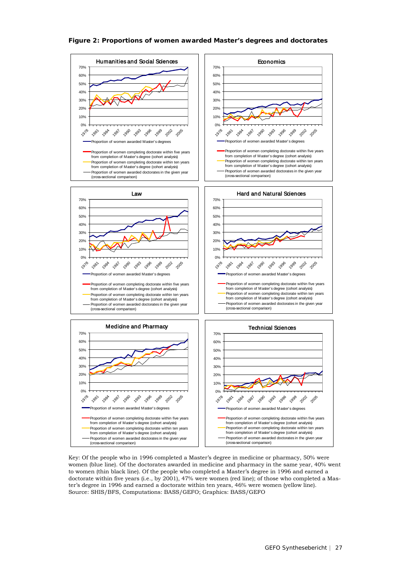#### **Figure 2: Proportions of women awarded Master's degrees and doctorates**



Key: Of the people who in 1996 completed a Master's degree in medicine or pharmacy, 50% were women (blue line). Of the doctorates awarded in medicine and pharmacy in the same year, 40% went to women (thin black line). Of the people who completed a Master's degree in 1996 and earned a doctorate within five years (i.e., by 2001), 47% were women (red line); of those who completed a Master's degree in 1996 and earned a doctorate within ten years, 46% were women (yellow line). Source: SHIS/BFS, Computations: BASS/GEFO; Graphics: BASS/GEFO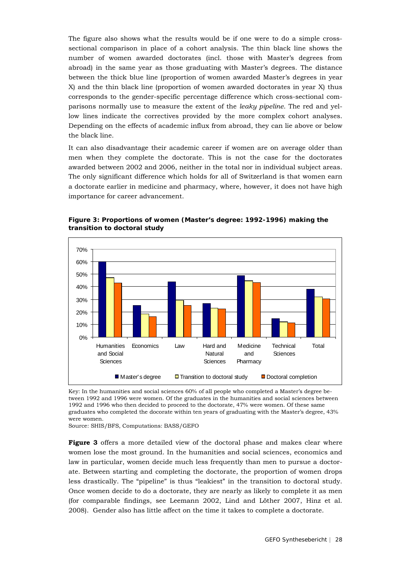The figure also shows what the results would be if one were to do a simple crosssectional comparison in place of a cohort analysis. The thin black line shows the number of women awarded doctorates (incl. those with Master's degrees from abroad) in the same year as those graduating with Master's degrees. The distance between the thick blue line (proportion of women awarded Master's degrees in year X) and the thin black line (proportion of women awarded doctorates in year X) thus corresponds to the gender-specific percentage difference which cross-sectional comparisons normally use to measure the extent of the *leaky pipeline*. The red and yellow lines indicate the correctives provided by the more complex cohort analyses. Depending on the effects of academic influx from abroad, they can lie above or below the black line.

It can also disadvantage their academic career if women are on average older than men when they complete the doctorate. This is not the case for the doctorates awarded between 2002 and 2006, neither in the total nor in individual subject areas. The only significant difference which holds for all of Switzerland is that women earn a doctorate earlier in medicine and pharmacy, where, however, it does not have high importance for career advancement.



**Figure 3: Proportions of women (Master's degree: 1992-1996) making the transition to doctoral study**

Key: In the humanities and social sciences 60% of all people who completed a Master's degree between 1992 and 1996 were women. Of the graduates in the humanities and social sciences between 1992 and 1996 who then decided to proceed to the doctorate, 47% were women. Of these same graduates who completed the docorate within ten years of graduating with the Master's degree, 43% were women.

Source: SHIS/BFS, Computations: BASS/GEFO

**Figure 3** offers a more detailed view of the doctoral phase and makes clear where women lose the most ground. In the humanities and social sciences, economics and law in particular, women decide much less frequently than men to pursue a doctorate. Between starting and completing the doctorate, the proportion of women drops less drastically. The "pipeline" is thus "leakiest" in the transition to doctoral study. Once women decide to do a doctorate, they are nearly as likely to complete it as men (for comparable findings, see Leemann 2002, Lind and Löther 2007, Hinz et al. 2008). Gender also has little affect on the time it takes to complete a doctorate.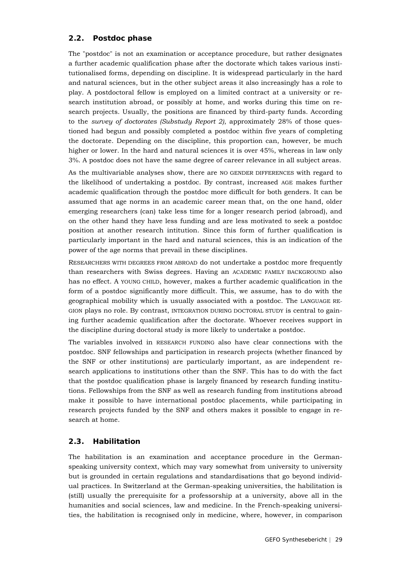## **2.2. Postdoc phase**

<span id="page-28-0"></span>The "postdoc" is not an examination or acceptance procedure, but rather designates a further academic qualification phase after the doctorate which takes various institutionalised forms, depending on discipline. It is widespread particularly in the hard and natural sciences, but in the other subject areas it also increasingly has a role to play. A postdoctoral fellow is employed on a limited contract at a university or research institution abroad, or possibly at home, and works during this time on research projects. Usually, the positions are financed by third-party funds. According to the *survey of doctorates (Substudy Report 2)*, approximately 28% of those questioned had begun and possibly completed a postdoc within five years of completing the doctorate. Depending on the discipline, this proportion can, however, be much higher or lower. In the hard and natural sciences it is over 45%, whereas in law only 3%. A postdoc does not have the same degree of career relevance in all subject areas.

As the multivariable analyses show, there are NO GENDER DIFFERENCES with regard to the likelihood of undertaking a postdoc. By contrast, increased AGE makes further academic qualification through the postdoc more difficult for both genders. It can be assumed that age norms in an academic career mean that, on the one hand, older emerging researchers (can) take less time for a longer research period (abroad), and on the other hand they have less funding and are less motivated to seek a postdoc position at another research intitution. Since this form of further qualification is particularly important in the hard and natural sciences, this is an indication of the power of the age norms that prevail in these disciplines.

RESEARCHERS WITH DEGREES FROM ABROAD do not undertake a postdoc more frequently than researchers with Swiss degrees. Having an ACADEMIC FAMILY BACKGROUND also has no effect. A YOUNG CHILD, however, makes a further academic qualification in the form of a postdoc significantly more difficult. This, we assume, has to do with the geographical mobility which is usually associated with a postdoc. The LANGUAGE RE-GION plays no role. By contrast, INTEGRATION DURING DOCTORAL STUDY is central to gaining further academic qualification after the doctorate. Whoever receives support in the discipline during doctoral study is more likely to undertake a postdoc.

The variables involved in RESEARCH FUNDING also have clear connections with the postdoc. SNF fellowships and participation in research projects (whether financed by the SNF or other institutions) are particularly important, as are independent research applications to institutions other than the SNF. This has to do with the fact that the postdoc qualification phase is largely financed by research funding institutions. Fellowships from the SNF as well as research funding from institutions abroad make it possible to have international postdoc placements, while participating in research projects funded by the SNF and others makes it possible to engage in research at home.

## <span id="page-28-1"></span>**2.3. Habilitation**

The habilitation is an examination and acceptance procedure in the Germanspeaking university context, which may vary somewhat from university to university but is grounded in certain regulations and standardisations that go beyond individual practices. In Switzerland at the German-speaking universities, the habilitation is (still) usually the prerequisite for a professorship at a university, above all in the humanities and social sciences, law and medicine. In the French-speaking universities, the habilitation is recognised only in medicine, where, however, in comparison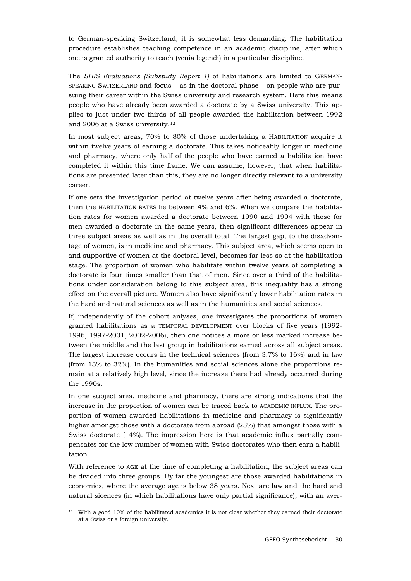to German-speaking Switzerland, it is somewhat less demanding. The habilitation procedure establishes teaching competence in an academic discipline, after which one is granted authority to teach (venia legendi) in a particular discipline.

The *SHIS Evaluations (Substudy Report 1)* of habilitations are limited to GERMAN-SPEAKING SWITZERLAND and focus – as in the doctoral phase – on people who are pursuing their career within the Swiss university and research system. Here this means people who have already been awarded a doctorate by a Swiss university. This applies to just under two-thirds of all people awarded the habilitation between 1992 and 2006 at a Swiss university.[12](#page-29-0)

In most subject areas, 70% to 80% of those undertaking a HABILITATION acquire it within twelve years of earning a doctorate. This takes noticeably longer in medicine and pharmacy, where only half of the people who have earned a habilitation have completed it within this time frame. We can assume, however, that when habilitations are presented later than this, they are no longer directly relevant to a university career.

If one sets the investigation period at twelve years after being awarded a doctorate, then the HABILITATION RATES lie between 4% and 6%. When we compare the habilitation rates for women awarded a doctorate between 1990 and 1994 with those for men awarded a doctorate in the same years, then significant differences appear in three subject areas as well as in the overall total. The largest gap, to the disadvantage of women, is in medicine and pharmacy. This subject area, which seems open to and supportive of women at the doctoral level, becomes far less so at the habilitation stage. The proportion of women who habilitate within twelve years of completing a doctorate is four times smaller than that of men. Since over a third of the habilitations under consideration belong to this subject area, this inequality has a strong effect on the overall picture. Women also have significantly lower habilitation rates in the hard and natural sciences as well as in the humanities and social sciences.

If, independently of the cohort anlyses, one investigates the proportions of women granted habilitations as a TEMPORAL DEVELOPMENT over blocks of five years (1992- 1996, 1997-2001, 2002-2006), then one notices a more or less marked increase between the middle and the last group in habilitations earned across all subject areas. The largest increase occurs in the technical sciences (from 3.7% to 16%) and in law (from 13% to 32%). In the humanities and social sciences alone the proportions remain at a relatively high level, since the increase there had already occurred during the 1990s.

In one subject area, medicine and pharmacy, there are strong indications that the increase in the proportion of women can be traced back to ACADEMIC INFLUX. The proportion of women awarded habilitations in medicine and pharmacy is significantly higher amongst those with a doctorate from abroad (23%) that amongst those with a Swiss doctorate (14%). The impression here is that academic influx partially compensates for the low number of women with Swiss doctorates who then earn a habilitation.

With reference to AGE at the time of completing a habilitation, the subject areas can be divided into three groups. By far the youngest are those awarded habilitations in economics, where the average age is below 38 years. Next are law and the hard and natural sicences (in which habilitations have only partial significance), with an aver-

<span id="page-29-0"></span><sup>&</sup>lt;sup>12</sup> With a good 10% of the habilitated academics it is not clear whether they earned their doctorate at a Swiss or a foreign university.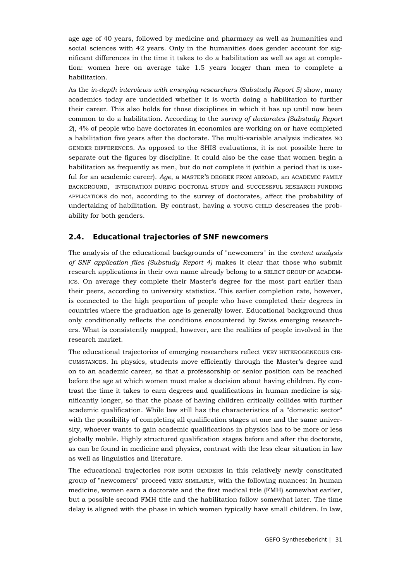age age of 40 years, followed by medicine and pharmacy as well as humanities and social sciences with 42 years. Only in the humanities does gender account for significant differences in the time it takes to do a habilitation as well as age at completion: women here on average take 1.5 years longer than men to complete a habilitation.

As the *in-depth interviews with emerging researchers (Substudy Report 5)* show, many academics today are undecided whether it is worth doing a habilitation to further their career. This also holds for those disciplines in which it has up until now been common to do a habilitation. According to the *survey of doctorates (Substudy Report 2*), 4% of people who have doctorates in economics are working on or have completed a habilitation five years after the doctorate. The multi-variable analysis indicates NO GENDER DIFFERENCES. As opposed to the SHIS evaluations, it is not possible here to separate out the figures by discipline. It could also be the case that women begin a habilitation as frequently as men, but do not complete it (within a period that is useful for an academic career). *Age*, a MASTER'S DEGREE FROM ABROAD, an ACADEMIC FAMILY BACKGROUND, INTEGRATION DURING DOCTORAL STUDY and SUCCESSFUL RESEARCH FUNDING APPLICATIONS do not, according to the survey of doctorates, affect the probability of undertaking of habilitation. By contrast, having a YOUNG CHILD descreases the probability for both genders.

## <span id="page-30-0"></span>**2.4. Educational trajectories of SNF newcomers**

The analysis of the educational backgrounds of "newcomers" in the *content analysis of SNF application files (Substudy Report 4)* makes it clear that those who submit research applications in their own name already belong to a SELECT GROUP OF ACADEM-ICS. On average they complete their Master's degree for the most part earlier than their peers, according to university statistics. This earlier completion rate, however, is connected to the high proportion of people who have completed their degrees in countries where the graduation age is generally lower. Educational background thus only conditionally reflects the conditions encountered by Swiss emerging researchers. What is consistently mapped, however, are the realities of people involved in the research market.

The educational trajectories of emerging researchers reflect VERY HETEROGENEOUS CIR-CUMSTANCES. In physics, students move efficiently through the Master's degree and on to an academic career, so that a professorship or senior position can be reached before the age at which women must make a decision about having children. By contrast the time it takes to earn degrees and qualifications in human medicine is significantly longer, so that the phase of having children critically collides with further academic qualification. While law still has the characteristics of a "domestic sector" with the possibility of completing all qualification stages at one and the same university, whoever wants to gain academic qualifications in physics has to be more or less globally mobile. Highly structured qualification stages before and after the doctorate, as can be found in medicine and physics, contrast with the less clear situation in law as well as linguistics and literature.

The educational trajectories FOR BOTH GENDERS in this relatively newly constituted group of "newcomers" proceed VERY SIMILARLY, with the following nuances: In human medicine, women earn a doctorate and the first medical title (FMH) somewhat earlier, but a possible second FMH title and the habilitation follow somewhat later. The time delay is aligned with the phase in which women typically have small children. In law,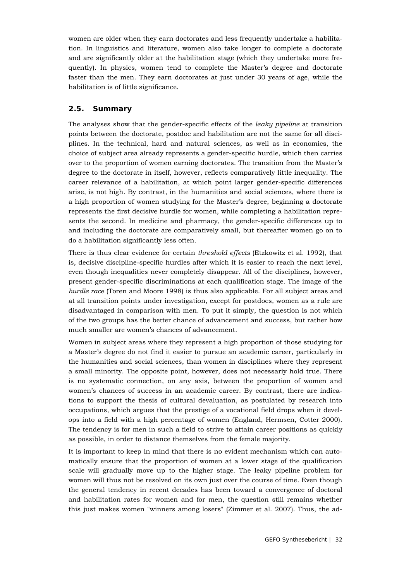women are older when they earn doctorates and less frequently undertake a habilitation. In linguistics and literature, women also take longer to complete a doctorate and are significantly older at the habilitation stage (which they undertake more frequently). In physics, women tend to complete the Master's degree and doctorate faster than the men. They earn doctorates at just under 30 years of age, while the habilitation is of little significance.

## <span id="page-31-0"></span>**2.5. Summary**

The analyses show that the gender-specific effects of the *leaky pipeline* at transition points between the doctorate, postdoc and habilitation are not the same for all disciplines. In the technical, hard and natural sciences, as well as in economics, the choice of subject area already represents a gender-specific hurdle, which then carries over to the proportion of women earning doctorates. The transition from the Master's degree to the doctorate in itself, however, reflects comparatively little inequality. The career relevance of a habilitation, at which point larger gender-specific differences arise, is not high. By contrast, in the humanities and social sciences, where there is a high proportion of women studying for the Master's degree, beginning a doctorate represents the first decisive hurdle for women, while completing a habilitation represents the second. In medicine and pharmacy, the gender-specific differences up to and including the doctorate are comparatively small, but thereafter women go on to do a habilitation significantly less often.

There is thus clear evidence for certain *threshold effects* (Etzkowitz et al. 1992), that is, decisive discipline-specific hurdles after which it is easier to reach the next level, even though inequalities never completely disappear. All of the disciplines, however, present gender-specific discriminations at each qualification stage. The image of the *hurdle race* (Toren and Moore 1998) is thus also applicable. For all subject areas and at all transition points under investigation, except for postdocs, women as a rule are disadvantaged in comparison with men. To put it simply, the question is not which of the two groups has the better chance of advancement and success, but rather how much smaller are women's chances of advancement.

Women in subject areas where they represent a high proportion of those studying for a Master's degree do not find it easier to pursue an academic career, particularly in the humanities and social sciences, than women in disciplines where they represent a small minority. The opposite point, however, does not necessariy hold true. There is no systematic connection, on any axis, between the proportion of women and women's chances of success in an academic career. By contrast, there are indications to support the thesis of cultural devaluation, as postulated by research into occupations, which argues that the prestige of a vocational field drops when it develops into a field with a high percentage of women (England, Hermsen, Cotter 2000). The tendency is for men in such a field to strive to attain career positions as quickly as possible, in order to distance themselves from the female majority.

It is important to keep in mind that there is no evident mechanism which can automatically ensure that the proportion of women at a lower stage of the qualification scale will gradually move up to the higher stage. The leaky pipeline problem for women will thus not be resolved on its own just over the course of time. Even though the general tendency in recent decades has been toward a convergence of doctoral and habilitation rates for women and for men, the question still remains whether this just makes women "winners among losers" (Zimmer et al. 2007). Thus, the ad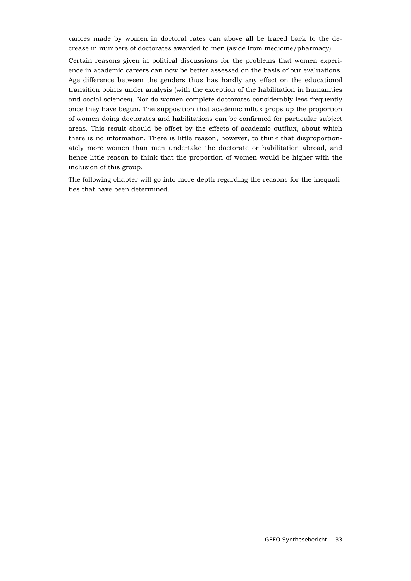vances made by women in doctoral rates can above all be traced back to the decrease in numbers of doctorates awarded to men (aside from medicine/pharmacy).

Certain reasons given in political discussions for the problems that women experience in academic careers can now be better assessed on the basis of our evaluations. Age difference between the genders thus has hardly any effect on the educational transition points under analysis (with the exception of the habilitation in humanities and social sciences). Nor do women complete doctorates considerably less frequently once they have begun. The supposition that academic influx props up the proportion of women doing doctorates and habilitations can be confirmed for particular subject areas. This result should be offset by the effects of academic outflux, about which there is no information. There is little reason, however, to think that disproportionately more women than men undertake the doctorate or habilitation abroad, and hence little reason to think that the proportion of women would be higher with the inclusion of this group.

The following chapter will go into more depth regarding the reasons for the inequalities that have been determined.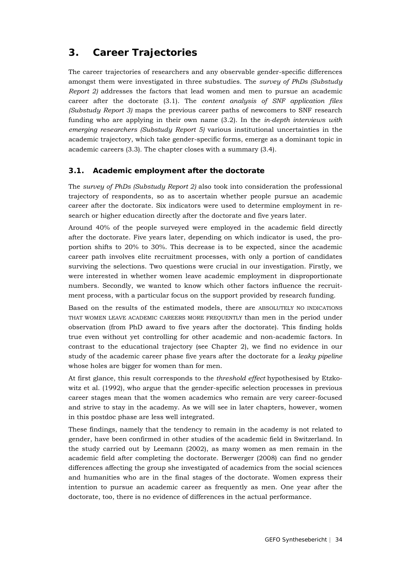## <span id="page-33-0"></span>**3. Career Trajectories**

The career trajectories of researchers and any observable gender-specific differences amongst them were investigated in three substudies. The *survey of PhDs (Substudy Report 2)* addresses the factors that lead women and men to pursue an academic career after the doctorate (3.1). The *content analysis of SNF application files (Substudy Report 3)* maps the previous career paths of newcomers to SNF research funding who are applying in their own name (3.2). In the *in-depth interviews with emerging researchers (Substudy Report 5)* various institutional uncertainties in the academic trajectory, which take gender-specific forms, emerge as a dominant topic in academic careers (3.3). The chapter closes with a summary (3.4).

## <span id="page-33-1"></span>**3.1. Academic employment after the doctorate**

The *survey of PhDs (Substudy Report 2)* also took into consideration the professional trajectory of respondents, so as to ascertain whether people pursue an academic career after the doctorate. Six indicators were used to determine employment in research or higher education directly after the doctorate and five years later.

Around 40% of the people surveyed were employed in the academic field directly after the doctorate. Five years later, depending on which indicator is used, the proportion shifts to 20% to 30%. This decrease is to be expected, since the academic career path involves elite recruitment processes, with only a portion of candidates surviving the selections. Two questions were crucial in our investigation. Firstly, we were interested in whether women leave academic employment in disproportionate numbers. Secondly, we wanted to know which other factors influence the recruitment process, with a particular focus on the support provided by research funding.

Based on the results of the estimated models, there are ABSOLUTELY NO INDICATIONS THAT WOMEN LEAVE ACADEMIC CAREERS MORE FREQUENTLY than men in the period under observation (from PhD award to five years after the doctorate). This finding holds true even without yet controlling for other academic and non-academic factors. In contrast to the educational trajectory (see Chapter 2), we find no evidence in our study of the academic career phase five years after the doctorate for a *leaky pipeline*  whose holes are bigger for women than for men.

At first glance, this result corresponds to the *threshold effect* hypothesised by Etzkowitz et al. (1992), who argue that the gender-specific selection processes in previous career stages mean that the women academics who remain are very career-focused and strive to stay in the academy. As we will see in later chapters, however, women in this postdoc phase are less well integrated.

These findings, namely that the tendency to remain in the academy is not related to gender, have been confirmed in other studies of the academic field in Switzerland. In the study carried out by Leemann (2002), as many women as men remain in the academic field after completing the doctorate. Berwerger (2008) can find no gender differences affecting the group she investigated of academics from the social sciences and humanities who are in the final stages of the doctorate. Women express their intention to pursue an academic career as frequently as men. One year after the doctorate, too, there is no evidence of differences in the actual performance.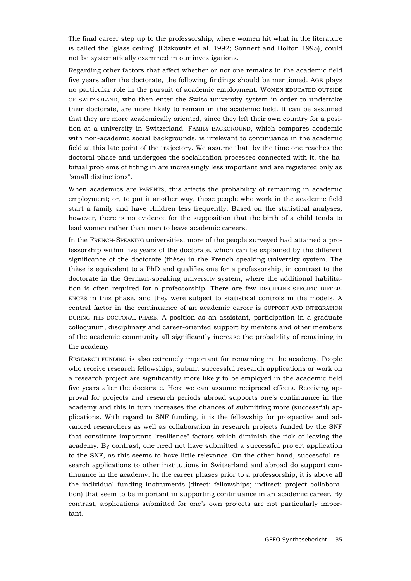The final career step up to the professorship, where women hit what in the literature is called the "glass ceiling" (Etzkowitz et al. 1992; Sonnert and Holton 1995), could not be systematically examined in our investigations.

Regarding other factors that affect whether or not one remains in the academic field five years after the doctorate, the following findings should be mentioned. AGE plays no particular role in the pursuit of academic employment. WOMEN EDUCATED OUTSIDE OF SWITZERLAND, who then enter the Swiss university system in order to undertake their doctorate, are more likely to remain in the academic field. It can be assumed that they are more academically oriented, since they left their own country for a position at a university in Switzerland. FAMILY BACKGROUND, which compares academic with non-academic social backgrounds, is irrelevant to continuance in the academic field at this late point of the trajectory. We assume that, by the time one reaches the doctoral phase and undergoes the socialisation processes connected with it, the habitual problems of fitting in are increasingly less important and are registered only as "small distinctions".

When academics are PARENTS, this affects the probability of remaining in academic employment; or, to put it another way, those people who work in the academic field start a family and have children less frequently. Based on the statistical analyses, however, there is no evidence for the supposition that the birth of a child tends to lead women rather than men to leave academic careers.

In the FRENCH-SPEAKING universities, more of the people surveyed had attained a professorship within five years of the doctorate, which can be explained by the different significance of the doctorate (thèse) in the French-speaking university system. The thèse is equivalent to a PhD and qualifies one for a professorship, in contrast to the doctorate in the German-speaking university system, where the additional habilitation is often required for a professorship. There are few DISCIPLINE-SPECIFIC DIFFER-ENCES in this phase, and they were subject to statistical controls in the models. A central factor in the continuance of an academic career is SUPPORT AND INTEGRATION DURING THE DOCTORAL PHASE. A position as an assistant, participation in a graduate colloquium, disciplinary and career-oriented support by mentors and other members of the academic community all significantly increase the probability of remaining in the academy.

RESEARCH FUNDING is also extremely important for remaining in the academy. People who receive research fellowships, submit successful research applications or work on a research project are significantly more likely to be employed in the academic field five years after the doctorate. Here we can assume reciprocal effects. Receiving approval for projects and research periods abroad supports one's continuance in the academy and this in turn increases the chances of submitting more (successful) applications. With regard to SNF funding, it is the fellowship for prospective and advanced researchers as well as collaboration in research projects funded by the SNF that constitute important "resilience" factors which diminish the risk of leaving the academy. By contrast, one need not have submitted a successful project application to the SNF, as this seems to have little relevance. On the other hand, successful research applications to other institutions in Switzerland and abroad do support continuance in the academy. In the career phases prior to a professorship, it is above all the individual funding instruments (direct: fellowships; indirect: project collaboration) that seem to be important in supporting continuance in an academic career. By contrast, applications submitted for one's own projects are not particularly important.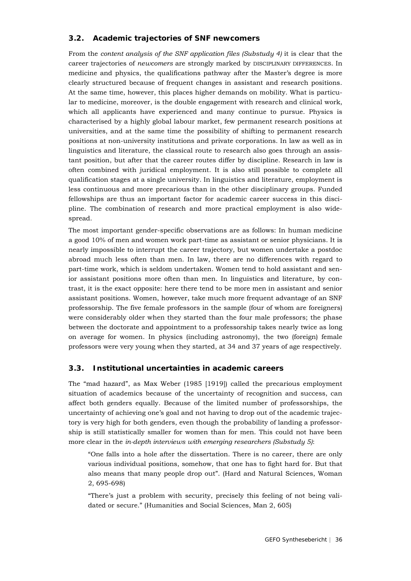## **3.2. Academic trajectories of SNF newcomers**

<span id="page-35-0"></span>From the *content analysis of the SNF application files (Substudy 4)* it is clear that the career trajectories of *newcomers* are strongly marked by DISCIPLINARY DIFFERENCES. In medicine and physics, the qualifications pathway after the Master's degree is more clearly structured because of frequent changes in assistant and research positions. At the same time, however, this places higher demands on mobility. What is particular to medicine, moreover, is the double engagement with research and clinical work, which all applicants have experienced and many continue to pursue. Physics is characterised by a highly global labour market, few permanent research positions at universities, and at the same time the possibility of shifting to permanent research positions at non-university institutions and private corporations. In law as well as in linguistics and literature, the classical route to research also goes through an assistant position, but after that the career routes differ by discipline. Research in law is often combined with juridical employment. It is also still possible to complete all qualification stages at a single university. In linguistics and literature, employment is less continuous and more precarious than in the other disciplinary groups. Funded fellowships are thus an important factor for academic career success in this discipline. The combination of research and more practical employment is also widespread.

The most important gender-specific observations are as follows: In human medicine a good 10% of men and women work part-time as assistant or senior physicians. It is nearly impossible to interrupt the career trajectory, but women undertake a postdoc abroad much less often than men. In law, there are no differences with regard to part-time work, which is seldom undertaken. Women tend to hold assistant and senior assistant positions more often than men. In linguistics and literature, by contrast, it is the exact opposite: here there tend to be more men in assistant and senior assistant positions. Women, however, take much more frequent advantage of an SNF professorship. The five female professors in the sample (four of whom are foreigners) were considerably older when they started than the four male professors; the phase between the doctorate and appointment to a professorship takes nearly twice as long on average for women. In physics (including astronomy), the two (foreign) female professors were very young when they started, at 34 and 37 years of age respectively.

## <span id="page-35-1"></span>**3.3. Institutional uncertainties in academic careers**

The "mad hazard", as Max Weber (1985 [1919]) called the precarious employment situation of academics because of the uncertainty of recognition and success, can affect both genders equally. Because of the limited number of professorships, the uncertainty of achieving one's goal and not having to drop out of the academic trajectory is very high for both genders, even though the probability of landing a professorship is still statistically smaller for women than for men. This could not have been more clear in the *in-depth interviews with emerging researchers (Substudy 5)*:

"One falls into a hole after the dissertation. There is no career, there are only various individual positions, somehow, that one has to fight hard for. But that also means that many people drop out". (Hard and Natural Sciences, Woman 2, 695-698)

"There's just a problem with security, precisely this feeling of not being validated or secure." (Humanities and Social Sciences, Man 2, 605)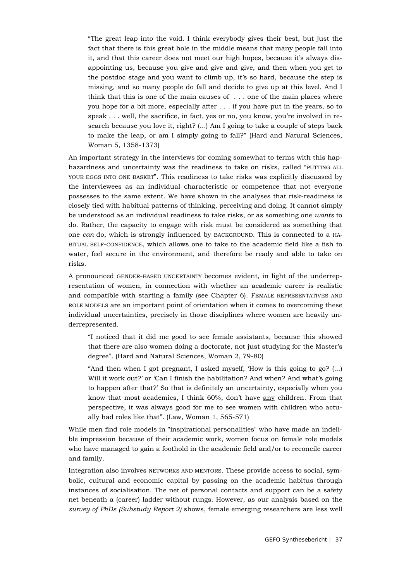"The great leap into the void. I think everybody gives their best, but just the fact that there is this great hole in the middle means that many people fall into it, and that this career does not meet our high hopes, because it's always disappointing us, because you give and give and give, and then when you get to the postdoc stage and you want to climb up, it's so hard, because the step is missing, and so many people do fall and decide to give up at this level. And I think that this is one of the main causes of . . . one of the main places where you hope for a bit more, especially after . . . if you have put in the years, so to speak . . . well, the sacrifice, in fact, yes or no, you know, you're involved in research because you love it, right? (...) Am I going to take a couple of steps back to make the leap, or am I simply going to fall?" (Hard and Natural Sciences, Woman 5, 1358-1373)

An important strategy in the interviews for coming somewhat to terms with this haphazardness and uncertainty was the readiness to take on risks, called "PUTTING ALL YOUR EGGS INTO ONE BASKET". This readiness to take risks was explicitly discussed by the interviewees as an individual characteristic or competence that not everyone possesses to the same extent. We have shown in the analyses that risk-readiness is closely tied with habitual patterns of thinking, perceiving and doing. It cannot simply be understood as an individual readiness to take risks, or as something one *wants* to do. Rather, the capacity to engage with risk must be considered as something that one *can* do, which is strongly influenced by BACKGROUND. This is connected to a HA-BITUAL SELF-CONFIDENCE, which allows one to take to the academic field like a fish to water, feel secure in the environment, and therefore be ready and able to take on risks.

A pronounced GENDER-BASED UNCERTAINTY becomes evident, in light of the underrepresentation of women, in connection with whether an academic career is realistic and compatible with starting a family (see Chapter 6). FEMALE REPRESENTATIVES AND ROLE MODELS are an important point of orientation when it comes to overcoming these individual uncertainties, precisely in those disciplines where women are heavily underrepresented.

"I noticed that it did me good to see female assistants, because this showed that there are also women doing a doctorate, not just studying for the Master's degree". (Hard and Natural Sciences, Woman 2, 79-80)

"And then when I got pregnant, I asked myself, 'How is this going to go? (...) Will it work out?' or 'Can I finish the habilitation? And when? And what's going to happen after that?' So that is definitely an uncertainty, especially when you know that most academics, I think 60%, don't have any children. From that perspective, it was always good for me to see women with children who actually had roles like that". (Law, Woman 1, 565-571)

While men find role models in "inspirational personalities" who have made an indelible impression because of their academic work, women focus on female role models who have managed to gain a foothold in the academic field and/or to reconcile career and family.

Integration also involves NETWORKS AND MENTORS. These provide access to social, symbolic, cultural and economic capital by passing on the academic habitus through instances of socialisation. The net of personal contacts and support can be a safety net beneath a (career) ladder without rungs. However, as our analysis based on the *survey of PhDs (Substudy Report 2)* shows, female emerging researchers are less well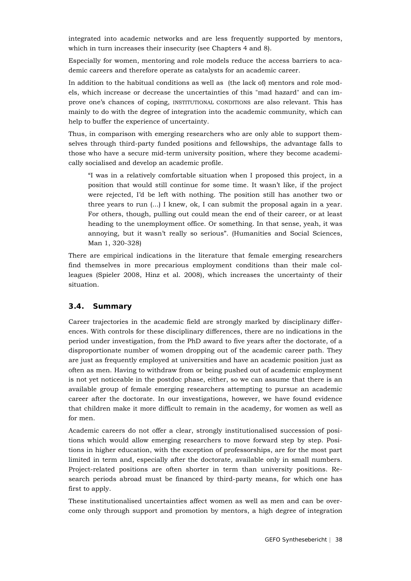integrated into academic networks and are less frequently supported by mentors, which in turn increases their insecurity (see Chapters 4 and 8).

Especially for women, mentoring and role models reduce the access barriers to academic careers and therefore operate as catalysts for an academic career.

In addition to the habitual conditions as well as (the lack of) mentors and role models, which increase or decrease the uncertainties of this "mad hazard" and can improve one's chances of coping, INSTITUTIONAL CONDITIONS are also relevant. This has mainly to do with the degree of integration into the academic community, which can help to buffer the experience of uncertainty.

Thus, in comparison with emerging researchers who are only able to support themselves through third-party funded positions and fellowships, the advantage falls to those who have a secure mid-term university position, where they become academically socialised and develop an academic profile.

"I was in a relatively comfortable situation when I proposed this project, in a position that would still continue for some time. It wasn't like, if the project were rejected, I'd be left with nothing. The position still has another two or three years to run (...) I knew, ok, I can submit the proposal again in a year. For others, though, pulling out could mean the end of their career, or at least heading to the unemployment office. Or something. In that sense, yeah, it was annoying, but it wasn't really so serious". (Humanities and Social Sciences, Man 1, 320-328)

There are empirical indications in the literature that female emerging researchers find themselves in more precarious employment conditions than their male colleagues (Spieler 2008, Hinz et al. 2008), which increases the uncertainty of their situation.

### **3.4. Summary**

Career trajectories in the academic field are strongly marked by disciplinary differences. With controls for these disciplinary differences, there are no indications in the period under investigation, from the PhD award to five years after the doctorate, of a disproportionate number of women dropping out of the academic career path. They are just as frequently employed at universities and have an academic position just as often as men. Having to withdraw from or being pushed out of academic employment is not yet noticeable in the postdoc phase, either, so we can assume that there is an available group of female emerging researchers attempting to pursue an academic career after the doctorate. In our investigations, however, we have found evidence that children make it more difficult to remain in the academy, for women as well as for men.

Academic careers do not offer a clear, strongly institutionalised succession of positions which would allow emerging researchers to move forward step by step. Positions in higher education, with the exception of professorships, are for the most part limited in term and, especially after the doctorate, available only in small numbers. Project-related positions are often shorter in term than university positions. Research periods abroad must be financed by third-party means, for which one has first to apply.

These institutionalised uncertainties affect women as well as men and can be overcome only through support and promotion by mentors, a high degree of integration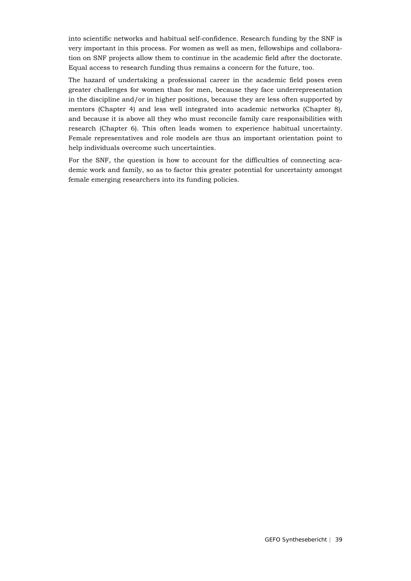into scientific networks and habitual self-confidence. Research funding by the SNF is very important in this process. For women as well as men, fellowships and collaboration on SNF projects allow them to continue in the academic field after the doctorate. Equal access to research funding thus remains a concern for the future, too.

The hazard of undertaking a professional career in the academic field poses even greater challenges for women than for men, because they face underrepresentation in the discipline and/or in higher positions, because they are less often supported by mentors (Chapter 4) and less well integrated into academic networks (Chapter 8), and because it is above all they who must reconcile family care responsibilities with research (Chapter 6). This often leads women to experience habitual uncertainty. Female representatives and role models are thus an important orientation point to help individuals overcome such uncertainties.

For the SNF, the question is how to account for the difficulties of connecting academic work and family, so as to factor this greater potential for uncertainty amongst female emerging researchers into its funding policies.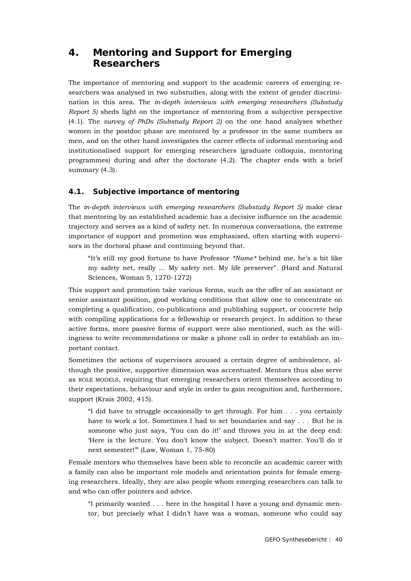# **4. Mentoring and Support for Emerging Researchers**

The importance of mentoring and support to the academic careers of emerging researchers was analysed in two substudies, along with the extent of gender discrimination in this area. The *in-depth interviews with emerging researchers (Substudy Report 5)* sheds light on the importance of mentoring from a subjective perspective (4.1). The *survey of PhDs (Substudy Report 2)* on the one hand analyses whether women in the postdoc phase are mentored by a professor in the same numbers as men, and on the other hand investigates the career effects of informal mentoring and institutionalised support for emerging researchers (graduate colloquia, mentoring programmes) during and after the doctorate (4.2). The chapter ends with a brief summary (4.3).

# **4.1. Subjective importance of mentoring**

The *in-depth interviews with emerging researchers (Substudy Report 5)* make clear that mentoring by an established academic has a decisive influence on the academic trajectory and serves as a kind of safety net. In numerous conversations, the extreme importance of support and promotion was emphasised, often starting with supervisors in the doctoral phase and continuing beyond that.

"It's still my good fortune to have Professor *\*Name\** behind me, he's a bit like my safety net, really ... My safety net. My life preserver". (Hard and Natural Sciences, Woman 5, 1270-1272)

This support and promotion take various forms, such as the offer of an assistant or senior assistant position, good working conditions that allow one to concentrate on completing a qualification, co-publications and publishing support, or concrete help with compiling applications for a fellowship or research project. In addition to these active forms, more passive forms of support were also mentioned, such as the willingness to write recommendations or make a phone call in order to establish an important contact.

Sometimes the actions of supervisors aroused a certain degree of ambivalence, although the positive, supportive dimension was accentuated. Mentors thus also serve as ROLE MODELS, requiring that emerging researchers orient themselves according to their expectations, behaviour and style in order to gain recognition and, furthermore, support (Krais 2002, 415).

"I did have to struggle occasionally to get through. For him . . . you certainly have to work a lot. Sometimes I had to set boundaries and say . . . But he is someone who just says, 'You can do it!' and throws you in at the deep end: 'Here is the lecture. You don't know the subject. Doesn't matter. You'll do it next semester!'" (Law, Woman 1, 75-80)

Female mentors who themselves have been able to reconcile an academic career with a family can also be important role models and orientation points for female emerging researchers. Ideally, they are also people whom emerging researchers can talk to and who can offer pointers and advice.

"I primarily wanted . . . here in the hospital I have a young and dynamic mentor, but precisely what I didn't have was a woman, someone who could say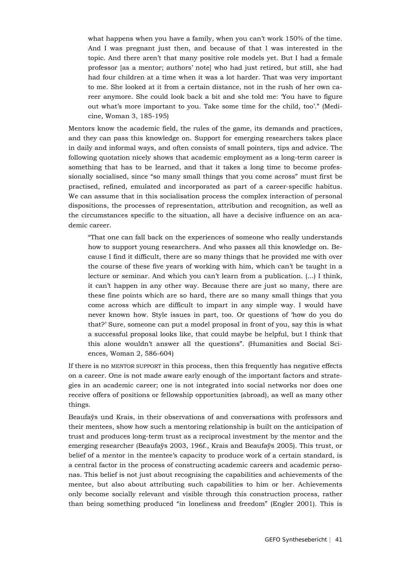what happens when you have a family, when you can't work 150% of the time. And I was pregnant just then, and because of that I was interested in the topic. And there aren't that many positive role models yet. But I had a female professor [as a mentor; authors' note] who had just retired, but still, she had had four children at a time when it was a lot harder. That was very important to me. She looked at it from a certain distance, not in the rush of her own career anymore. She could look back a bit and she told me: 'You have to figure out what's more important to you. Take some time for the child, too'." (Medicine, Woman 3, 185-195)

Mentors know the academic field, the rules of the game, its demands and practices, and they can pass this knowledge on. Support for emerging researchers takes place in daily and informal ways, and often consists of small pointers, tips and advice. The following quotation nicely shows that academic employment as a long-term career is something that has to be learned, and that it takes a long time to become professionally socialised, since "so many small things that you come across" must first be practised, refined, emulated and incorporated as part of a career-specific habitus. We can assume that in this socialisation process the complex interaction of personal dispositions, the processes of representation, attribution and recognition, as well as the circumstances specific to the situation, all have a decisive influence on an academic career.

"That one can fall back on the experiences of someone who really understands how to support young researchers. And who passes all this knowledge on. Because I find it difficult, there are so many things that he provided me with over the course of these five years of working with him, which can't be taught in a lecture or seminar. And which you can't learn from a publication. (...) I think, it can't happen in any other way. Because there are just so many, there are these fine points which are so hard, there are so many small things that you come across which are difficult to impart in any simple way. I would have never known how. Style issues in part, too. Or questions of 'how do you do that?' Sure, someone can put a model proposal in front of you, say this is what a successful proposal looks like, that could maybe be helpful, but I think that this alone wouldn't answer all the questions". (Humanities and Social Sciences, Woman 2, 586-604)

If there is no MENTOR SUPPORT in this process, then this frequently has negative effects on a career. One is not made aware early enough of the important factors and strategies in an academic career; one is not integrated into social networks nor does one receive offers of positions or fellowship opportunities (abroad), as well as many other things.

Beaufaÿs und Krais, in their observations of and conversations with professors and their mentees, show how such a mentoring relationship is built on the anticipation of trust and produces long-term trust as a reciprocal investment by the mentor and the emerging researcher (Beaufaÿs 2003, 196f., Krais and Beaufaÿs 2005). This trust, or belief of a mentor in the mentee's capacity to produce work of a certain standard, is a central factor in the process of constructing academic careers and academic personas. This belief is not just about recognising the capabilities and achievements of the mentee, but also about attributing such capabilities to him or her. Achievements only become socially relevant and visible through this construction process, rather than being something produced "in loneliness and freedom" (Engler 2001). This is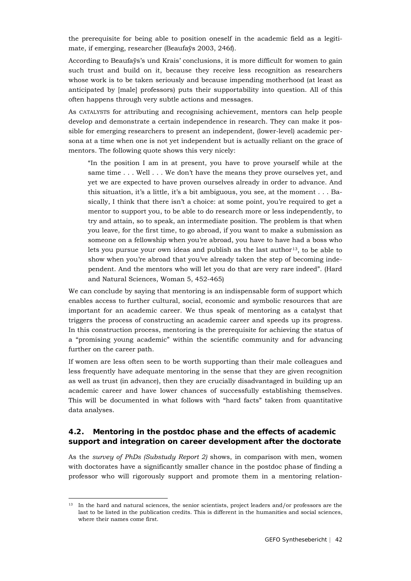the prerequisite for being able to position oneself in the academic field as a legitimate, if emerging, researcher (Beaufaÿs 2003, 246f).

According to Beaufaÿs's und Krais' conclusions, it is more difficult for women to gain such trust and build on it, because they receive less recognition as researchers whose work is to be taken seriously and because impending motherhood (at least as anticipated by [male] professors) puts their supportability into question. All of this often happens through very subtle actions and messages.

As CATALYSTS for attributing and recognising achievement, mentors can help people develop and demonstrate a certain independence in research. They can make it possible for emerging researchers to present an independent, (lower-level) academic persona at a time when one is not yet independent but is actually reliant on the grace of mentors. The following quote shows this very nicely:

"In the position I am in at present, you have to prove yourself while at the same time . . . Well . . . We don't have the means they prove ourselves yet, and yet we are expected to have proven ourselves already in order to advance. And this situation, it's a little, it's a bit ambiguous, you see, at the moment . . . Basically, I think that there isn't a choice: at some point, you're required to get a mentor to support you, to be able to do research more or less independently, to try and attain, so to speak, an intermediate position. The problem is that when you leave, for the first time, to go abroad, if you want to make a submission as someone on a fellowship when you're abroad, you have to have had a boss who lets you pursue your own ideas and publish as the last author<sup>[13](#page-41-0)</sup>, to be able to show when you're abroad that you've already taken the step of becoming independent. And the mentors who will let you do that are very rare indeed". (Hard and Natural Sciences, Woman 5, 452-465)

We can conclude by saying that mentoring is an indispensable form of support which enables access to further cultural, social, economic and symbolic resources that are important for an academic career. We thus speak of mentoring as a catalyst that triggers the process of constructing an academic career and speeds up its progress. In this construction process, mentoring is the prerequisite for achieving the status of a "promising young academic" within the scientific community and for advancing further on the career path.

If women are less often seen to be worth supporting than their male colleagues and less frequently have adequate mentoring in the sense that they are given recognition as well as trust (in advance), then they are crucially disadvantaged in building up an academic career and have lower chances of successfully establishing themselves. This will be documented in what follows with "hard facts" taken from quantitative data analyses.

## **4.2. Mentoring in the postdoc phase and the effects of academic support and integration on career development after the doctorate**

As the *survey of PhDs (Substudy Report 2)* shows, in comparison with men, women with doctorates have a significantly smaller chance in the postdoc phase of finding a professor who will rigorously support and promote them in a mentoring relation-

<span id="page-41-0"></span><sup>&</sup>lt;sup>13</sup> In the hard and natural sciences, the senior scientists, project leaders and/or professors are the last to be listed in the publication credits. This is different in the humanities and social sciences, where their names come first.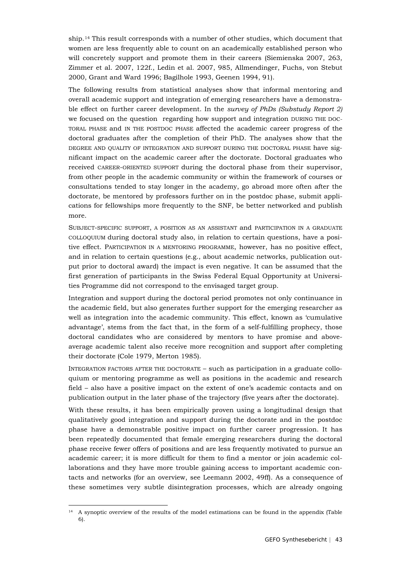ship.[14](#page-42-0) This result corresponds with a number of other studies, which document that women are less frequently able to count on an academically established person who will concretely support and promote them in their careers (Siemienska 2007, 263, Zimmer et al. 2007, 122f., Ledin et al. 2007, 985, Allmendinger, Fuchs, von Stebut 2000, Grant and Ward 1996; Bagilhole 1993, Geenen 1994, 91).

The following results from statistical analyses show that informal mentoring and overall academic support and integration of emerging researchers have a demonstrable effect on further career development. In the *survey of PhDs (Substudy Report 2)* we focused on the question regarding how support and integration DURING THE DOC-TORAL PHASE and IN THE POSTDOC PHASE affected the academic career progress of the doctoral graduates after the completion of their PhD. The analyses show that the DEGREE AND QUALITY OF INTEGRATION AND SUPPORT DURING THE DOCTORAL PHASE have significant impact on the academic career after the doctorate. Doctoral graduates who received CAREER-ORIENTED SUPPORT during the doctoral phase from their supervisor, from other people in the academic community or within the framework of courses or consultations tended to stay longer in the academy, go abroad more often after the doctorate, be mentored by professors further on in the postdoc phase, submit applications for fellowships more frequently to the SNF, be better networked and publish more.

SUBJECT-SPECIFIC SUPPORT, A POSITION AS AN ASSISTANT and PARTICIPATION IN A GRADUATE COLLOQUIUM during doctoral study also, in relation to certain questions, have a positive effect. PARTICIPATION IN A MENTORING PROGRAMME, however, has no positive effect, and in relation to certain questions (e.g., about academic networks, publication output prior to doctoral award) the impact is even negative. It can be assumed that the first generation of participants in the Swiss Federal Equal Opportunity at Universities Programme did not correspond to the envisaged target group.

Integration and support during the doctoral period promotes not only continuance in the academic field, but also generates further support for the emerging researcher as well as integration into the academic community. This effect, known as 'cumulative advantage', stems from the fact that, in the form of a self-fulfilling prophecy, those doctoral candidates who are considered by mentors to have promise and aboveaverage academic talent also receive more recognition and support after completing their doctorate (Cole 1979, Merton 1985).

INTEGRATION FACTORS AFTER THE DOCTORATE – such as participation in a graduate colloquium or mentoring programme as well as positions in the academic and research field – also have a positive impact on the extent of one's academic contacts and on publication output in the later phase of the trajectory (five years after the doctorate).

With these results, it has been empirically proven using a longitudinal design that qualitatively good integration and support during the doctorate and in the postdoc phase have a demonstrable positive impact on further career progression. It has been repeatedly documented that female emerging researchers during the doctoral phase receive fewer offers of positions and are less frequently motivated to pursue an academic career; it is more difficult for them to find a mentor or join academic collaborations and they have more trouble gaining access to important academic contacts and networks (for an overview, see Leemann 2002, 49ff). As a consequence of these sometimes very subtle disintegration processes, which are already ongoing

<span id="page-42-0"></span><sup>&</sup>lt;sup>14</sup> A synoptic overview of the results of the model estimations can be found in the appendix (Table 6).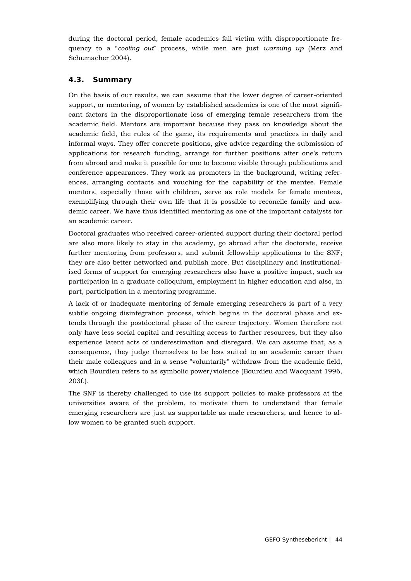during the doctoral period, female academics fall victim with disproportionate frequency to a "*cooling out*" process, while men are just *warming up* (Merz and Schumacher 2004).

## **4.3. Summary**

On the basis of our results, we can assume that the lower degree of career-oriented support, or mentoring, of women by established academics is one of the most significant factors in the disproportionate loss of emerging female researchers from the academic field. Mentors are important because they pass on knowledge about the academic field, the rules of the game, its requirements and practices in daily and informal ways. They offer concrete positions, give advice regarding the submission of applications for research funding, arrange for further positions after one's return from abroad and make it possible for one to become visible through publications and conference appearances. They work as promoters in the background, writing references, arranging contacts and vouching for the capability of the mentee. Female mentors, especially those with children, serve as role models for female mentees, exemplifying through their own life that it is possible to reconcile family and academic career. We have thus identified mentoring as one of the important catalysts for an academic career.

Doctoral graduates who received career-oriented support during their doctoral period are also more likely to stay in the academy, go abroad after the doctorate, receive further mentoring from professors, and submit fellowship applications to the SNF; they are also better networked and publish more. But disciplinary and institutionalised forms of support for emerging researchers also have a positive impact, such as participation in a graduate colloquium, employment in higher education and also, in part, participation in a mentoring programme.

A lack of or inadequate mentoring of female emerging researchers is part of a very subtle ongoing disintegration process, which begins in the doctoral phase and extends through the postdoctoral phase of the career trajectory. Women therefore not only have less social capital and resulting access to further resources, but they also experience latent acts of underestimation and disregard. We can assume that, as a consequence, they judge themselves to be less suited to an academic career than their male colleagues and in a sense "voluntarily" withdraw from the academic field, which Bourdieu refers to as symbolic power/violence (Bourdieu and Wacquant 1996, 203f.).

The SNF is thereby challenged to use its support policies to make professors at the universities aware of the problem, to motivate them to understand that female emerging researchers are just as supportable as male researchers, and hence to allow women to be granted such support.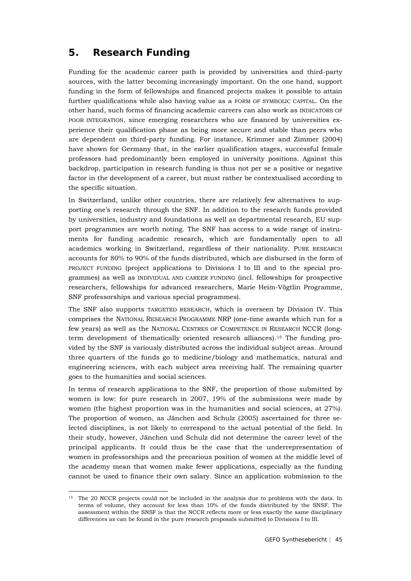# **5. Research Funding**

Funding for the academic career path is provided by universities and third-party sources, with the latter becoming increasingly important. On the one hand, support funding in the form of fellowships and financed projects makes it possible to attain further qualifications while also having value as a FORM OF SYMBOLIC CAPITAL. On the other hand, such forms of financing academic careers can also work as INDICATORS OF POOR INTEGRATION, since emerging researchers who are financed by universities experience their qualification phase as being more secure and stable than peers who are dependent on third-party funding. For instance, Krimmer and Zimmer (2004) have shown for Germany that, in the earlier qualification stages, successful female professors had predominantly been employed in university positions. Against this backdrop, participation in research funding is thus not per se a positive or negative factor in the development of a career, but must rather be contextualised according to the specific situation.

In Switzerland, unlike other countries, there are relatively few alternatives to supporting one's research through the SNF. In addition to the research funds provided by universities, industry and foundations as well as departmental research, EU support programmes are worth noting. The SNF has access to a wide range of instruments for funding academic research, which are fundamentally open to all academics working in Switzerland, regardless of their nationality. PURE RESEARCH accounts for 80% to 90% of the funds distributed, which are disbursed in the form of PROJECT FUNDING (project applications to Divisions I to III and to the special programmes) as well as INDIVIDUAL AND CAREER FUNDING (incl. fellowships for prospective researchers, fellowships for advanced researchers, Marie Heim-Vögtlin Programme, SNF professorships and various special programmes).

The SNF also supports TARGETED RESEARCH, which is overseen by Division IV. This comprises the NATIONAL RESEARCH PROGRAMME NRP (one-time awards which run for a few years) as well as the NATIONAL CENTRES OF COMPETENCE IN RESEARCH NCCR (long-term development of thematically oriented research alliances).<sup>[15](#page-44-0)</sup> The funding provided by the SNF is variously distributed across the individual subject areas. Around three quarters of the funds go to medicine/biology and mathematics, natural and engineering sciences, with each subject area receiving half. The remaining quarter goes to the humanities and social sciences.

In terms of research applications to the SNF, the proportion of those submitted by women is low: for pure research in 2007, 19% of the submissions were made by women (the highest proportion was in the humanities and social sciences, at 27%). The proportion of women, as Jänchen and Schulz (2005) ascertained for three selected disciplines, is not likely to correspond to the actual potential of the field. In their study, however, Jänchen und Schulz did not determine the career level of the principal applicants. It could thus be the case that the underrepresentation of women in professorships and the precarious position of women at the middle level of the academy mean that women make fewer applications, especially as the funding cannot be used to finance their own salary. Since an application submission to the

<span id="page-44-0"></span><sup>&</sup>lt;sup>15</sup> The 20 NCCR projects could not be included in the analysis due to problems with the data. In terms of volume, they account for less than 10% of the funds distributed by the SNSF. The assessment within the SNSF is that the NCCR reflects more or less exactly the same disciplinary differences as can be found in the pure research proposals submitted to Divisions I to III.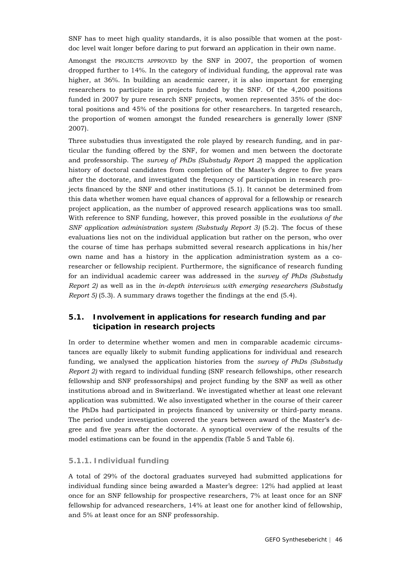SNF has to meet high quality standards, it is also possible that women at the postdoc level wait longer before daring to put forward an application in their own name.

Amongst the PROJECTS APPROVED by the SNF in 2007, the proportion of women dropped further to 14%. In the category of individual funding, the approval rate was higher, at 36%. In building an academic career, it is also important for emerging researchers to participate in projects funded by the SNF. Of the 4,200 positions funded in 2007 by pure research SNF projects, women represented 35% of the doctoral positions and 45% of the positions for other researchers. In targeted research, the proportion of women amongst the funded researchers is generally lower (SNF 2007).

Three substudies thus investigated the role played by research funding, and in particular the funding offered by the SNF, for women and men between the doctorate and professorship. The *survey of PhDs (Substudy Report 2*) mapped the application history of doctoral candidates from completion of the Master's degree to five years after the doctorate, and investigated the frequency of participation in research projects financed by the SNF and other institutions (5.1). It cannot be determined from this data whether women have equal chances of approval for a fellowship or research project application, as the number of approved research applications was too small. With reference to SNF funding, however, this proved possible in the *evalutions of the SNF application administration system (Substudy Report 3)* (5.2). The focus of these evaluations lies not on the individual application but rather on the person, who over the course of time has perhaps submitted several research applications in his/her own name and has a history in the application administration system as a coresearcher or fellowship recipient. Furthermore, the significance of research funding for an individual academic career was addressed in the *survey of PhDs (Substudy Report 2)* as well as in the *in-depth interviews with emerging researchers (Substudy Report 5)* (5.3). A summary draws together the findings at the end (5.4).

# **5.1. Involvement in applications for research funding and par ticipation in research projects**

In order to determine whether women and men in comparable academic circumstances are equally likely to submit funding applications for individual and research funding, we analysed the application histories from the *survey of PhDs (Substudy Report 2)* with regard to individual funding (SNF research fellowships, other research fellowship and SNF professorships) and project funding by the SNF as well as other institutions abroad and in Switzerland*.* We investigated whether at least one relevant application was submitted. We also investigated whether in the course of their career the PhDs had participated in projects financed by university or third-party means. The period under investigation covered the years between award of the Master's degree and five years after the doctorate. A synoptical overview of the results of the model estimations can be found in the appendix (Table 5 and Table 6).

#### **5.1.1. Individual funding**

A total of 29% of the doctoral graduates surveyed had submitted applications for individual funding since being awarded a Master's degree: 12% had applied at least once for an SNF fellowship for prospective researchers, 7% at least once for an SNF fellowship for advanced researchers, 14% at least one for another kind of fellowship, and 5% at least once for an SNF professorship.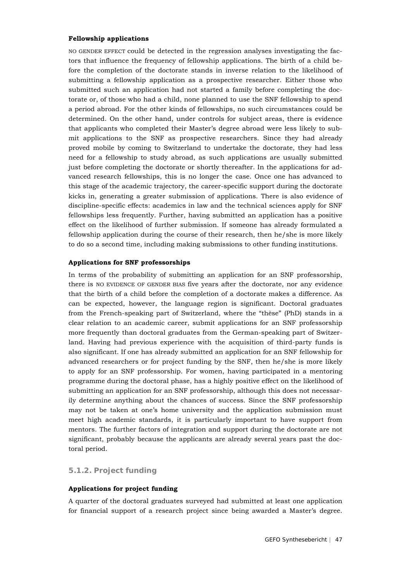#### **Fellowship applications**

NO GENDER EFFECT could be detected in the regression analyses investigating the factors that influence the frequency of fellowship applications. The birth of a child before the completion of the doctorate stands in inverse relation to the likelihood of submitting a fellowship application as a prospective researcher. Either those who submitted such an application had not started a family before completing the doctorate or, of those who had a child, none planned to use the SNF fellowship to spend a period abroad. For the other kinds of fellowships, no such circumstances could be determined. On the other hand, under controls for subject areas, there is evidence that applicants who completed their Master's degree abroad were less likely to submit applications to the SNF as prospective researchers. Since they had already proved mobile by coming to Switzerland to undertake the doctorate, they had less need for a fellowship to study abroad, as such applications are usually submitted just before completing the doctorate or shortly thereafter. In the applications for advanced research fellowships, this is no longer the case. Once one has advanced to this stage of the academic trajectory, the career-specific support during the doctorate kicks in, generating a greater submission of applications. There is also evidence of discipline-specific effects: academics in law and the technical sciences apply for SNF fellowships less frequently. Further, having submitted an application has a positive effect on the likelihood of further submission. If someone has already formulated a fellowship application during the course of their research, then he/she is more likely to do so a second time, including making submissions to other funding institutions.

### **Applications for SNF professorships**

In terms of the probability of submitting an application for an SNF professorship, there is NO EVIDENCE OF GENDER BIAS five years after the doctorate, nor any evidence that the birth of a child before the completion of a doctorate makes a difference. As can be expected, however, the language region is significant. Doctoral graduates from the French-speaking part of Switzerland, where the "thèse" (PhD) stands in a clear relation to an academic career, submit applications for an SNF professorship more frequently than doctoral graduates from the German-speaking part of Switzerland. Having had previous experience with the acquisition of third-party funds is also significant. If one has already submitted an application for an SNF fellowship for advanced researchers or for project funding by the SNF, then he/she is more likely to apply for an SNF professorship. For women, having participated in a mentoring programme during the doctoral phase, has a highly positive effect on the likelihood of submitting an application for an SNF professorship, although this does not necessarily determine anything about the chances of success. Since the SNF professorship may not be taken at one's home university and the application submission must meet high academic standards, it is particularly important to have support from mentors. The further factors of integration and support during the doctorate are not significant, probably because the applicants are already several years past the doctoral period.

### **5.1.2. Project funding**

#### **Applications for project funding**

A quarter of the doctoral graduates surveyed had submitted at least one application for financial support of a research project since being awarded a Master's degree.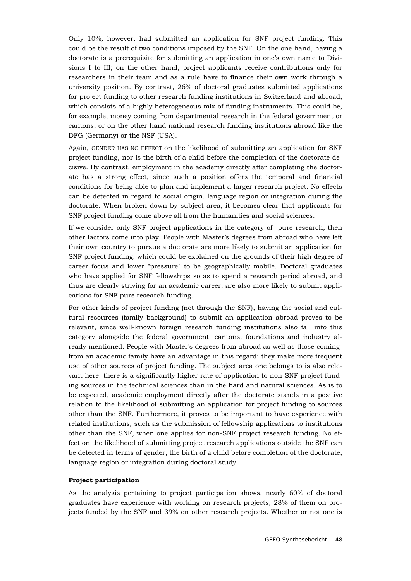Only 10%, however, had submitted an application for SNF project funding. This could be the result of two conditions imposed by the SNF. On the one hand, having a doctorate is a prerequisite for submitting an application in one's own name to Divisions I to III; on the other hand, project applicants receive contributions only for researchers in their team and as a rule have to finance their own work through a university position. By contrast, 26% of doctoral graduates submitted applications for project funding to other research funding institutions in Switzerland and abroad, which consists of a highly heterogeneous mix of funding instruments. This could be, for example, money coming from departmental research in the federal government or cantons, or on the other hand national research funding institutions abroad like the DFG (Germany) or the NSF (USA).

Again, GENDER HAS NO EFFECT on the likelihood of submitting an application for SNF project funding, nor is the birth of a child before the completion of the doctorate decisive. By contrast, employment in the academy directly after completing the doctorate has a strong effect, since such a position offers the temporal and financial conditions for being able to plan and implement a larger research project. No effects can be detected in regard to social origin, language region or integration during the doctorate. When broken down by subject area, it becomes clear that applicants for SNF project funding come above all from the humanities and social sciences.

If we consider only SNF project applications in the category of pure research, then other factors come into play. People with Master's degrees from abroad who have left their own country to pursue a doctorate are more likely to submit an application for SNF project funding, which could be explained on the grounds of their high degree of career focus and lower "pressure" to be geographically mobile. Doctoral graduates who have applied for SNF fellowships so as to spend a research period abroad, and thus are clearly striving for an academic career, are also more likely to submit applications for SNF pure research funding.

For other kinds of project funding (not through the SNF), having the social and cultural resources (family background) to submit an application abroad proves to be relevant, since well-known foreign research funding institutions also fall into this category alongside the federal government, cantons, foundations and industry already mentioned. People with Master's degrees from abroad as well as those comingfrom an academic family have an advantage in this regard; they make more frequent use of other sources of project funding. The subject area one belongs to is also relevant here: there is a significantly higher rate of application to non-SNF project funding sources in the technical sciences than in the hard and natural sciences. As is to be expected, academic employment directly after the doctorate stands in a positive relation to the likelihood of submitting an application for project funding to sources other than the SNF. Furthermore, it proves to be important to have experience with related institutions, such as the submission of fellowship applications to institutions other than the SNF, when one applies for non-SNF project research funding. No effect on the likelihood of submitting project research applications outside the SNF can be detected in terms of gender, the birth of a child before completion of the doctorate, language region or integration during doctoral study.

#### **Project participation**

As the analysis pertaining to project participation shows, nearly 60% of doctoral graduates have experience with working on research projects, 28% of them on projects funded by the SNF and 39% on other research projects. Whether or not one is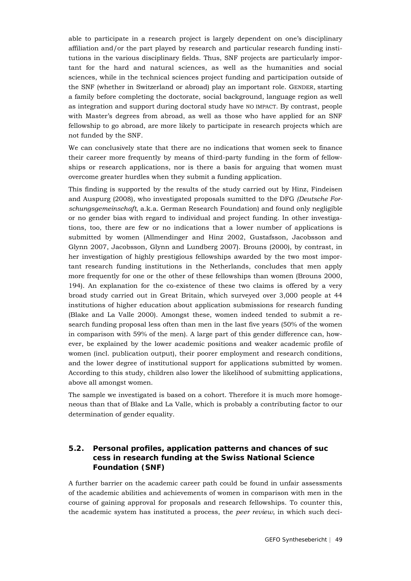able to participate in a research project is largely dependent on one's disciplinary affiliation and/or the part played by research and particular research funding institutions in the various disciplinary fields. Thus, SNF projects are particularly important for the hard and natural sciences, as well as the humanities and social sciences, while in the technical sciences project funding and participation outside of the SNF (whether in Switzerland or abroad) play an important role. GENDER, starting a family before completing the doctorate, social background, language region as well as integration and support during doctoral study have NO IMPACT. By contrast, people with Master's degrees from abroad, as well as those who have applied for an SNF fellowship to go abroad, are more likely to participate in research projects which are not funded by the SNF.

We can conclusively state that there are no indications that women seek to finance their career more frequently by means of third-party funding in the form of fellowships or research applications, nor is there a basis for arguing that women must overcome greater hurdles when they submit a funding application.

This finding is supported by the results of the study carried out by Hinz, Findeisen and Auspurg (2008), who investigated proposals sumitted to the DFG *(Deutsche Forschungsgemeinschaft*, a.k.a. German Research Foundation) and found only negligible or no gender bias with regard to individual and project funding. In other investigations, too, there are few or no indications that a lower number of applications is submitted by women (Allmendinger and Hinz 2002, Gustafsson, Jacobsson and Glynn 2007, Jacobsson, Glynn and Lundberg 2007). Brouns (2000), by contrast, in her investigation of highly prestigious fellowships awarded by the two most important research funding institutions in the Netherlands, concludes that men apply more frequently for one or the other of these fellowships than women (Brouns 2000, 194). An explanation for the co-existence of these two claims is offered by a very broad study carried out in Great Britain, which surveyed over 3,000 people at 44 institutions of higher education about application submissions for research funding (Blake and La Valle 2000). Amongst these, women indeed tended to submit a research funding proposal less often than men in the last five years (50% of the women in comparison with 59% of the men). A large part of this gender difference can, however, be explained by the lower academic positions and weaker academic profile of women (incl. publication output), their poorer employment and research conditions, and the lower degree of institutional support for applications submitted by women. According to this study, children also lower the likelihood of submitting applications, above all amongst women.

The sample we investigated is based on a cohort. Therefore it is much more homogeneous than that of Blake and La Valle, which is probably a contributing factor to our determination of gender equality.

# **5.2. Personal profiles, application patterns and chances of suc cess in research funding at the Swiss National Science Foundation (SNF)**

A further barrier on the academic career path could be found in unfair assessments of the academic abilities and achievements of women in comparison with men in the course of gaining approval for proposals and research fellowships. To counter this, the academic system has instituted a process, the *peer review*, in which such deci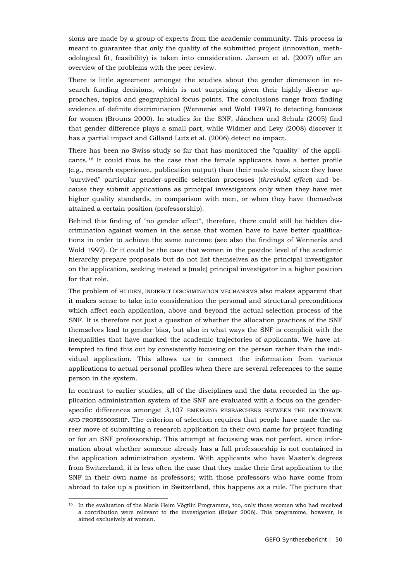sions are made by a group of experts from the academic community. This process is meant to guarantee that only the quality of the submitted project (innovation, methodological fit, feasibility) is taken into consideration. Jansen et al. (2007) offer an overview of the problems with the peer review.

There is little agreement amongst the studies about the gender dimension in research funding decisions, which is not surprising given their highly diverse approaches, topics and geographical focus points. The conclusions range from finding evidence of definite discrimination (Wennerås and Wold 1997) to detecting bonuses for women (Brouns 2000). In studies for the SNF, Jänchen und Schulz (2005) find that gender difference plays a small part, while Widmer and Levy (2008) discover it has a partial impact and Gilland Lutz et al. (2006) detect no impact.

There has been no Swiss study so far that has monitored the "quality" of the applicants.[16](#page-49-0) It could thus be the case that the female applicants have a better profile (e.g., research experience, publication output) than their male rivals, since they have "survived" particular gender-specific selection processes (*threshold effect*) and because they submit applications as principal investigators only when they have met higher quality standards, in comparison with men, or when they have themselves attained a certain position (professorship).

Behind this finding of "no gender effect", therefore, there could still be hidden discrimination against women in the sense that women have to have better qualifications in order to achieve the same outcome (see also the findings of Wennerås and Wold 1997). Or it could be the case that women in the postdoc level of the academic hierarchy prepare proposals but do not list themselves as the principal investigator on the application, seeking instead a (male) principal investigator in a higher position for that role.

The problem of HIDDEN, INDIRECT DISCRIMINATION MECHANISMS also makes apparent that it makes sense to take into consideration the personal and structural preconditions which affect each application, above and beyond the actual selection process of the SNF. It is therefore not just a question of whether the allocation practices of the SNF themselves lead to gender bias, but also in what ways the SNF is complicit with the inequalities that have marked the academic trajectories of applicants. We have attempted to find this out by consistently focusing on the person rather than the individual application. This allows us to connect the information from various applications to actual personal profiles when there are several references to the same person in the system.

In contrast to earlier studies, all of the disciplines and the data recorded in the application administration system of the SNF are evaluated with a focus on the genderspecific differences amongst 3,107 EMERGING RESEARCHERS BETWEEN THE DOCTORATE AND PROFESSORSHIP. The criterion of selection requires that people have made the career move of submitting a research application in their own name for project funding or for an SNF professorship. This attempt at focussing was not perfect, since information about whether someone already has a full professorship is not contained in the application administration system. With applicants who have Master's degrees from Switzerland, it is less often the case that they make their first application to the SNF in their own name as professors; with those professors who have come from abroad to take up a position in Switzerland, this happens as a rule. The picture that

<span id="page-49-0"></span><sup>&</sup>lt;sup>16</sup> In the evaluation of the Marie Heim Vögtlin Programme, too, only those women who had received a contribution were relevant to the investigation (Belser 2006). This programme, however, is aimed exclusively at women.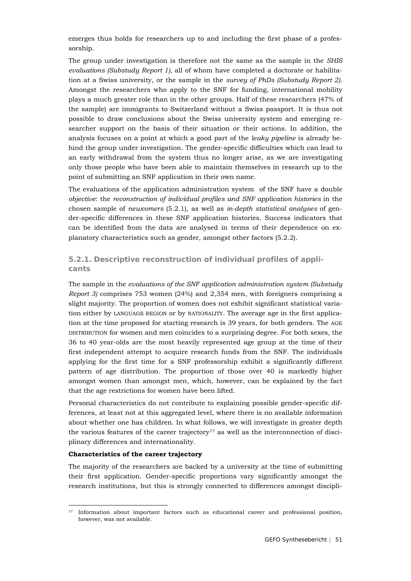emerges thus holds for researchers up to and including the first phase of a professorship.

The group under investigation is therefore not the same as the sample in the *SHIS evaluations (Substudy Report 1)*, all of whom have completed a doctorate or habilitation at a Swiss university, or the sample in the *survey of PhDs (Substudy Report 2)*. Amongst the researchers who apply to the SNF for funding, international mobility plays a much greater role than in the other groups. Half of these researchers (47% of the sample) are immigrants to Switzerland without a Swiss passport. It is thus not possible to draw conclusions about the Swiss university system and emerging researcher support on the basis of their situation or their actions. In addition, the analysis focuses on a point at which a good part of the *leaky pipeline* is already behind the group under investigation. The gender-specific difficulties which can lead to an early withdrawal from the system thus no longer arise, as we are investigating only those people who have been able to maintain themselves in research up to the point of submitting an SNF application in their own name.

The evaluations of the application administration system of the SNF have a double *objective*: the *reconstruction of individual profiles and SNF application histories* in the chosen sample of *newcomers* (5.2.1), as well as *in-depth statistical analyses* of gender-specific differences in these SNF application histories. Success indicators that can be identified from the data are analysed in terms of their dependence on explanatory characteristics such as gender, amongst other factors (5.2.2).

### **5.2.1. Descriptive reconstruction of individual profiles of applicants**

The sample in the *evaluations of the SNF application administration system (Substudy Report 3)* comprises 753 women (24%) and 2,354 men, with foreigners comprising a slight majority. The proportion of women does not exhibit significant statistical variation either by LANGUAGE REGION or by NATIONALITY. The average age in the first application at the time proposed for starting research is 39 years, for both genders. The AGE DISTRIBUTION for women and men coincides to a surprising degree. For both sexes, the 36 to 40 year-olds are the most heavily represented age group at the time of their first independent attempt to acquire research funds from the SNF. The individuals applying for the first time for a SNF professorship exhibit a significantly different pattern of age distribution. The proportion of those over 40 is markedly higher amongst women than amongst men, which, however, can be explained by the fact that the age restrictions for women have been lifted.

Personal characteristics do not contribute to explaining possible gender-specific differences, at least not at this aggregated level, where there is no available information about whether one has children. In what follows, we will investigate in greater depth the various features of the career trajectory<sup>[17](#page-50-0)</sup> as well as the interconnection of disciplinary differences and internationality.

#### **Characteristics of the career trajectory**

The majority of the researchers are backed by a university at the time of submitting their first application. Gender-specific proportions vary significantly amongst the research institutions, but this is strongly connected to differences amongst discipli-

<span id="page-50-0"></span><sup>&</sup>lt;sup>17</sup> Information about important factors such as educational career and professional position, however, was not available.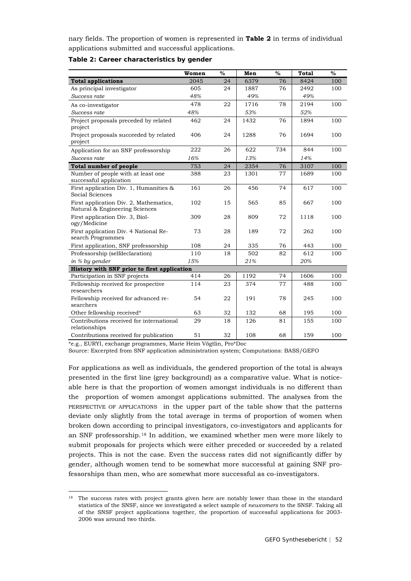nary fields. The proportion of women is represented in **Table 2** in terms of individual applications submitted and successful applications.

|                                                                          | Women | $\%$ | Men  | $\%$ | <b>Total</b> | $\%$ |
|--------------------------------------------------------------------------|-------|------|------|------|--------------|------|
| <b>Total applications</b>                                                | 2045  | 24   | 6379 | 76   | 8424         | 100  |
| As principal investigator                                                | 605   | 24   | 1887 | 76   | 2492         | 100  |
| Success rate                                                             | 48%   |      | 49%  |      | 49%          |      |
| As co-investigator                                                       | 478   | 22   | 1716 | 78   | 2194         | 100  |
| Success rate                                                             | 48%   |      | 53%  |      | 52%          |      |
| Project proposals preceded by related<br>project                         | 462   | 24   | 1432 | 76   | 1894         | 100  |
| Project proposals succeeded by related<br>project                        | 406   | 24   | 1288 | 76   | 1694         | 100  |
| Application for an SNF professorship                                     | 222   | 26   | 622  | 734  | 844          | 100  |
| Success rate                                                             | 16%   |      | 13%  |      | 14%          |      |
| <b>Total number of people</b>                                            | 753   | 24   | 2354 | 76   | 3107         | 100  |
| Number of people with at least one<br>successful application             | 388   | 23   | 1301 | 77   | 1689         | 100  |
| First application Div. 1, Humanities &<br>Social Sciences                | 161   | 26   | 456  | 74   | 617          | 100  |
| First application Div. 2, Mathematics,<br>Natural & Engineering Sciences | 102   | 15   | 565  | 85   | 667          | 100  |
| First application Div. 3, Biol-<br>ogy/Medicine                          | 309   | 28   | 809  | 72   | 1118         | 100  |
| First application Div. 4 National Re-<br>search Programmes               | 73    | 28   | 189  | 72   | 262          | 100  |
| First application, SNF professorship                                     | 108   | 24   | 335  | 76   | 443          | 100  |
| Professorship (selfdeclaration)                                          | 110   | 18   | 502  | 82   | 612          | 100  |
| in % by gender                                                           | 15%   |      | 21%  |      | 20%          |      |
| History with SNF prior to first application                              |       |      |      |      |              |      |
| Participation in SNF projects                                            | 414   | 26   | 1192 | 74   | 1606         | 100  |
| Fellowship received for prospective<br>researchers                       | 114   | 23   | 374  | 77   | 488          | 100  |
| Fellowship received for advanced re-<br>searchers                        | 54    | 22   | 191  | 78   | 245          | 100  |
| Other fellowship received*                                               | 63    | 32   | 132  | 68   | 195          | 100  |
| Contributions received for international<br>relationships                | 29    | 18   | 126  | 81   | 155          | 100  |
| Contributions received for publication                                   | 51    | 32   | 108  | 68   | 159          | 100  |

#### **Table 2: Career characteristics by gender**

\*e.g., EURYI, exchange programmes, Marie Heim Vögtlin, Pro\*Doc

Source: Excerpted from SNF application administration system; Computations: BASS/GEFO

For applications as well as individuals, the gendered proportion of the total is always presented in the first line (grey background) as a comparative value. What is noticeable here is that the proportion of women amongst individuals is no different than the proportion of women amongst applications submitted. The analyses from the PERSPECTIVE OF APPLICATIONS in the upper part of the table show that the patterns deviate only slightly from the total average in terms of proportion of women when broken down according to principal investigators, co-investigators and applicants for an SNF professorship.[18](#page-51-0) In addition, we examined whether men were more likely to submit proposals for projects which were either preceded or succeeded by a related projects. This is not the case. Even the success rates did not significantly differ by gender, although women tend to be somewhat more successful at gaining SNF professorships than men, who are somewhat more successful as co-investigators.

<span id="page-51-0"></span><sup>&</sup>lt;sup>18</sup> The success rates with project grants given here are notably lower than those in the standard statistics of the SNSF, since we investigated a select sample of *newcomers* to the SNSF. Taking all of the SNSF project applications together, the proportion of successful applications for 2003- 2006 was around two thirds.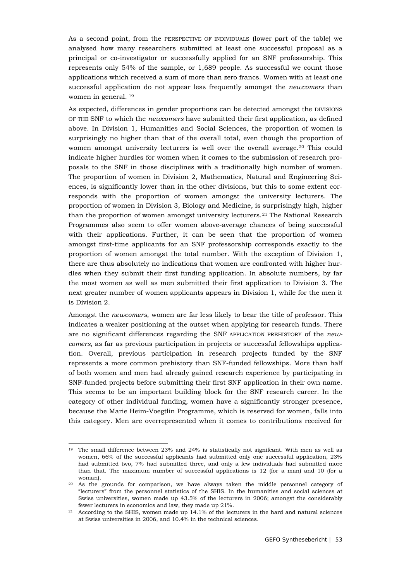As a second point, from the PERSPECTIVE OF INDIVIDUALS (lower part of the table) we analysed how many researchers submitted at least one successful proposal as a principal or co-investigator or successfully applied for an SNF professorship. This represents only 54% of the sample, or 1,689 people. As successful we count those applications which received a sum of more than zero francs. Women with at least one successful application do not appear less frequently amongst the *newcomers* than women in general. [19](#page-52-0)

As expected, differences in gender proportions can be detected amongst the DIVISIONS OF THE SNF to which the *newcomers* have submitted their first application, as defined above. In Division 1, Humanities and Social Sciences, the proportion of women is surprisingly no higher than that of the overall total, even though the proportion of women amongst university lecturers is well over the overall average.<sup>[20](#page-52-1)</sup> This could indicate higher hurdles for women when it comes to the submission of research proposals to the SNF in those disciplines with a traditionally high number of women. The proportion of women in Division 2, Mathematics, Natural and Engineering Sciences, is significantly lower than in the other divisions, but this to some extent corresponds with the proportion of women amongst the university lecturers. The proportion of women in Division 3, Biology and Medicine, is surprisingly high, higher than the proportion of women amongst university lecturers.<sup>[21](#page-52-2)</sup> The National Research Programmes also seem to offer women above-average chances of being successful with their applications. Further, it can be seen that the proportion of women amongst first-time applicants for an SNF professorship corresponds exactly to the proportion of women amongst the total number. With the exception of Division 1, there are thus absolutely no indications that women are confronted with higher hurdles when they submit their first funding application. In absolute numbers, by far the most women as well as men submitted their first application to Division 3. The next greater number of women applicants appears in Division 1, while for the men it is Division 2.

Amongst the *newcomers*, women are far less likely to bear the title of professor. This indicates a weaker positioning at the outset when applying for research funds. There are no significant differences regarding the SNF APPLICATION PREHISTORY of the *newcomers*, as far as previous participation in projects or successful fellowships application. Overall, previous participation in research projects funded by the SNF represents a more common prehistory than SNF-funded fellowships. More than half of both women and men had already gained research experience by participating in SNF-funded projects before submitting their first SNF application in their own name. This seems to be an important building block for the SNF research career. In the category of other individual funding, women have a significantly stronger presence, because the Marie Heim-Voegtlin Programme, which is reserved for women, falls into this category. Men are overrepresented when it comes to contributions received for

<span id="page-52-0"></span><sup>&</sup>lt;sup>19</sup> The small difference between 23% and 24% is statistically not signifcant. With men as well as women, 66% of the successful applicants had submitted only one successful application, 23% had submitted two, 7% had submitted three, and only a few individuals had submitted more than that. The maximum number of successful applications is 12 (for a man) and 10 (for a woman).

<span id="page-52-1"></span><sup>20</sup> As the grounds for comparison, we have always taken the middle personnel category of "lecturers" from the personnel statistics of the SHIS. In the humanities and social sciences at Swiss universities, women made up 43.5% of the lecturers in 2006; amongst the considerably fewer lecturers in economics and law, they made up 21%.

<span id="page-52-2"></span> $21$  According to the SHIS, women made up 14.1% of the lecturers in the hard and natural sciences at Swiss universities in 2006, and 10.4% in the technical sciences.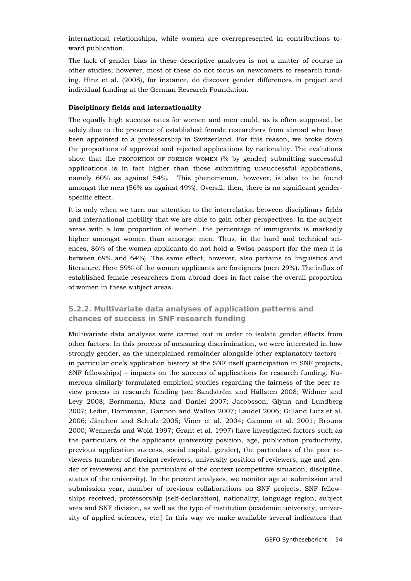international relationships, while women are overrepresented in contributions toward publication.

The lack of gender bias in these descriptive analyses is not a matter of course in other studies; however, most of these do not focus on newcomers to research funding. Hinz et al. (2008), for instance, do discover gender differences in project and individual funding at the German Research Foundation.

#### **Disciplinary fields and internationality**

The equally high success rates for women and men could, as is often supposed, be solely due to the presence of established female researchers from abroad who have been appointed to a professorship in Switzerland. For this reason, we broke down the proportions of approved and rejected applications by nationality. The evalutions show that the PROPORTION OF FOREIGN WOMEN (% by gender) submitting successful applications is in fact higher than those submitting unsuccessful applications, namely 60% as against 54%. This phenomenon, however, is also to be found amongst the men (56% as against 49%). Overall, then, there is no significant genderspecific effect.

It is only when we turn our attention to the interrelation between disciplinary fields and international mobility that we are able to gain other perspectives. In the subject areas with a low proportion of women, the percentage of immigrants is markedly higher amongst women than amongst men. Thus, in the hard and technical sciences, 86% of the women applicants do not hold a Swiss passport (for the men it is between 69% and 64%). The same effect, however, also pertains to linguistics and literature. Here 59% of the women applicants are foreigners (men 29%). The influx of established female researchers from abroad does in fact raise the overall proportion of women in these subject areas.

### **5.2.2. Multivariate data analyses of application patterns and chances of success in SNF research funding**

Multivariate data analyses were carried out in order to isolate gender effects from other factors. In this process of measuring discrimination, we were interested in how strongly gender, as the unexplained remainder alongside other explanatory factors – in particular one's application history at the SNF itself (participation in SNF projects, SNF fellowships) – impacts on the success of applications for research funding. Numerous similarly formulated empirical studies regarding the fairness of the peer review process in research funding (see Sandström and Hällsten 2008; Widmer and Levy 2008; Bornmann, Mutz and Daniel 2007; Jacobsson, Glynn and Lundberg 2007; Ledin, Bornmann, Gannon and Wallon 2007; Laudel 2006; Gilland Lutz et al. 2006; Jänchen and Schulz 2005; Viner et al. 2004; Gannon et al. 2001; Brouns 2000; Wennerås and Wold 1997; Grant et al. 1997) have investigated factors such as the particulars of the applicants (university position, age, publication productivity, previous application success, social capital, gender), the particulars of the peer reviewers (number of (foreign) reviewers, university position of reviewers, age and gender of reviewers) and the particulars of the context (competitive situation, discipline, status of the university). In the present analyses, we monitor age at submission and submission year, number of previous collaborations on SNF projects, SNF fellowships received, professorship (self-declaration), nationality, language region, subject area and SNF division, as well as the type of institution (academic university, university of applied sciences, etc.) In this way we make available several indicators that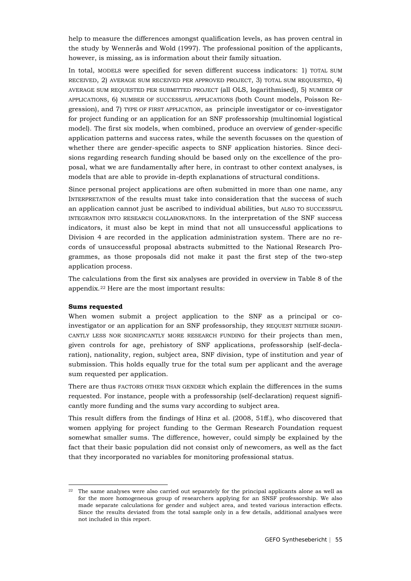help to measure the differences amongst qualification levels, as has proven central in the study by Wennerås and Wold (1997). The professional position of the applicants, however, is missing, as is information about their family situation.

In total, MODELS were specified for seven different success indicators: 1) TOTAL SUM RECEIVED, 2) AVERAGE SUM RECEIVED PER APPROVED PROJECT, 3) TOTAL SUM REQUESTED, 4) AVERAGE SUM REQUESTED PER SUBMITTED PROJECT (all OLS, logarithmised), 5) NUMBER OF APPLICATIONS, 6) NUMBER OF SUCCESSFUL APPLICATIONS (both Count models, Poisson Regression), and 7) TYPE OF FIRST APPLICATION, as principle investigator or co-investigator for project funding or an application for an SNF professorship (multinomial logistical model). The first six models, when combined, produce an overview of gender-specific application patterns and success rates, while the seventh focusses on the question of whether there are gender-specific aspects to SNF application histories. Since decisions regarding research funding should be based only on the excellence of the proposal, what we are fundamentally after here, in contrast to other context analyses, is models that are able to provide in-depth explanations of structural conditions.

Since personal project applications are often submitted in more than one name, any INTERPRETATION of the results must take into consideration that the success of such an application cannot just be ascribed to individual abilities, but ALSO TO SUCCESSFUL INTEGRATION INTO RESEARCH COLLABORATIONS. In the interpretation of the SNF success indicators, it must also be kept in mind that not all unsuccessful applications to Division 4 are recorded in the application administration system. There are no records of unsuccessful proposal abstracts submitted to the National Research Programmes, as those proposals did not make it past the first step of the two-step application process.

The calculations from the first six analyses are provided in overview in Table 8 of the appendix.[22](#page-54-0) Here are the most important results:

#### **Sums requested**

When women submit a project application to the SNF as a principal or coinvestigator or an application for an SNF professorship, they REQUEST NEITHER SIGNIFI-CANTLY LESS NOR SIGNIFICANTLY MORE RESEARCH FUNDING for their projects than men, given controls for age, prehistory of SNF applications, professorship (self-declaration), nationality, region, subject area, SNF division, type of institution and year of submission. This holds equally true for the total sum per applicant and the average sum requested per application.

There are thus FACTORS OTHER THAN GENDER which explain the differences in the sums requested. For instance, people with a professorship (self-declaration) request significantly more funding and the sums vary according to subject area.

This result differs from the findings of Hinz et al. (2008, 51ff.), who discovered that women applying for project funding to the German Research Foundation request somewhat smaller sums. The difference, however, could simply be explained by the fact that their basic population did not consist only of newcomers, as well as the fact that they incorporated no variables for monitoring professional status.

<span id="page-54-0"></span><sup>&</sup>lt;sup>22</sup> The same analyses were also carried out separately for the principal applicants alone as well as for the more homogeneous group of researchers applying for an SNSF professorship. We also made separate calculations for gender and subject area, and tested various interaction effects. Since the results deviated from the total sample only in a few details, additional analyses were not included in this report.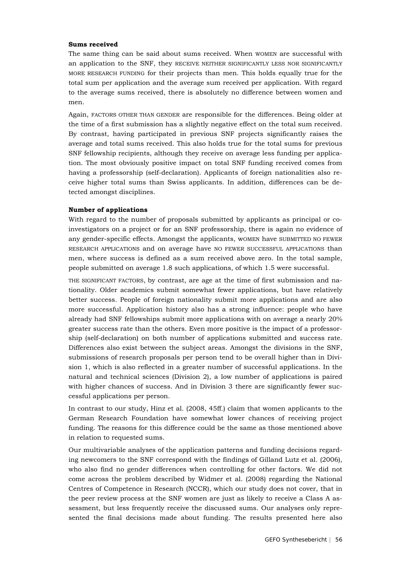#### **Sums received**

The same thing can be said about sums received. When WOMEN are successful with an application to the SNF, they RECEIVE NEITHER SIGNIFICANTLY LESS NOR SIGNIFICANTLY MORE RESEARCH FUNDING for their projects than men. This holds equally true for the total sum per application and the average sum received per application. With regard to the average sums received, there is absolutely no difference between women and men.

Again, FACTORS OTHER THAN GENDER are responsible for the differences. Being older at the time of a first submission has a slightly negative effect on the total sum received. By contrast, having participated in previous SNF projects significantly raises the average and total sums received. This also holds true for the total sums for previous SNF fellowship recipients, although they receive on average less funding per application. The most obviously positive impact on total SNF funding received comes from having a professorship (self-declaration). Applicants of foreign nationalities also receive higher total sums than Swiss applicants. In addition, differences can be detected amongst disciplines.

#### **Number of applications**

With regard to the number of proposals submitted by applicants as principal or coinvestigators on a project or for an SNF professorship, there is again no evidence of any gender-specific effects. Amongst the applicants, wOMEN have SUBMITTED NO FEWER RESEARCH APPLICATIONS and on average have NO FEWER SUCCESSFUL APPLICATIONS than men, where success is defined as a sum received above zero. In the total sample, people submitted on average 1.8 such applications, of which 1.5 were successful.

THE SIGNIFICANT FACTORS, by contrast, are age at the time of first submission and nationality. Older academics submit somewhat fewer applications, but have relatively better success. People of foreign nationality submit more applications and are also more successful. Application history also has a strong influence: people who have already had SNF fellowships submit more applications with on average a nearly 20% greater success rate than the others. Even more positive is the impact of a professorship (self-declaration) on both number of applications submitted and success rate. Differences also exist between the subject areas. Amongst the divisions in the SNF, submissions of research proposals per person tend to be overall higher than in Division 1, which is also reflected in a greater number of successful applications. In the natural and technical sciences (Division 2), a low number of applications is paired with higher chances of success. And in Division 3 there are significantly fewer successful applications per person.

In contrast to our study, Hinz et al. (2008, 45ff.) claim that women applicants to the German Research Foundation have somewhat lower chances of receiving project funding. The reasons for this difference could be the same as those mentioned above in relation to requested sums.

Our multivariable analyses of the application patterns and funding decisions regarding newcomers to the SNF correspond with the findings of Gilland Lutz et al. (2006), who also find no gender differences when controlling for other factors. We did not come across the problem described by Widmer et al. (2008) regarding the National Centres of Competence in Research (NCCR), which our study does not cover, that in the peer review process at the SNF women are just as likely to receive a Class A assessment, but less frequently receive the discussed sums. Our analyses only represented the final decisions made about funding. The results presented here also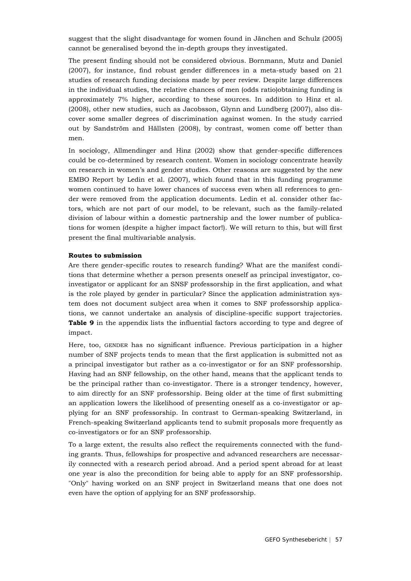suggest that the slight disadvantage for women found in Jänchen and Schulz (2005) cannot be generalised beyond the in-depth groups they investigated.

The present finding should not be considered obvious. Bornmann, Mutz and Daniel (2007), for instance, find robust gender differences in a meta-study based on 21 studies of research funding decisions made by peer review. Despite large differences in the individual studies, the relative chances of men (odds ratio)obtaining funding is approximately 7% higher, according to these sources. In addition to Hinz et al. (2008), other new studies, such as Jacobsson, Glynn and Lundberg (2007), also discover some smaller degrees of discrimination against women. In the study carried out by Sandström and Hällsten (2008), by contrast, women come off better than men.

In sociology, Allmendinger and Hinz (2002) show that gender-specific differences could be co-determined by research content. Women in sociology concentrate heavily on research in women's and gender studies. Other reasons are suggested by the new EMBO Report by Ledin et al. (2007), which found that in this funding programme women continued to have lower chances of success even when all references to gender were removed from the application documents. Ledin et al. consider other factors, which are not part of our model, to be relevant, such as the family-related division of labour within a domestic partnership and the lower number of publications for women (despite a higher impact factor!). We will return to this, but will first present the final multivariable analysis.

#### **Routes to submission**

Are there gender-specific routes to research funding? What are the manifest conditions that determine whether a person presents oneself as principal investigator, coinvestigator or applicant for an SNSF professorship in the first application, and what is the role played by gender in particular? Since the application administration system does not document subject area when it comes to SNF professorship applications, we cannot undertake an analysis of discipline-specific support trajectories. **Table 9** in the appendix lists the influential factors according to type and degree of impact.

Here, too, GENDER has no significant influence. Previous participation in a higher number of SNF projects tends to mean that the first application is submitted not as a principal investigator but rather as a co-investigator or for an SNF professorship. Having had an SNF fellowship, on the other hand, means that the applicant tends to be the principal rather than co-investigator. There is a stronger tendency, however, to aim directly for an SNF professorship. Being older at the time of first submitting an application lowers the likelihood of presenting oneself as a co-investigator or applying for an SNF professorship. In contrast to German-speaking Switzerland, in French-speaking Switzerland applicants tend to submit proposals more frequently as co-investigators or for an SNF professorship.

To a large extent, the results also reflect the requirements connected with the funding grants. Thus, fellowships for prospective and advanced researchers are necessarily connected with a research period abroad. And a period spent abroad for at least one year is also the precondition for being able to apply for an SNF professorship. "Only" having worked on an SNF project in Switzerland means that one does not even have the option of applying for an SNF professorship.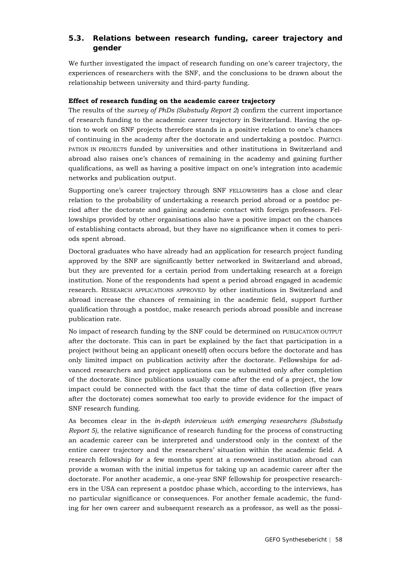# **5.3. Relations between research funding, career trajectory and gender**

We further investigated the impact of research funding on one's career trajectory, the experiences of researchers with the SNF, and the conclusions to be drawn about the relationship between university and third-party funding.

### **Effect of research funding on the academic career trajectory**

The results of the *survey of PhDs (Substudy Report 2*) confirm the current importance of research funding to the academic career trajectory in Switzerland. Having the option to work on SNF projects therefore stands in a positive relation to one's chances of continuing in the academy after the doctorate and undertaking a postdoc. PARTICI-PATION IN PROJECTS funded by universities and other institutions in Switzerland and abroad also raises one's chances of remaining in the academy and gaining further qualifications, as well as having a positive impact on one's integration into academic networks and publication output.

Supporting one's career trajectory through SNF FELLOWSHIPS has a close and clear relation to the probability of undertaking a research period abroad or a postdoc period after the doctorate and gaining academic contact with foreign professors. Fellowships provided by other organisations also have a positive impact on the chances of establishing contacts abroad, but they have no significance when it comes to periods spent abroad.

Doctoral graduates who have already had an application for research project funding approved by the SNF are significantly better networked in Switzerland and abroad, but they are prevented for a certain period from undertaking research at a foreign institution. None of the respondents had spent a period abroad engaged in academic research. RESEARCH APPLICATIONS APPROVED by other institutions in Switzerland and abroad increase the chances of remaining in the academic field, support further qualification through a postdoc, make research periods abroad possible and increase publication rate.

No impact of research funding by the SNF could be determined on PUBLICATION OUTPUT after the doctorate. This can in part be explained by the fact that participation in a project (without being an applicant oneself) often occurs before the doctorate and has only limited impact on publication activity after the doctorate. Fellowships for advanced researchers and project applications can be submitted only after completion of the doctorate. Since publications usually come after the end of a project, the low impact could be connected with the fact that the time of data collection (five years after the doctorate) comes somewhat too early to provide evidence for the impact of SNF research funding.

As becomes clear in the *in-depth interviews with emerging researchers (Substudy Report 5)*, the relative significance of research funding for the process of constructing an academic career can be interpreted and understood only in the context of the entire career trajectory and the researchers' situation within the academic field. A research fellowship for a few months spent at a renowned institution abroad can provide a woman with the initial impetus for taking up an academic career after the doctorate. For another academic, a one-year SNF fellowship for prospective researchers in the USA can represent a postdoc phase which, according to the interviews, has no particular significance or consequences. For another female academic, the funding for her own career and subsequent research as a professor, as well as the possi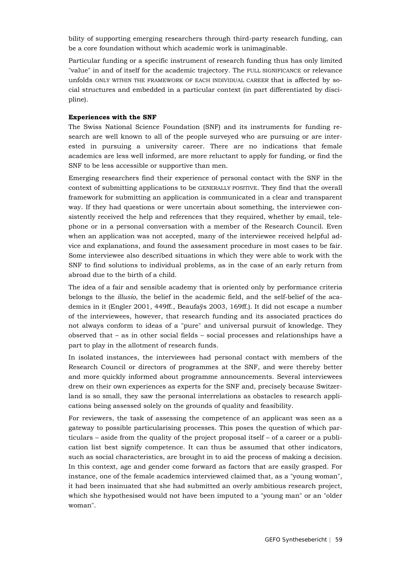bility of supporting emerging researchers through third-party research funding, can be a core foundation without which academic work is unimaginable.

Particular funding or a specific instrument of research funding thus has only limited "value" in and of itself for the academic trajectory. The FULL SIGNIFICANCE or relevance unfolds ONLY WITHIN THE FRAMEWORK OF EACH INDIVIDUAL CAREER that is affected by social structures and embedded in a particular context (in part differentiated by discipline).

#### **Experiences with the SNF**

The Swiss National Science Foundation (SNF) and its instruments for funding research are well known to all of the people surveyed who are pursuing or are interested in pursuing a university career. There are no indications that female academics are less well informed, are more reluctant to apply for funding, or find the SNF to be less accessible or supportive than men.

Emerging researchers find their experience of personal contact with the SNF in the context of submitting applications to be GENERALLY POSITIVE. They find that the overall framework for submitting an application is communicated in a clear and transparent way. If they had questions or were uncertain about something, the interviewee consistently received the help and references that they required, whether by email, telephone or in a personal conversation with a member of the Research Council. Even when an application was not accepted, many of the interviewee received helpful advice and explanations, and found the assessment procedure in most cases to be fair. Some interviewee also described situations in which they were able to work with the SNF to find solutions to individual problems, as in the case of an early return from abroad due to the birth of a child.

The idea of a fair and sensible academy that is oriented only by performance criteria belongs to the *illusio*, the belief in the academic field, and the self-belief of the academics in it (Engler 2001, 449ff., Beaufaÿs 2003, 169ff.). It did not escape a number of the interviewees, however, that research funding and its associated practices do not always conform to ideas of a "pure" and universal pursuit of knowledge. They observed that – as in other social fields – social processes and relationships have a part to play in the allotment of research funds.

In isolated instances, the interviewees had personal contact with members of the Research Council or directors of programmes at the SNF, and were thereby better and more quickly informed about programme announcements. Several interviewees drew on their own experiences as experts for the SNF and, precisely because Switzerland is so small, they saw the personal interrelations as obstacles to research applications being assessed solely on the grounds of quality and feasibility.

For reviewers, the task of assessing the competence of an applicant was seen as a gateway to possible particularising processes. This poses the question of which particulars – aside from the quality of the project proposal itself – of a career or a publication list best signify competence. It can thus be assumed that other indicators, such as social characteristics, are brought in to aid the process of making a decision. In this context, age and gender come forward as factors that are easily grasped. For instance, one of the female academics interviewed claimed that, as a "young woman", it had been insinuated that she had submitted an overly ambitious research project, which she hypothesised would not have been imputed to a "young man" or an "older woman".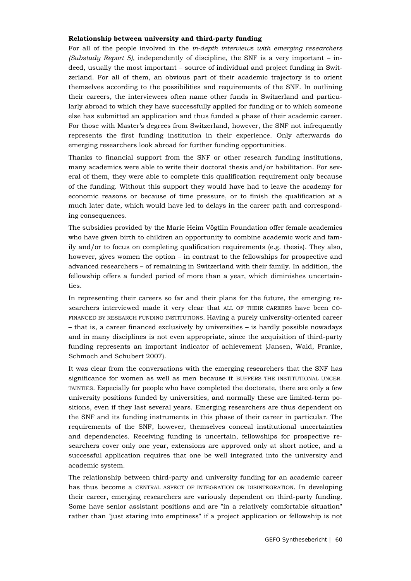#### **Relationship between university and third-party funding**

For all of the people involved in the *in-depth interviews with emerging researchers (Substudy Report 5)*, independently of discipline, the SNF is a very important – indeed, usually the most important – source of individual and project funding in Switzerland. For all of them, an obvious part of their academic trajectory is to orient themselves according to the possibilities and requirements of the SNF. In outlining their careers, the interviewees often name other funds in Switzerland and particularly abroad to which they have successfully applied for funding or to which someone else has submitted an application and thus funded a phase of their academic career. For those with Master's degrees from Switzerland, however, the SNF not infrequently represents the first funding institution in their experience. Only afterwards do emerging researchers look abroad for further funding opportunities.

Thanks to financial support from the SNF or other research funding institutions, many academics were able to write their doctoral thesis and/or habilitation. For several of them, they were able to complete this qualification requirement only because of the funding. Without this support they would have had to leave the academy for economic reasons or because of time pressure, or to finish the qualification at a much later date, which would have led to delays in the career path and corresponding consequences.

The subsidies provided by the Marie Heim Vögtlin Foundation offer female academics who have given birth to children an opportunity to combine academic work and family and/or to focus on completing qualification requirements (e.g. thesis). They also, however, gives women the option – in contrast to the fellowships for prospective and advanced researchers – of remaining in Switzerland with their family. In addition, the fellowship offers a funded period of more than a year, which diminishes uncertainties.

In representing their careers so far and their plans for the future, the emerging researchers interviewed made it very clear that ALL OF THEIR CAREERS have been CO-FINANCED BY RESEARCH FUNDING INSTITUTIONS. Having a purely university-oriented career – that is, a career financed exclusively by universities – is hardly possible nowadays and in many disciplines is not even appropriate, since the acquisition of third-party funding represents an important indicator of achievement (Jansen, Wald, Franke, Schmoch and Schubert 2007).

It was clear from the conversations with the emerging researchers that the SNF has significance for women as well as men because it BUFFERS THE INSTITUTIONAL UNCER-TAINTIES. Especially for people who have completed the doctorate, there are only a few university positions funded by universities, and normally these are limited-term positions, even if they last several years. Emerging researchers are thus dependent on the SNF and its funding instruments in this phase of their career in particular. The requirements of the SNF, however, themselves conceal institutional uncertainties and dependencies. Receiving funding is uncertain, fellowships for prospective researchers cover only one year, extensions are approved only at short notice, and a successful application requires that one be well integrated into the university and academic system.

The relationship between third-party and university funding for an academic career has thus become a CENTRAL ASPECT OF INTEGRATION OR DISINTEGRATION. In developing their career, emerging researchers are variously dependent on third-party funding. Some have senior assistant positions and are "in a relatively comfortable situation" rather than "just staring into emptiness" if a project application or fellowship is not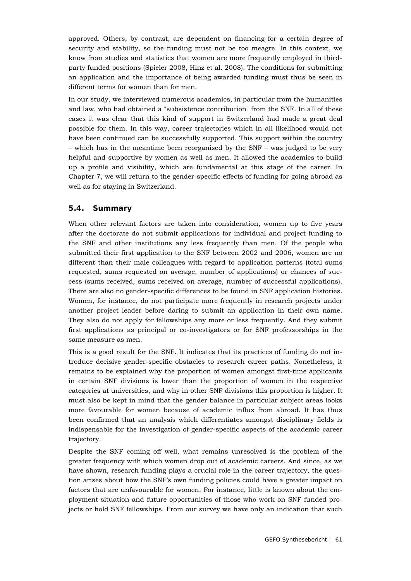approved. Others, by contrast, are dependent on financing for a certain degree of security and stability, so the funding must not be too meagre. In this context, we know from studies and statistics that women are more frequently employed in thirdparty funded positions (Spieler 2008, Hinz et al. 2008). The conditions for submitting an application and the importance of being awarded funding must thus be seen in different terms for women than for men.

In our study, we interviewed numerous academics, in particular from the humanities and law, who had obtained a "subsistence contribution" from the SNF. In all of these cases it was clear that this kind of support in Switzerland had made a great deal possible for them. In this way, career trajectories which in all likelihood would not have been continued can be successfully supported. This support within the country – which has in the meantime been reorganised by the SNF – was judged to be very helpful and supportive by women as well as men. It allowed the academics to build up a profile and visibility, which are fundamental at this stage of the career. In Chapter 7, we will return to the gender-specific effects of funding for going abroad as well as for staying in Switzerland.

# **5.4. Summary**

When other relevant factors are taken into consideration, women up to five years after the doctorate do not submit applications for individual and project funding to the SNF and other institutions any less frequently than men. Of the people who submitted their first application to the SNF between 2002 and 2006, women are no different than their male colleagues with regard to application patterns (total sums requested, sums requested on average, number of applications) or chances of success (sums received, sums received on average, number of successful applications). There are also no gender-specific differences to be found in SNF application histories. Women, for instance, do not participate more frequently in research projects under another project leader before daring to submit an application in their own name. They also do not apply for fellowships any more or less frequently. And they submit first applications as principal or co-investigators or for SNF professorships in the same measure as men.

This is a good result for the SNF. It indicates that its practices of funding do not introduce decisive gender-specific obstacles to research career paths. Nonetheless, it remains to be explained why the proportion of women amongst first-time applicants in certain SNF divisions is lower than the proportion of women in the respective categories at universities, and why in other SNF divisions this proportion is higher. It must also be kept in mind that the gender balance in particular subject areas looks more favourable for women because of academic influx from abroad. It has thus been confirmed that an analysis which differentiates amongst disciplinary fields is indispensable for the investigation of gender-specific aspects of the academic career trajectory.

Despite the SNF coming off well, what remains unresolved is the problem of the greater frequency with which women drop out of academic careers. And since, as we have shown, research funding plays a crucial role in the career trajectory, the question arises about how the SNF's own funding policies could have a greater impact on factors that are unfavourable for women. For instance, little is known about the employment situation and future opportunities of those who work on SNF funded projects or hold SNF fellowships. From our survey we have only an indication that such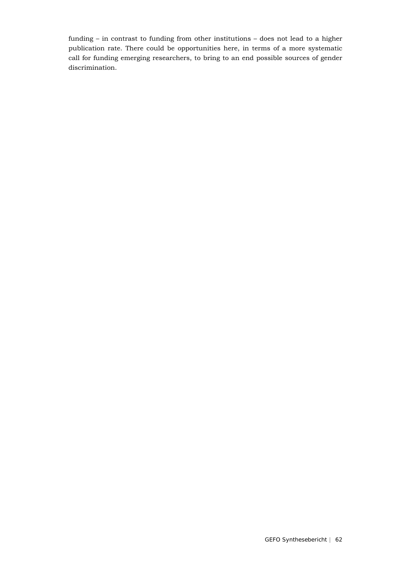funding – in contrast to funding from other institutions – does not lead to a higher publication rate. There could be opportunities here, in terms of a more systematic call for funding emerging researchers, to bring to an end possible sources of gender discrimination.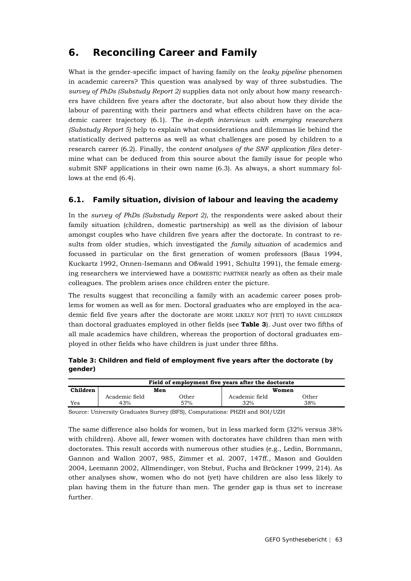# **6. Reconciling Career and Family**

What is the gender-specific impact of having family on the *leaky pipeline* phenomen in academic careers? This question was analysed by way of three substudies. The *survey of PhDs (Substudy Report 2)* supplies data not only about how many researchers have children five years after the doctorate, but also about how they divide the labour of parenting with their partners and what effects children have on the academic career trajectory (6.1). The *in-depth interviews with emerging researchers (Substudy Report 5)* help to explain what considerations and dilemmas lie behind the statistically derived patterns as well as what challenges are posed by children to a research career (6.2). Finally, the *content analyses of the SNF application files* determine what can be deduced from this source about the family issue for people who submit SNF applications in their own name (6.3). As always, a short summary follows at the end (6.4).

# **6.1. Family situation, division of labour and leaving the academy**

In the *survey of PhDs (Substudy Report 2)*, the respondents were asked about their family situation (children, domestic partnership) as well as the division of labour amongst couples who have children five years after the doctorate. In contrast to results from older studies, which investigated the *family situation* of academics and focussed in particular on the first generation of women professors (Baus 1994, Kuckartz 1992, Onnen-Isemann and Oßwald 1991, Schultz 1991), the female emerging researchers we interviewed have a DOMESTIC PARTNER nearly as often as their male colleagues. The problem arises once children enter the picture.

The results suggest that reconciling a family with an academic career poses problems for women as well as for men. Doctoral graduates who are employed in the academic field five years after the doctorate are MORE LIKELY NOT (YET) TO HAVE CHILDREN than doctoral graduates employed in other fields (see **Table 3**). Just over two fifths of all male academics have children, whereas the proportion of doctoral graduates employed in other fields who have children is just under three fifths.

**Table 3: Children and field of employment five years after the doctorate (by gender)**

|          |                |       | Field of employment five years after the doctorate |       |  |
|----------|----------------|-------|----------------------------------------------------|-------|--|
| Children | Men            |       | Women                                              |       |  |
|          | Academic field | )ther | Academic field                                     | )ther |  |
| Yes      | 43%            | 57%   | 32%                                                | 38%   |  |

Source: University Graduates Survey (BFS), Computations: PHZH and SOI/UZH

The same difference also holds for women, but in less marked form (32% versus 38% with children). Above all, fewer women with doctorates have children than men with doctorates. This result accords with numerous other studies (e.g., Ledin, Bornmann, Gannon and Wallon 2007, 985, Zimmer et al. 2007, 147ff., Mason and Goulden 2004, Leemann 2002, Allmendinger, von Stebut, Fuchs and Brückner 1999, 214). As other analyses show, women who do not (yet) have children are also less likely to plan having them in the future than men. The gender gap is thus set to increase further.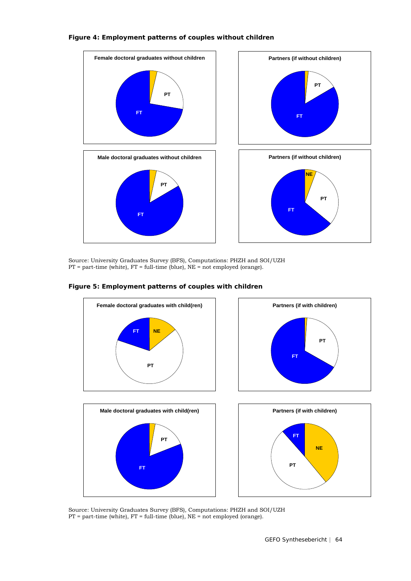### **Figure 4: Employment patterns of couples without children**



Source: University Graduates Survey (BFS), Computations: PHZH and SOI/UZH  $PT = part$ -time (white),  $FT = full$ -time (blue),  $NE = not$  employed (orange).

### **Figure 5: Employment patterns of couples with children**



Source: University Graduates Survey (BFS), Computations: PHZH and SOI/UZH  $PT = part$ -time (white),  $FT = full$ -time (blue),  $NE = not$  employed (orange).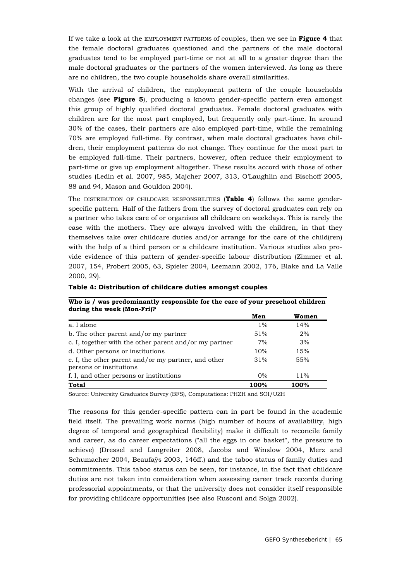If we take a look at the EMPLOYMENT PATTERNS of couples, then we see in **Figure 4** that the female doctoral graduates questioned and the partners of the male doctoral graduates tend to be employed part-time or not at all to a greater degree than the male doctoral graduates or the partners of the women interviewed. As long as there are no children, the two couple households share overall similarities.

With the arrival of children, the employment pattern of the couple households changes (see **Figure 5**), producing a known gender-specific pattern even amongst this group of highly qualified doctoral graduates. Female doctoral graduates with children are for the most part employed, but frequently only part-time. In around 30% of the cases, their partners are also employed part-time, while the remaining 70% are employed full-time. By contrast, when male doctoral graduates have children, their employment patterns do not change. They continue for the most part to be employed full-time. Their partners, however, often reduce their employment to part-time or give up employment altogether. These results accord with those of other studies (Ledin et al. 2007, 985, Majcher 2007, 313, O'Laughlin and Bischoff 2005, 88 and 94, Mason and Gouldon 2004).

The DISTRIBUTION OF CHILDCARE RESPONSBILITIES (**Table 4**) follows the same genderspecific pattern. Half of the fathers from the survey of doctoral graduates can rely on a partner who takes care of or organises all childcare on weekdays. This is rarely the case with the mothers. They are always involved with the children, in that they themselves take over childcare duties and/or arrange for the care of the child(ren) with the help of a third person or a childcare institution. Various studies also provide evidence of this pattern of gender-specific labour distribution (Zimmer et al. 2007, 154, Probert 2005, 63, Spieler 2004, Leemann 2002, 176, Blake and La Valle 2000, 29).

| during the week (Mon-Fri)?                                                     |       |        |  |  |  |
|--------------------------------------------------------------------------------|-------|--------|--|--|--|
|                                                                                | Men   | Women  |  |  |  |
| a. I alone                                                                     | $1\%$ | 14%    |  |  |  |
| b. The other parent and/or my partner                                          | 51%   | 2%     |  |  |  |
| c. I, together with the other parent and/or my partner                         | 7%    | 3%     |  |  |  |
| d. Other persons or institutions                                               | 10%   | 15%    |  |  |  |
| e. I, the other parent and/or my partner, and other<br>persons or institutions | 31%   | 55%    |  |  |  |
| f. I, and other persons or institutions                                        | $0\%$ | $11\%$ |  |  |  |
| <b>Total</b>                                                                   | 100%  | 100%   |  |  |  |

**Who is / was predominantly responsible for the care of your preschool children** 

**Table 4: Distribution of childcare duties amongst couples**

Source: University Graduates Survey (BFS), Computations: PHZH and SOI/UZH

The reasons for this gender-specific pattern can in part be found in the academic field itself. The prevailing work norms (high number of hours of availability, high degree of temporal and geographical flexibility) make it difficult to reconcile family and career, as do career expectations ("all the eggs in one basket", the pressure to achieve) (Dressel and Langreiter 2008, Jacobs and Winslow 2004, Merz and Schumacher 2004, Beaufaÿs 2003, 146ff.) and the taboo status of family duties and commitments. This taboo status can be seen, for instance, in the fact that childcare duties are not taken into consideration when assessing career track records during professorial appointments, or that the university does not consider itself responsible for providing childcare opportunities (see also Rusconi and Solga 2002).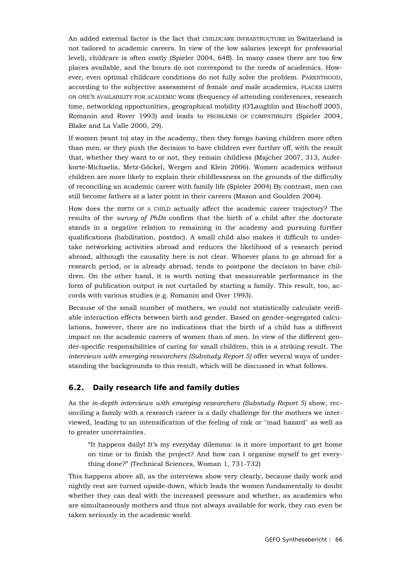An added external factor is the fact that CHILDCARE INFRASTRUCTURE in Switzerland is not tailored to academic careers. In view of the low salaries (except for professorial level), childcare is often costly (Spieler 2004, 64ff). In many cases there are too few places available, and the hours do not correspond to the needs of academics. However, even optimal childcare conditions do not fully solve the problem. PARENTHOOD, according to the subjective assessment of female *and* male academics, PLACES LIMITS ON ONE'S AVAILABILITY FOR ACADEMIC WORK (frequency of attending conferences, research time, networking opportunities, geographical mobility (O'Laughlin and Bischoff 2005, Romanin and Rover 1993) and leads to PROBLEMS OF COMPATIBILITY (Spieler 2004, Blake and La Valle 2000, 29).

If women (want to) stay in the academy, then they forego having children more often than men, or they push the decision to have children ever further off, with the result that, whether they want to or not, they remain childless (Majcher 2007, 313, Auferkorte-Michaelis, Metz-Göckel, Wergen and Klein 2006). Women academics without children are more likely to explain their childlessness on the grounds of the difficulty of reconciling an academic career with family life (Spieler 2004) By contrast, men can still become fathers at a later point in their careers (Mason and Goulden 2004).

How does the BIRTH OF A CHILD actually affect the academic career trajectory? The results of the *survey of PhDs* confirm that the birth of a child after the doctorate stands in a negative relation to remaining in the academy and pursuing further qualifications (habilitation, postdoc). A small child also makes it difficult to undertake networking activities abroad and reduces the likelihood of a research period abroad, although the causality here is not clear. Whoever plans to go abroad for a research period, or is already abroad, tends to postpone the decision to have children. On the other hand, it is worth noting that measureable performance in the form of publication output is not curtailed by starting a family. This result, too, accords with various studies (e.g. Romanin and Over 1993).

Because of the small number of mothers, we could not statistically calculate verifiable interaction effects between birth and gender. Based on gender-segregated calculations, however, there are no indications that the birth of a child has a different impact on the academic careers of women than of men. In view of the different gender-specific responsibilities of caring for small children, this is a striking result. The *interviews with emerging researchers (Substudy Report 5)* offer several ways of understanding the backgrounds to this result, which will be discussed in what follows.

### **6.2. Daily research life and family duties**

As the *in-depth interviews with emerging researchers (Substudy Report 5)* show, reconciling a family with a research career is a daily challenge for the mothers we interviewed, leading to an intensification of the feeling of risk or "mad hazard" as well as to greater uncertainties.

"It happens daily! It's my everyday dilemma: is it more important to get home on time or to finish the project? And how can I organise myself to get everything done?" (Technical Sciences, Woman 1, 731-732)

This happens above all, as the interviews show very clearly, because daily work and nightly rest are turned upside-down, which leads the women fundamentally to doubt whether they can deal with the increased pressure and whether, as academics who are simultaneously mothers and thus not always available for work, they can even be taken seriously in the academic world.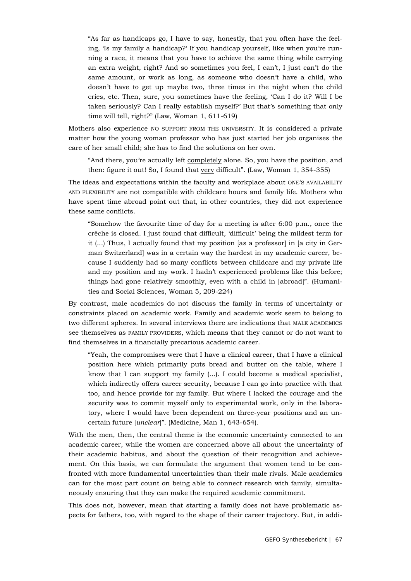"As far as handicaps go, I have to say, honestly, that you often have the feeling, 'Is my family a handicap?' If you handicap yourself, like when you're running a race, it means that you have to achieve the same thing while carrying an extra weight, right? And so sometimes you feel, I can't, I just can't do the same amount, or work as long, as someone who doesn't have a child, who doesn't have to get up maybe two, three times in the night when the child cries, etc. Then, sure, you sometimes have the feeling, 'Can I do it? Will I be taken seriously? Can I really establish myself?' But that's something that only time will tell, right?" (Law, Woman 1, 611-619)

Mothers also experience NO SUPPORT FROM THE UNIVERSITY. It is considered a private matter how the young woman professor who has just started her job organises the care of her small child; she has to find the solutions on her own.

"And there, you're actually left completely alone. So, you have the position, and then: figure it out! So, I found that very difficult". (Law, Woman 1, 354-355)

The ideas and expectations within the faculty and workplace about ONE'S AVAILABILITY AND FLEXIBILITY are not compatible with childcare hours and family life. Mothers who have spent time abroad point out that, in other countries, they did not experience these same conflicts.

"Somehow the favourite time of day for a meeting is after  $6:00$  p.m., once the crèche is closed. I just found that difficult, 'difficult' being the mildest term for it (...) Thus, I actually found that my position [as a professor] in [a city in German Switzerland] was in a certain way the hardest in my academic career, because I suddenly had so many conflicts between childcare and my private life and my position and my work. I hadn't experienced problems like this before; things had gone relatively smoothly, even with a child in [abroad]". (Humanities and Social Sciences, Woman 5, 209-224)

By contrast, male academics do not discuss the family in terms of uncertainty or constraints placed on academic work. Family and academic work seem to belong to two different spheres. In several interviews there are indications that MALE ACADEMICS see themselves as FAMILY PROVIDERS, which means that they cannot or do not want to find themselves in a financially precarious academic career.

"Yeah, the compromises were that I have a clinical career, that I have a clinical position here which primarily puts bread and butter on the table, where I know that I can support my family (...). I could become a medical specialist, which indirectly offers career security, because I can go into practice with that too, and hence provide for my family. But where I lacked the courage and the security was to commit myself only to experimental work, only in the laboratory, where I would have been dependent on three-year positions and an uncertain future [*unclear*]". (Medicine, Man 1, 643-654).

With the men, then, the central theme is the economic uncertainty connected to an academic career, while the women are concerned above all about the uncertainty of their academic habitus, and about the question of their recognition and achievement. On this basis, we can formulate the argument that women tend to be confronted with more fundamental uncertainties than their male rivals. Male academics can for the most part count on being able to connect research with family, simultaneously ensuring that they can make the required academic commitment.

This does not, however, mean that starting a family does not have problematic aspects for fathers, too, with regard to the shape of their career trajectory. But, in addi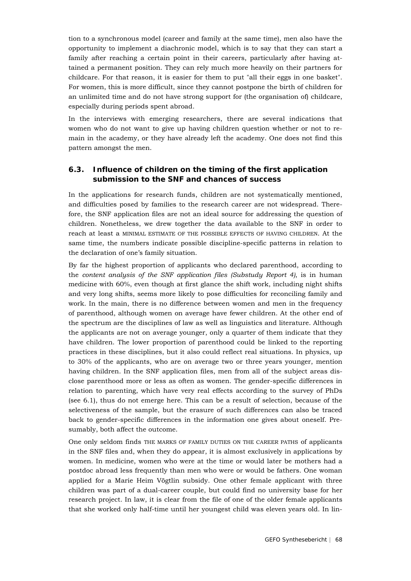tion to a synchronous model (career and family at the same time), men also have the opportunity to implement a diachronic model, which is to say that they can start a family after reaching a certain point in their careers, particularly after having attained a permanent position. They can rely much more heavily on their partners for childcare. For that reason, it is easier for them to put "all their eggs in one basket". For women, this is more difficult, since they cannot postpone the birth of children for an unlimited time and do not have strong support for (the organisation of) childcare, especially during periods spent abroad.

In the interviews with emerging researchers, there are several indications that women who do not want to give up having children question whether or not to remain in the academy, or they have already left the academy. One does not find this pattern amongst the men.

### **6.3. Influence of children on the timing of the first application submission to the SNF and chances of success**

In the applications for research funds, children are not systematically mentioned, and difficulties posed by families to the research career are not widespread. Therefore, the SNF application files are not an ideal source for addressing the question of children. Nonetheless, we drew together the data available to the SNF in order to reach at least a MINIMAL ESTIMATE OF THE POSSIBLE EFFECTS OF HAVING CHILDREN. At the same time, the numbers indicate possible discipline-specific patterns in relation to the declaration of one's family situation.

By far the highest proportion of applicants who declared parenthood, according to the *content analysis of the SNF application files (Substudy Report 4)*, is in human medicine with 60%, even though at first glance the shift work, including night shifts and very long shifts, seems more likely to pose difficulties for reconciling family and work. In the main, there is no difference between women and men in the frequency of parenthood, although women on average have fewer children. At the other end of the spectrum are the disciplines of law as well as linguistics and literature. Although the applicants are not on average younger, only a quarter of them indicate that they have children. The lower proportion of parenthood could be linked to the reporting practices in these disciplines, but it also could reflect real situations. In physics, up to 30% of the applicants, who are on average two or three years younger, mention having children. In the SNF application files, men from all of the subject areas disclose parenthood more or less as often as women. The gender-specific differences in relation to parenting, which have very real effects according to the survey of PhDs (see 6.1), thus do not emerge here. This can be a result of selection, because of the selectiveness of the sample, but the erasure of such differences can also be traced back to gender-specific differences in the information one gives about oneself. Presumably, both affect the outcome.

One only seldom finds THE MARKS OF FAMILY DUTIES ON THE CAREER PATHS of applicants in the SNF files and, when they do appear, it is almost exclusively in applications by women. In medicine, women who were at the time or would later be mothers had a postdoc abroad less frequently than men who were or would be fathers. One woman applied for a Marie Heim Vögtlin subsidy. One other female applicant with three children was part of a dual-career couple, but could find no university base for her research project. In law, it is clear from the file of one of the older female applicants that she worked only half-time until her youngest child was eleven years old. In lin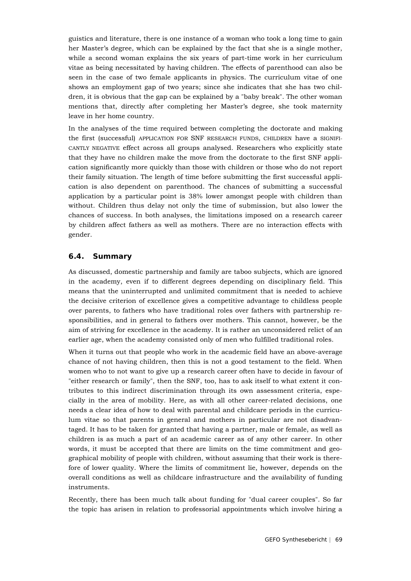guistics and literature, there is one instance of a woman who took a long time to gain her Master's degree, which can be explained by the fact that she is a single mother, while a second woman explains the six years of part-time work in her curriculum vitae as being necessitated by having children. The effects of parenthood can also be seen in the case of two female applicants in physics. The curriculum vitae of one shows an employment gap of two years; since she indicates that she has two children, it is obvious that the gap can be explained by a "baby break". The other woman mentions that, directly after completing her Master's degree, she took maternity leave in her home country.

In the analyses of the time required between completing the doctorate and making the first (successful) APPLICATION FOR SNF RESEARCH FUNDS, CHILDREN have a SIGNIFI-CANTLY NEGATIVE effect across all groups analysed. Researchers who explicitly state that they have no children make the move from the doctorate to the first SNF application significantly more quickly than those with children or those who do not report their family situation. The length of time before submitting the first successful application is also dependent on parenthood. The chances of submitting a successful application by a particular point is 38% lower amongst people with children than without. Children thus delay not only the time of submission, but also lower the chances of success. In both analyses, the limitations imposed on a research career by children affect fathers as well as mothers. There are no interaction effects with gender.

### **6.4. Summary**

As discussed, domestic partnership and family are taboo subjects, which are ignored in the academy, even if to different degrees depending on disciplinary field. This means that the uninterrupted and unlimited commitment that is needed to achieve the decisive criterion of excellence gives a competitive advantage to childless people over parents, to fathers who have traditional roles over fathers with partnership responsibilities, and in general to fathers over mothers. This cannot, however, be the aim of striving for excellence in the academy. It is rather an unconsidered relict of an earlier age, when the academy consisted only of men who fulfilled traditional roles.

When it turns out that people who work in the academic field have an above-average chance of not having children, then this is not a good testament to the field. When women who to not want to give up a research career often have to decide in favour of "either research or family", then the SNF, too, has to ask itself to what extent it contributes to this indirect discrimination through its own assessment criteria, especially in the area of mobility. Here, as with all other career-related decisions, one needs a clear idea of how to deal with parental and childcare periods in the curriculum vitae so that parents in general and mothers in particular are not disadvantaged. It has to be taken for granted that having a partner, male or female, as well as children is as much a part of an academic career as of any other career. In other words, it must be accepted that there are limits on the time commitment and geographical mobility of people with children, without assuming that their work is therefore of lower quality. Where the limits of commitment lie, however, depends on the overall conditions as well as childcare infrastructure and the availability of funding instruments.

Recently, there has been much talk about funding for "dual career couples". So far the topic has arisen in relation to professorial appointments which involve hiring a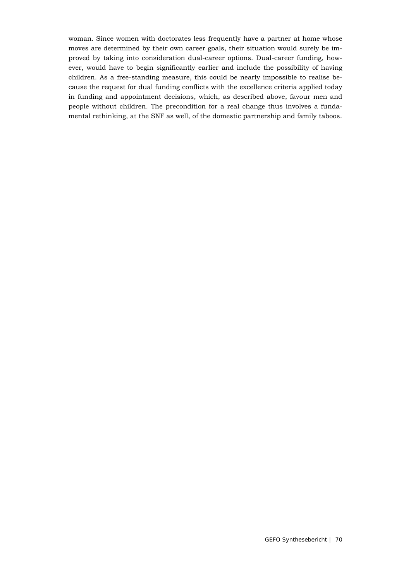woman. Since women with doctorates less frequently have a partner at home whose moves are determined by their own career goals, their situation would surely be improved by taking into consideration dual-career options. Dual-career funding, however, would have to begin significantly earlier and include the possibility of having children. As a free-standing measure, this could be nearly impossible to realise because the request for dual funding conflicts with the excellence criteria applied today in funding and appointment decisions, which, as described above, favour men and people without children. The precondition for a real change thus involves a fundamental rethinking, at the SNF as well, of the domestic partnership and family taboos.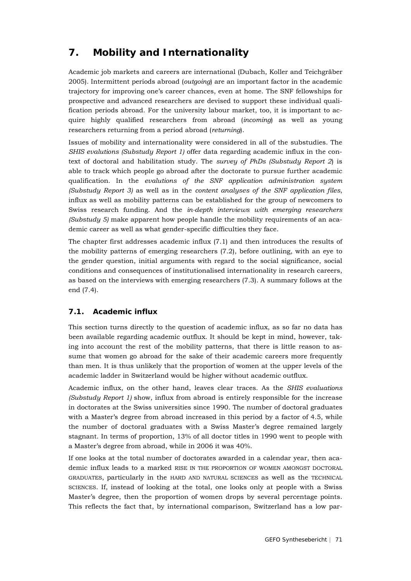# **7. Mobility and Internationality**

Academic job markets and careers are international (Dubach, Koller and Teichgräber 2005). Intermittent periods abroad (*outgoing*) are an important factor in the academic trajectory for improving one's career chances, even at home. The SNF fellowships for prospective and advanced researchers are devised to support these individual qualification periods abroad. For the university labour market, too, it is important to acquire highly qualified researchers from abroad (*incoming*) as well as young researchers returning from a period abroad (*returning*).

Issues of mobility and internationality were considered in all of the substudies. The *SHIS evalutions (Substudy Report 1)* offer data regarding academic influx in the context of doctoral and habilitation study. The *survey of PhDs (Substudy Report 2*) is able to track which people go abroad after the doctorate to pursue further academic qualification. In the *evalutions of the SNF application administration system (Substudy Report 3)* as well as in the *content analyses of the SNF application files*, influx as well as mobility patterns can be established for the group of newcomers to Swiss research funding. And the *in-depth interviews with emerging researchers (Substudy 5)* make apparent how people handle the mobility requirements of an academic career as well as what gender-specific difficulties they face.

The chapter first addresses academic influx (7.1) and then introduces the results of the mobility patterns of emerging researchers (7.2), before outlining, with an eye to the gender question, initial arguments with regard to the social significance, social conditions and consequences of institutionalised internationality in research careers, as based on the interviews with emerging researchers (7.3). A summary follows at the end (7.4).

# **7.1. Academic influx**

This section turns directly to the question of academic influx, as so far no data has been available regarding academic outflux. It should be kept in mind, however, taking into account the rest of the mobility patterns, that there is little reason to assume that women go abroad for the sake of their academic careers more frequently than men. It is thus unlikely that the proportion of women at the upper levels of the academic ladder in Switzerland would be higher without academic outflux.

Academic influx, on the other hand, leaves clear traces. As the *SHIS evaluations (Substudy Report 1)* show, influx from abroad is entirely responsible for the increase in doctorates at the Swiss universities since 1990. The number of doctoral graduates with a Master's degree from abroad increased in this period by a factor of 4.5, while the number of doctoral graduates with a Swiss Master's degree remained largely stagnant. In terms of proportion, 13% of all doctor titles in 1990 went to people with a Master's degree from abroad, while in 2006 it was 40%.

If one looks at the total number of doctorates awarded in a calendar year, then academic influx leads to a marked RISE IN THE PROPORTION OF WOMEN AMONGST DOCTORAL GRADUATES, particularly in the HARD AND NATURAL SCIENCES as well as the TECHNICAL SCIENCES. If, instead of looking at the total, one looks only at people with a Swiss Master's degree, then the proportion of women drops by several percentage points. This reflects the fact that, by international comparison, Switzerland has a low par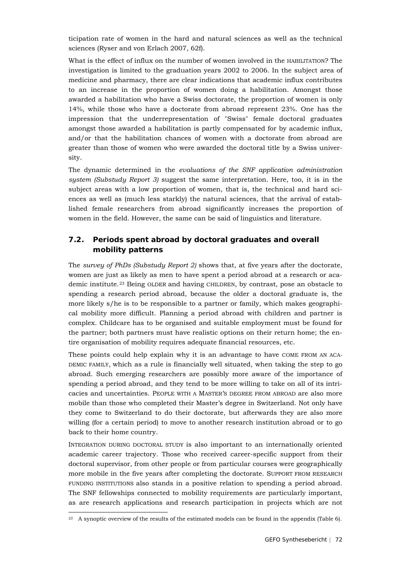ticipation rate of women in the hard and natural sciences as well as the technical sciences (Ryser and von Erlach 2007, 62f).

What is the effect of influx on the number of women involved in the HABILITATION? The investigation is limited to the graduation years 2002 to 2006. In the subject area of medicine and pharmacy, there are clear indications that academic influx contributes to an increase in the proportion of women doing a habilitation. Amongst those awarded a habilitation who have a Swiss doctorate, the proportion of women is only 14%, while those who have a doctorate from abroad represent 23%. One has the impression that the underrepresentation of "Swiss" female doctoral graduates amongst those awarded a habilitation is partly compensated for by academic influx, and/or that the habilitation chances of women with a doctorate from abroad are greater than those of women who were awarded the doctoral title by a Swiss university.

The dynamic determined in the *evaluations of the SNF application administration system (Substudy Report 3)* suggest the same interpretation. Here, too, it is in the subject areas with a low proportion of women, that is, the technical and hard sciences as well as (much less starkly) the natural sciences, that the arrival of established female researchers from abroad significantly increases the proportion of women in the field. However, the same can be said of linguistics and literature.

# **7.2. Periods spent abroad by doctoral graduates and overall mobility patterns**

The *survey of PhDs (Substudy Report 2)* shows that, at five years after the doctorate, women are just as likely as men to have spent a period abroad at a research or aca-demic institute.<sup>[23](#page-71-0)</sup> Being OLDER and having CHILDREN, by contrast, pose an obstacle to spending a research period abroad, because the older a doctoral graduate is, the more likely s/he is to be responsible to a partner or family, which makes geographical mobility more difficult. Planning a period abroad with children and partner is complex. Childcare has to be organised and suitable employment must be found for the partner; both partners must have realistic options on their return home; the entire organisation of mobility requires adequate financial resources, etc.

These points could help explain why it is an advantage to have COME FROM AN ACA-DEMIC FAMILY, which as a rule is financially well situated, when taking the step to go abroad. Such emerging researchers are possibly more aware of the importance of spending a period abroad, and they tend to be more willing to take on all of its intricacies and uncertainties. PEOPLE WITH A MASTER'S DEGREE FROM ABROAD are also more mobile than those who completed their Master's degree in Switzerland. Not only have they come to Switzerland to do their doctorate, but afterwards they are also more willing (for a certain period) to move to another research institution abroad or to go back to their home country.

INTEGRATION DURING DOCTORAL STUDY is also important to an internationally oriented academic career trajectory. Those who received career-specific support from their doctoral supervisor, from other people or from particular courses were geographically more mobile in the five years after completing the doctorate. SUPPORT FROM RESEARCH FUNDING INSTITUTIONS also stands in a positive relation to spending a period abroad. The SNF fellowships connected to mobility requirements are particularly important, as are research applications and research participation in projects which are not

<span id="page-71-0"></span><sup>&</sup>lt;sup>23</sup> A synoptic overview of the results of the estimated models can be found in the appendix (Table 6).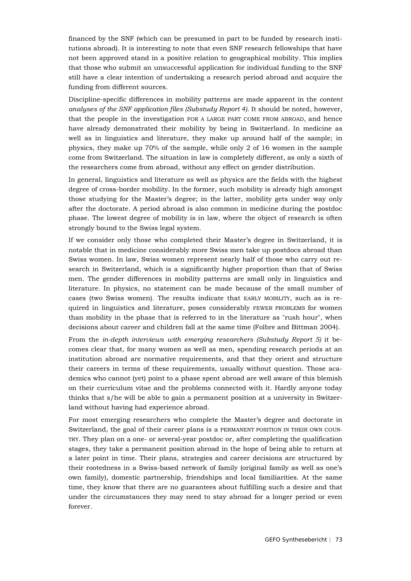financed by the SNF (which can be presumed in part to be funded by research institutions abroad). It is interesting to note that even SNF research fellowships that have not been approved stand in a positive relation to geographical mobility. This implies that those who submit an unsuccessful application for individual funding to the SNF still have a clear intention of undertaking a research period abroad and acquire the funding from different sources.

Discipline-specific differences in mobility patterns are made apparent in the *content analyses of the SNF application files (Substudy Report 4)*. It should be noted, however, that the people in the investigation FOR A LARGE PART COME FROM ABROAD, and hence have already demonstrated their mobility by being in Switzerland. In medicine as well as in linguistics and literature, they make up around half of the sample; in physics, they make up 70% of the sample, while only 2 of 16 women in the sample come from Switzerland. The situation in law is completely different, as only a sixth of the researchers come from abroad, without any effect on gender distribution.

In general, linguistics and literature as well as physics are the fields with the highest degree of cross-border mobility. In the former, such mobility is already high amongst those studying for the Master's degree; in the latter, mobility gets under way only after the doctorate. A period abroad is also common in medicine during the postdoc phase. The lowest degree of mobility is in law, where the object of research is often strongly bound to the Swiss legal system.

If we consider only those who completed their Master's degree in Switzerland, it is notable that in medicine considerably more Swiss men take up postdocs abroad than Swiss women. In law, Swiss women represent nearly half of those who carry out research in Switzerland, which is a significantly higher proportion than that of Swiss men. The gender differences in mobility patterns are small only in linguistics and literature. In physics, no statement can be made because of the small number of cases (two Swiss women). The results indicate that EARLY MOBILITY, such as is required in linguistics and literature, poses considerably FEWER PROBLEMS for women than mobility in the phase that is referred to in the literature as "rush hour", when decisions about career and children fall at the same time (Folbre and Bittman 2004).

From the *in-depth interviews with emerging researchers (Substudy Report 5)* it becomes clear that, for many women as well as men, spending research periods at an institution abroad are normative requirements, and that they orient and structure their careers in terms of these requirements, usually without question. Those academics who cannot (yet) point to a phase spent abroad are well aware of this blemish on their curriculum vitae and the problems connected with it. Hardly anyone today thinks that s/he will be able to gain a permanent position at a university in Switzerland without having had experience abroad.

For most emerging researchers who complete the Master's degree and doctorate in Switzerland, the goal of their career plans is a PERMANENT POSITION IN THEIR OWN COUN-TRY. They plan on a one- or several-year postdoc or, after completing the qualification stages, they take a permanent position abroad in the hope of being able to return at a later point in time. Their plans, strategies and career decisions are structured by their rootedness in a Swiss-based network of family (original family as well as one's own family), domestic partnership, friendships and local familiarities. At the same time, they know that there are no guarantees about fulfilling such a desire and that under the circumstances they may need to stay abroad for a longer period or even forever.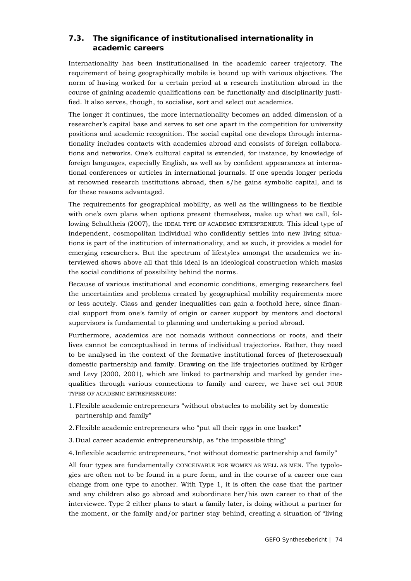## **7.3. The significance of institutionalised internationality in academic careers**

Internationality has been institutionalised in the academic career trajectory. The requirement of being geographically mobile is bound up with various objectives. The norm of having worked for a certain period at a research institution abroad in the course of gaining academic qualifications can be functionally and disciplinarily justified. It also serves, though, to socialise, sort and select out academics.

The longer it continues, the more internationality becomes an added dimension of a researcher's capital base and serves to set one apart in the competition for university positions and academic recognition. The social capital one develops through internationality includes contacts with academics abroad and consists of foreign collaborations and networks. One's cultural capital is extended, for instance, by knowledge of foreign languages, especially English, as well as by confident appearances at international conferences or articles in international journals. If one spends longer periods at renowned research institutions abroad, then s/he gains symbolic capital, and is for these reasons advantaged.

The requirements for geographical mobility, as well as the willingness to be flexible with one's own plans when options present themselves, make up what we call, following Schultheis (2007), the IDEAL TYPE OF ACADEMIC ENTERPRENEUR. This ideal type of independent, cosmopolitan individual who confidently settles into new living situations is part of the institution of internationality, and as such, it provides a model for emerging researchers. But the spectrum of lifestyles amongst the academics we interviewed shows above all that this ideal is an ideological construction which masks the social conditions of possibility behind the norms.

Because of various institutional and economic conditions, emerging researchers feel the uncertainties and problems created by geographical mobility requirements more or less acutely. Class and gender inequalities can gain a foothold here, since financial support from one's family of origin or career support by mentors and doctoral supervisors is fundamental to planning and undertaking a period abroad.

Furthermore, academics are not nomads without connections or roots, and their lives cannot be conceptualised in terms of individual trajectories. Rather, they need to be analysed in the context of the formative institutional forces of (heterosexual) domestic partnership and family. Drawing on the life trajectories outlined by Krüger and Levy (2000, 2001), which are linked to partnership and marked by gender inequalities through various connections to family and career, we have set out FOUR TYPES OF ACADEMIC ENTREPRENEURS:

- 1.Flexible academic entrepreneurs "without obstacles to mobility set by domestic partnership and family"
- 2.Flexible academic entrepreneurs who "put all their eggs in one basket"
- 3.Dual career academic entrepreneurship, as "the impossible thing"

4.Inflexible academic entrepreneurs, "not without domestic partnership and family"

All four types are fundamentally CONCEIVABLE FOR WOMEN AS WELL AS MEN. The typologies are often not to be found in a pure form, and in the course of a career one can change from one type to another. With Type 1, it is often the case that the partner and any children also go abroad and subordinate her/his own career to that of the interviewee. Type 2 either plans to start a family later, is doing without a partner for the moment, or the family and/or partner stay behind, creating a situation of "living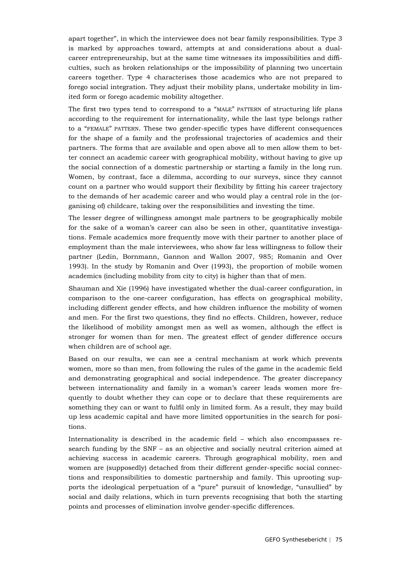apart together", in which the interviewee does not bear family responsibilities. Type 3 is marked by approaches toward, attempts at and considerations about a dualcareer entrepreneurship, but at the same time witnesses its impossibilities and difficulties, such as broken relationships or the impossibility of planning two uncertain careers together. Type 4 characterises those academics who are not prepared to forego social integration. They adjust their mobility plans, undertake mobility in limited form or forego academic mobility altogether.

The first two types tend to correspond to a "MALE" PATTERN of structuring life plans according to the requirement for internationality, while the last type belongs rather to a "FEMALE" PATTERN. These two gender-specific types have different consequences for the shape of a family and the professional trajectories of academics and their partners. The forms that are available and open above all to men allow them to better connect an academic career with geographical mobility, without having to give up the social connection of a domestic partnership or starting a family in the long run. Women, by contrast, face a dilemma, according to our surveys, since they cannot count on a partner who would support their flexibility by fitting his career trajectory to the demands of her academic career and who would play a central role in the (organising of) childcare, taking over the responsibilities and investing the time.

The lesser degree of willingness amongst male partners to be geographically mobile for the sake of a woman's career can also be seen in other, quantitative investigations. Female academics more frequently move with their partner to another place of employment than the male interviewees, who show far less willingness to follow their partner (Ledin, Bornmann, Gannon and Wallon 2007, 985; Romanin and Over 1993). In the study by Romanin and Over (1993), the proportion of mobile women academics (including mobility from city to city) is higher than that of men.

Shauman and Xie (1996) have investigated whether the dual-career configuration, in comparison to the one-career configuration, has effects on geographical mobility, including different gender effects, and how children influence the mobility of women and men. For the first two questions, they find no effects. Children, however, reduce the likelihood of mobility amongst men as well as women, although the effect is stronger for women than for men. The greatest effect of gender difference occurs when children are of school age.

Based on our results, we can see a central mechanism at work which prevents women, more so than men, from following the rules of the game in the academic field and demonstrating geographical and social independence. The greater discrepancy between internationality and family in a woman's career leads women more frequently to doubt whether they can cope or to declare that these requirements are something they can or want to fulfil only in limited form. As a result, they may build up less academic capital and have more limited opportunities in the search for positions.

Internationality is described in the academic field – which also encompasses research funding by the SNF – as an objective and socially neutral criterion aimed at achieving success in academic careers. Through geographical mobility, men and women are (supposedly) detached from their different gender-specific social connections and responsibilities to domestic partnership and family. This uprooting supports the ideological perpetuation of a "pure" pursuit of knowledge, "unsullied" by social and daily relations, which in turn prevents recognising that both the starting points and processes of elimination involve gender-specific differences.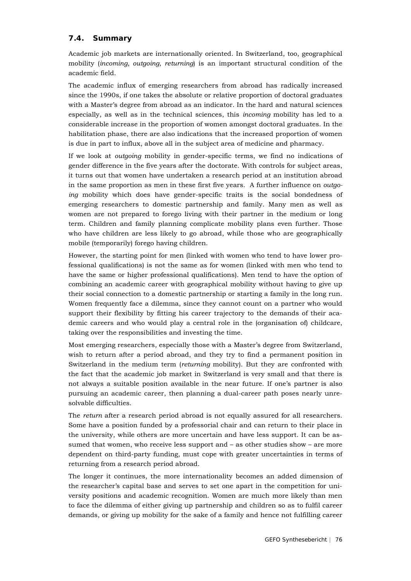### **7.4. Summary**

Academic job markets are internationally oriented. In Switzerland, too, geographical mobility (*incoming, outgoing, returning*) is an important structural condition of the academic field.

The academic influx of emerging researchers from abroad has radically increased since the 1990s, if one takes the absolute or relative proportion of doctoral graduates with a Master's degree from abroad as an indicator. In the hard and natural sciences especially, as well as in the technical sciences, this *incoming* mobility has led to a considerable increase in the proportion of women amongst doctoral graduates. In the habilitation phase, there are also indications that the increased proportion of women is due in part to influx, above all in the subject area of medicine and pharmacy.

If we look at *outgoing* mobility in gender-specific terms, we find no indications of gender difference in the five years after the doctorate. With controls for subject areas, it turns out that women have undertaken a research period at an institution abroad in the same proportion as men in these first five years. A further influence on *outgoing* mobility which does have gender-specific traits is the social bondedness of emerging researchers to domestic partnership and family. Many men as well as women are not prepared to forego living with their partner in the medium or long term. Children and family planning complicate mobility plans even further. Those who have children are less likely to go abroad, while those who are geographically mobile (temporarily) forego having children.

However, the starting point for men (linked with women who tend to have lower professional qualifications) is not the same as for women (linked with men who tend to have the same or higher professional qualifications). Men tend to have the option of combining an academic career with geographical mobility without having to give up their social connection to a domestic partnership or starting a family in the long run. Women frequently face a dilemma, since they cannot count on a partner who would support their flexibility by fitting his career trajectory to the demands of their academic careers and who would play a central role in the (organisation of) childcare, taking over the responsibilities and investing the time.

Most emerging researchers, especially those with a Master's degree from Switzerland, wish to return after a period abroad, and they try to find a permanent position in Switzerland in the medium term (*returning* mobility). But they are confronted with the fact that the academic job market in Switzerland is very small and that there is not always a suitable position available in the near future. If one's partner is also pursuing an academic career, then planning a dual-career path poses nearly unresolvable difficulties.

The *return* after a research period abroad is not equally assured for all researchers. Some have a position funded by a professorial chair and can return to their place in the university, while others are more uncertain and have less support. It can be assumed that women, who receive less support and – as other studies show – are more dependent on third-party funding, must cope with greater uncertainties in terms of returning from a research period abroad.

The longer it continues, the more internationality becomes an added dimension of the researcher's capital base and serves to set one apart in the competition for university positions and academic recognition. Women are much more likely than men to face the dilemma of either giving up partnership and children so as to fulfil career demands, or giving up mobility for the sake of a family and hence not fulfilling career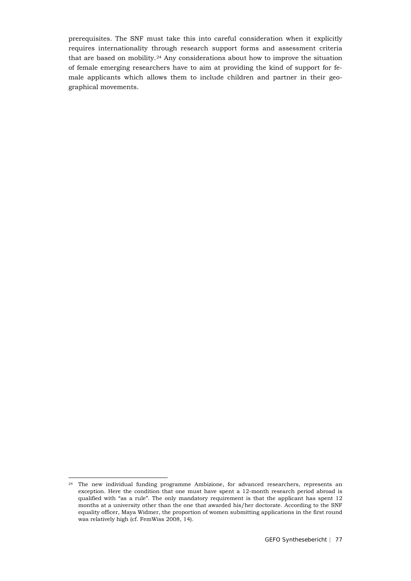prerequisites. The SNF must take this into careful consideration when it explicitly requires internationality through research support forms and assessment criteria that are based on mobility.[24](#page-76-0) Any considerations about how to improve the situation of female emerging researchers have to aim at providing the kind of support for female applicants which allows them to include children and partner in their geographical movements.

<span id="page-76-0"></span><sup>&</sup>lt;sup>24</sup> The new individual funding programme Ambizione, for advanced researchers, represents an exception. Here the condition that one must have spent a 12-month research period abroad is qualified with "as a rule". The only mandatory requirement is that the applicant has spent 12 months at a university other than the one that awarded his/her doctorate. According to the SNF equality officer, Maya Widmer, the proportion of women submitting applications in the first round was relatively high (cf. FemWiss 2008, 14).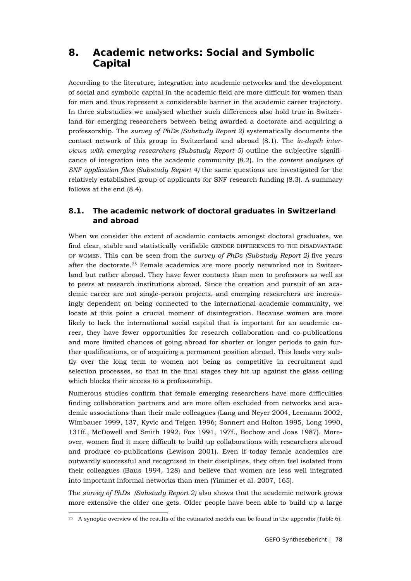## **8. Academic networks: Social and Symbolic Capital**

According to the literature, integration into academic networks and the development of social and symbolic capital in the academic field are more difficult for women than for men and thus represent a considerable barrier in the academic career trajectory. In three substudies we analysed whether such differences also hold true in Switzerland for emerging researchers between being awarded a doctorate and acquiring a professorship. The *survey of PhDs (Substudy Report 2)* systematically documents the contact network of this group in Switzerland and abroad (8.1). The *in-depth interviews with emerging researchers (Substudy Report 5)* outline the subjective significance of integration into the academic community (8.2). In the *content analyses of SNF application files (Substudy Report 4)* the same questions are investigated for the relatively established group of applicants for SNF research funding (8.3). A summary follows at the end (8.4).

## **8.1. The academic network of doctoral graduates in Switzerland and abroad**

When we consider the extent of academic contacts amongst doctoral graduates, we find clear, stable and statistically verifiable GENDER DIFFERENCES TO THE DISADVANTAGE OF WOMEN. This can be seen from the *survey of PhDs (Substudy Report 2)* five years after the doctorate.[25](#page-77-0) Female academics are more poorly networked not in Switzerland but rather abroad. They have fewer contacts than men to professors as well as to peers at research institutions abroad. Since the creation and pursuit of an academic career are not single-person projects, and emerging researchers are increasingly dependent on being connected to the international academic community, we locate at this point a crucial moment of disintegration. Because women are more likely to lack the international social capital that is important for an academic career, they have fewer opportunities for research collaboration and co-publications and more limited chances of going abroad for shorter or longer periods to gain further qualifications, or of acquiring a permanent position abroad. This leads very subtly over the long term to women not being as competitive in recruitment and selection processes, so that in the final stages they hit up against the glass ceiling which blocks their access to a professorship.

Numerous studies confirm that female emerging researchers have more difficulties finding collaboration partners and are more often excluded from networks and academic associations than their male colleagues (Lang and Neyer 2004, Leemann 2002, Wimbauer 1999, 137, Kyvic and Teigen 1996; Sonnert and Holton 1995, Long 1990, 131ff., McDowell and Smith 1992, Fox 1991, 197f., Bochow and Joas 1987). Moreover, women find it more difficult to build up collaborations with researchers abroad and produce co-publications (Lewison 2001). Even if today female academics are outwardly successful and recognised in their disciplines, they often feel isolated from their colleagues (Baus 1994, 128) and believe that women are less well integrated into important informal networks than men (Yimmer et al. 2007, 165).

The *survey of PhDs (Substudy Report 2)* also shows that the academic network grows more extensive the older one gets. Older people have been able to build up a large

<span id="page-77-0"></span><sup>&</sup>lt;sup>25</sup> A synoptic overview of the results of the estimated models can be found in the appendix (Table 6).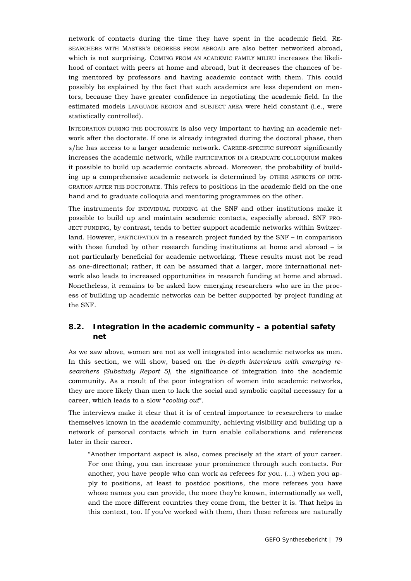network of contacts during the time they have spent in the academic field. RE-SEARCHERS WITH MASTER'S DEGREES FROM ABROAD are also better networked abroad, which is not surprising. COMING FROM AN ACADEMIC FAMILY MILIEU increases the likelihood of contact with peers at home and abroad, but it decreases the chances of being mentored by professors and having academic contact with them. This could possibly be explained by the fact that such academics are less dependent on mentors, because they have greater confidence in negotiating the academic field. In the estimated models LANGUAGE REGION and SUBJECT AREA were held constant (i.e., were statistically controlled).

INTEGRATION DURING THE DOCTORATE is also very important to having an academic network after the doctorate. If one is already integrated during the doctoral phase, then s/he has access to a larger academic network. CAREER-SPECIFIC SUPPORT significantly increases the academic network, while PARTICIPATION IN A GRADUATE COLLOQUIUM makes it possible to build up academic contacts abroad. Moreover, the probability of building up a comprehensive academic network is determined by OTHER ASPECTS OF INTE-GRATION AFTER THE DOCTORATE. This refers to positions in the academic field on the one hand and to graduate colloquia and mentoring programmes on the other.

The instruments for INDIVIDUAL FUNDING at the SNF and other institutions make it possible to build up and maintain academic contacts, especially abroad. SNF PRO-JECT FUNDING, by contrast, tends to better support academic networks within Switzerland. However, PARTICIPATION in a research project funded by the SNF – in comparison with those funded by other research funding institutions at home and abroad – is not particularly beneficial for academic networking. These results must not be read as one-directional; rather, it can be assumed that a larger, more international network also leads to increased opportunities in research funding at home and abroad. Nonetheless, it remains to be asked how emerging researchers who are in the process of building up academic networks can be better supported by project funding at the SNF.

### **8.2. Integration in the academic community – a potential safety net**

As we saw above, women are not as well integrated into academic networks as men. In this section, we will show, based on the *in-depth interviews with emerging researchers (Substudy Report 5),* the significance of integration into the academic community. As a result of the poor integration of women into academic networks, they are more likely than men to lack the social and symbolic capital necessary for a career, which leads to a slow "*cooling out*".

The interviews make it clear that it is of central importance to researchers to make themselves known in the academic community, achieving visibility and building up a network of personal contacts which in turn enable collaborations and references later in their career.

"Another important aspect is also, comes precisely at the start of your career. For one thing, you can increase your prominence through such contacts. For another, you have people who can work as referees for you. (…) when you apply to positions, at least to postdoc positions, the more referees you have whose names you can provide, the more they're known, internationally as well, and the more different countries they come from, the better it is. That helps in this context, too. If you've worked with them, then these referees are naturally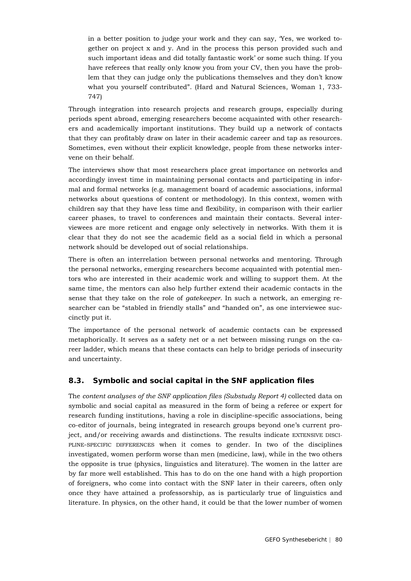in a better position to judge your work and they can say, 'Yes, we worked together on project x and y. And in the process this person provided such and such important ideas and did totally fantastic work' or some such thing. If you have referees that really only know you from your CV, then you have the problem that they can judge only the publications themselves and they don't know what you yourself contributed". (Hard and Natural Sciences, Woman 1, 733- 747)

Through integration into research projects and research groups, especially during periods spent abroad, emerging researchers become acquainted with other researchers and academically important institutions. They build up a network of contacts that they can profitably draw on later in their academic career and tap as resources. Sometimes, even without their explicit knowledge, people from these networks intervene on their behalf.

The interviews show that most researchers place great importance on networks and accordingly invest time in maintaining personal contacts and participating in informal and formal networks (e.g. management board of academic associations, informal networks about questions of content or methodology). In this context, women with children say that they have less time and flexibility, in comparison with their earlier career phases, to travel to conferences and maintain their contacts. Several interviewees are more reticent and engage only selectively in networks. With them it is clear that they do not see the academic field as a social field in which a personal network should be developed out of social relationships.

There is often an interrelation between personal networks and mentoring. Through the personal networks, emerging researchers become acquainted with potential mentors who are interested in their academic work and willing to support them. At the same time, the mentors can also help further extend their academic contacts in the sense that they take on the role of *gatekeeper*. In such a network, an emerging researcher can be "stabled in friendly stalls" and "handed on", as one interviewee succinctly put it.

The importance of the personal network of academic contacts can be expressed metaphorically. It serves as a safety net or a net between missing rungs on the career ladder, which means that these contacts can help to bridge periods of insecurity and uncertainty.

### **8.3. Symbolic and social capital in the SNF application files**

The *content analyses of the SNF application files (Substudy Report 4)* collected data on symbolic and social capital as measured in the form of being a referee or expert for research funding institutions, having a role in discipline-specific associations, being co-editor of journals, being integrated in research groups beyond one's current project, and/or receiving awards and distinctions. The results indicate EXTENSIVE DISCI-PLINE-SPECIFIC DIFFERENCES when it comes to gender. In two of the disciplines investigated, women perform worse than men (medicine, law), while in the two others the opposite is true (physics, linguistics and literature). The women in the latter are by far more well established. This has to do on the one hand with a high proportion of foreigners, who come into contact with the SNF later in their careers, often only once they have attained a professorship, as is particularly true of linguistics and literature. In physics, on the other hand, it could be that the lower number of women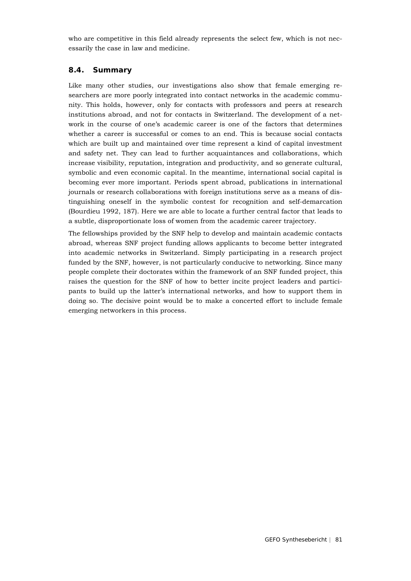who are competitive in this field already represents the select few, which is not necessarily the case in law and medicine.

### **8.4. Summary**

Like many other studies, our investigations also show that female emerging researchers are more poorly integrated into contact networks in the academic community. This holds, however, only for contacts with professors and peers at research institutions abroad, and not for contacts in Switzerland. The development of a network in the course of one's academic career is one of the factors that determines whether a career is successful or comes to an end. This is because social contacts which are built up and maintained over time represent a kind of capital investment and safety net. They can lead to further acquaintances and collaborations, which increase visibility, reputation, integration and productivity, and so generate cultural, symbolic and even economic capital. In the meantime, international social capital is becoming ever more important. Periods spent abroad, publications in international journals or research collaborations with foreign institutions serve as a means of distinguishing oneself in the symbolic contest for recognition and self-demarcation (Bourdieu 1992, 187). Here we are able to locate a further central factor that leads to a subtle, disproportionate loss of women from the academic career trajectory.

The fellowships provided by the SNF help to develop and maintain academic contacts abroad, whereas SNF project funding allows applicants to become better integrated into academic networks in Switzerland. Simply participating in a research project funded by the SNF, however, is not particularly conducive to networking. Since many people complete their doctorates within the framework of an SNF funded project, this raises the question for the SNF of how to better incite project leaders and participants to build up the latter's international networks, and how to support them in doing so. The decisive point would be to make a concerted effort to include female emerging networkers in this process.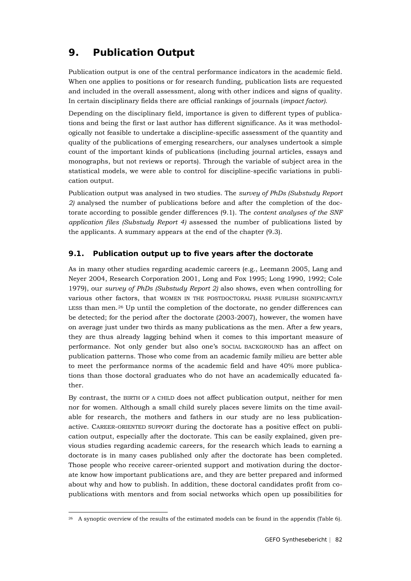# **9. Publication Output**

Publication output is one of the central performance indicators in the academic field. When one applies to positions or for research funding, publication lists are requested and included in the overall assessment, along with other indices and signs of quality. In certain disciplinary fields there are official rankings of journals (*impact factor)*.

Depending on the disciplinary field, importance is given to different types of publications and being the first or last author has different significance. As it was methodologically not feasible to undertake a discipline-specific assessment of the quantity and quality of the publications of emerging researchers, our analyses undertook a simple count of the important kinds of publications (including journal articles, essays and monographs, but not reviews or reports). Through the variable of subject area in the statistical models, we were able to control for discipline-specific variations in publication output.

Publication output was analysed in two studies. The *survey of PhDs (Substudy Report 2)* analysed the number of publications before and after the completion of the doctorate according to possible gender differences (9.1). The *content analyses of the SNF application files (Substudy Report 4)* assessed the number of publications listed by the applicants. A summary appears at the end of the chapter (9.3).

### **9.1. Publication output up to five years after the doctorate**

As in many other studies regarding academic careers (e.g., Leemann 2005, Lang and Neyer 2004, Research Corporation 2001, Long and Fox 1995; Long 1990, 1992; Cole 1979), our *survey of PhDs (Substudy Report 2)* also shows, even when controlling for various other factors, that WOMEN IN THE POSTDOCTORAL PHASE PUBLISH SIGNIFICANTLY LESS than men.<sup>[26](#page-81-0)</sup> Up until the completion of the doctorate, no gender differences can be detected; for the period after the doctorate (2003-2007), however, the women have on average just under two thirds as many publications as the men. After a few years, they are thus already lagging behind when it comes to this important measure of performance. Not only gender but also one's SOCIAL BACKGROUND has an affect on publication patterns. Those who come from an academic family milieu are better able to meet the performance norms of the academic field and have 40% more publications than those doctoral graduates who do not have an academically educated father.

By contrast, the BIRTH OF A CHILD does not affect publication output, neither for men nor for women. Although a small child surely places severe limits on the time available for research, the mothers and fathers in our study are no less publicationactive. CAREER-ORIENTED SUPPORT during the doctorate has a positive effect on publication output, especially after the doctorate. This can be easily explained, given previous studies regarding academic careers, for the research which leads to earning a doctorate is in many cases published only after the doctorate has been completed. Those people who receive career-oriented support and motivation during the doctorate know how important publications are, and they are better prepared and informed about why and how to publish. In addition, these doctoral candidates profit from copublications with mentors and from social networks which open up possibilities for

<span id="page-81-0"></span><sup>&</sup>lt;sup>26</sup> A synoptic overview of the results of the estimated models can be found in the appendix (Table 6).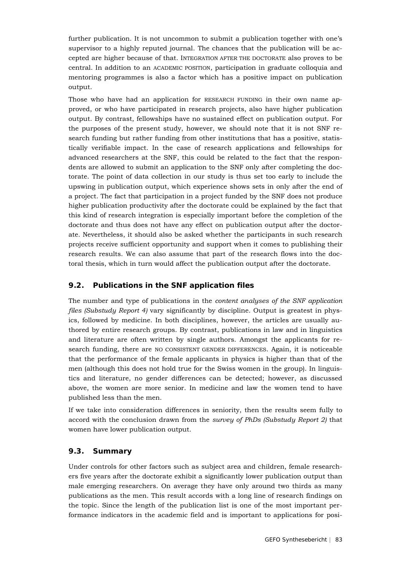further publication. It is not uncommon to submit a publication together with one's supervisor to a highly reputed journal. The chances that the publication will be accepted are higher because of that. INTEGRATION AFTER THE DOCTORATE also proves to be central. In addition to an ACADEMIC POSITION, participation in graduate colloquia and mentoring programmes is also a factor which has a positive impact on publication output.

Those who have had an application for RESEARCH FUNDING in their own name approved, or who have participated in research projects, also have higher publication output. By contrast, fellowships have no sustained effect on publication output. For the purposes of the present study, however, we should note that it is not SNF research funding but rather funding from other institutions that has a positive, statistically verifiable impact. In the case of research applications and fellowships for advanced researchers at the SNF, this could be related to the fact that the respondents are allowed to submit an application to the SNF only after completing the doctorate. The point of data collection in our study is thus set too early to include the upswing in publication output, which experience shows sets in only after the end of a project. The fact that participation in a project funded by the SNF does not produce higher publication productivity after the doctorate could be explained by the fact that this kind of research integration is especially important before the completion of the doctorate and thus does not have any effect on publication output after the doctorate. Nevertheless, it should also be asked whether the participants in such research projects receive sufficient opportunity and support when it comes to publishing their research results. We can also assume that part of the research flows into the doctoral thesis, which in turn would affect the publication output after the doctorate.

#### **9.2. Publications in the SNF application files**

The number and type of publications in the *content analyses of the SNF application files (Substudy Report 4)* vary significantly by discipline. Output is greatest in physics, followed by medicine. In both disciplines, however, the articles are usually authored by entire research groups. By contrast, publications in law and in linguistics and literature are often written by single authors. Amongst the applicants for research funding, there are NO CONSISTENT GENDER DIFFERENCES. Again, it is noticeable that the performance of the female applicants in physics is higher than that of the men (although this does not hold true for the Swiss women in the group). In linguistics and literature, no gender differences can be detected; however, as discussed above, the women are more senior. In medicine and law the women tend to have published less than the men.

If we take into consideration differences in seniority, then the results seem fully to accord with the conclusion drawn from the *survey of PhDs (Substudy Report 2)* that women have lower publication output.

#### **9.3. Summary**

Under controls for other factors such as subject area and children, female researchers five years after the doctorate exhibit a significantly lower publication output than male emerging researchers. On average they have only around two thirds as many publications as the men. This result accords with a long line of research findings on the topic. Since the length of the publication list is one of the most important performance indicators in the academic field and is important to applications for posi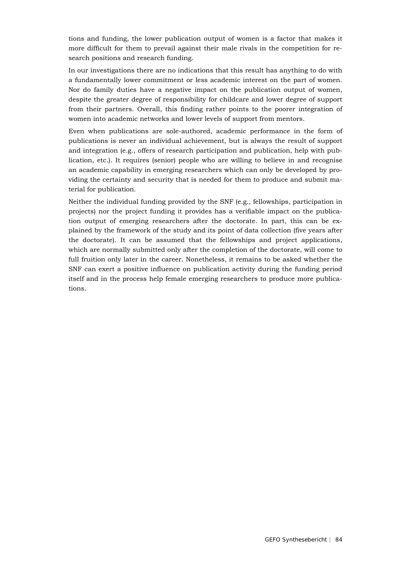tions and funding, the lower publication output of women is a factor that makes it more difficult for them to prevail against their male rivals in the competition for research positions and research funding.

In our investigations there are no indications that this result has anything to do with a fundamentally lower commitment or less academic interest on the part of women. Nor do family duties have a negative impact on the publication output of women, despite the greater degree of responsibility for childcare and lower degree of support from their partners. Overall, this finding rather points to the poorer integration of women into academic networks and lower levels of support from mentors.

Even when publications are sole-authored, academic performance in the form of publications is never an individual achievement, but is always the result of support and integration (e.g., offers of research participation and publication, help with publication, etc.). It requires (senior) people who are willing to believe in and recognise an academic capability in emerging researchers which can only be developed by providing the certainty and security that is needed for them to produce and submit material for publication.

Neither the individual funding provided by the SNF (e.g., fellowships, participation in projects) nor the project funding it provides has a verifiable impact on the publication output of emerging researchers after the doctorate. In part, this can be explained by the framework of the study and its point of data collection (five years after the doctorate). It can be assumed that the fellowships and project applications, which are normally submitted only after the completion of the doctorate, will come to full fruition only later in the career. Nonetheless, it remains to be asked whether the SNF can exert a positive influence on publication activity during the funding period itself and in the process help female emerging researchers to produce more publications.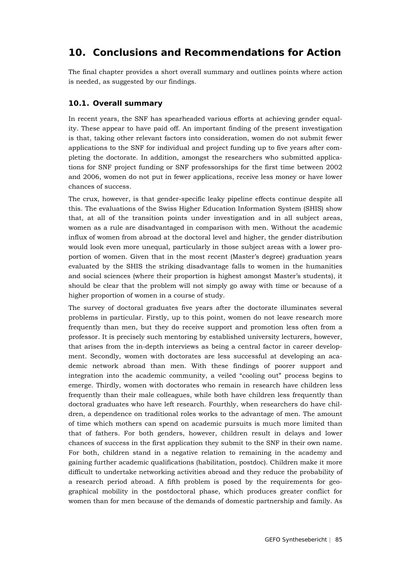## **10. Conclusions and Recommendations for Action**

The final chapter provides a short overall summary and outlines points where action is needed, as suggested by our findings.

### **10.1. Overall summary**

In recent years, the SNF has spearheaded various efforts at achieving gender equality. These appear to have paid off. An important finding of the present investigation is that, taking other relevant factors into consideration, women do not submit fewer applications to the SNF for individual and project funding up to five years after completing the doctorate. In addition, amongst the researchers who submitted applications for SNF project funding or SNF professorships for the first time between 2002 and 2006, women do not put in fewer applications, receive less money or have lower chances of success.

The crux, however, is that gender-specific leaky pipeline effects continue despite all this. The evaluations of the Swiss Higher Education Information System (SHIS) show that, at all of the transition points under investigation and in all subject areas, women as a rule are disadvantaged in comparison with men. Without the academic influx of women from abroad at the doctoral level and higher, the gender distribution would look even more unequal, particularly in those subject areas with a lower proportion of women. Given that in the most recent (Master's degree) graduation years evaluated by the SHIS the striking disadvantage falls to women in the humanities and social sciences (where their proportion is highest amongst Master's students), it should be clear that the problem will not simply go away with time or because of a higher proportion of women in a course of study.

The survey of doctoral graduates five years after the doctorate illuminates several problems in particular. Firstly, up to this point, women do not leave research more frequently than men, but they do receive support and promotion less often from a professor. It is precisely such mentoring by established university lecturers, however, that arises from the in-depth interviews as being a central factor in career development. Secondly, women with doctorates are less successful at developing an academic network abroad than men. With these findings of poorer support and integration into the academic community, a veiled "cooling out" process begins to emerge. Thirdly, women with doctorates who remain in research have children less frequently than their male colleagues, while both have children less frequently than doctoral graduates who have left research. Fourthly, when researchers do have children, a dependence on traditional roles works to the advantage of men. The amount of time which mothers can spend on academic pursuits is much more limited than that of fathers. For both genders, however, children result in delays and lower chances of success in the first application they submit to the SNF in their own name. For both, children stand in a negative relation to remaining in the academy and gaining further academic qualifications (habilitation, postdoc). Children make it more difficult to undertake networking activities abroad and they reduce the probability of a research period abroad. A fifth problem is posed by the requirements for geographical mobility in the postdoctoral phase, which produces greater conflict for women than for men because of the demands of domestic partnership and family. As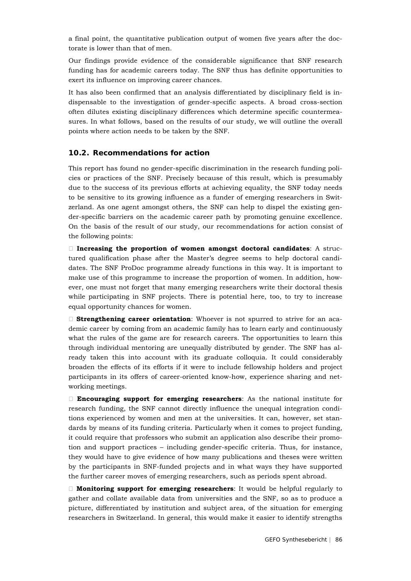a final point, the quantitative publication output of women five years after the doctorate is lower than that of men.

Our findings provide evidence of the considerable significance that SNF research funding has for academic careers today. The SNF thus has definite opportunities to exert its influence on improving career chances.

It has also been confirmed that an analysis differentiated by disciplinary field is indispensable to the investigation of gender-specific aspects. A broad cross-section often dilutes existing disciplinary differences which determine specific countermeasures. In what follows, based on the results of our study, we will outline the overall points where action needs to be taken by the SNF.

#### **10.2. Recommendations for action**

This report has found no gender-specific discrimination in the research funding policies or practices of the SNF. Precisely because of this result, which is presumably due to the success of its previous efforts at achieving equality, the SNF today needs to be sensitive to its growing influence as a funder of emerging researchers in Switzerland. As one agent amongst others, the SNF can help to dispel the existing gender-specific barriers on the academic career path by promoting genuine excellence. On the basis of the result of our study, our recommendations for action consist of the following points:

 **Increasing the proportion of women amongst doctoral candidates**: A structured qualification phase after the Master's degree seems to help doctoral candidates. The SNF ProDoc programme already functions in this way. It is important to make use of this programme to increase the proportion of women. In addition, however, one must not forget that many emerging researchers write their doctoral thesis while participating in SNF projects. There is potential here, too, to try to increase equal opportunity chances for women.

 **Strengthening career orientation**: Whoever is not spurred to strive for an academic career by coming from an academic family has to learn early and continuously what the rules of the game are for research careers. The opportunities to learn this through individual mentoring are unequally distributed by gender. The SNF has already taken this into account with its graduate colloquia. It could considerably broaden the effects of its efforts if it were to include fellowship holders and project participants in its offers of career-oriented know-how, experience sharing and networking meetings.

 **Encouraging support for emerging researchers**: As the national institute for research funding, the SNF cannot directly influence the unequal integration conditions experienced by women and men at the universities. It can, however, set standards by means of its funding criteria. Particularly when it comes to project funding, it could require that professors who submit an application also describe their promotion and support practices – including gender-specific criteria. Thus, for instance, they would have to give evidence of how many publications and theses were written by the participants in SNF-funded projects and in what ways they have supported the further career moves of emerging researchers, such as periods spent abroad.

 **Monitoring support for emerging researchers**: It would be helpful regularly to gather and collate available data from universities and the SNF, so as to produce a picture, differentiated by institution and subject area, of the situation for emerging researchers in Switzerland. In general, this would make it easier to identify strengths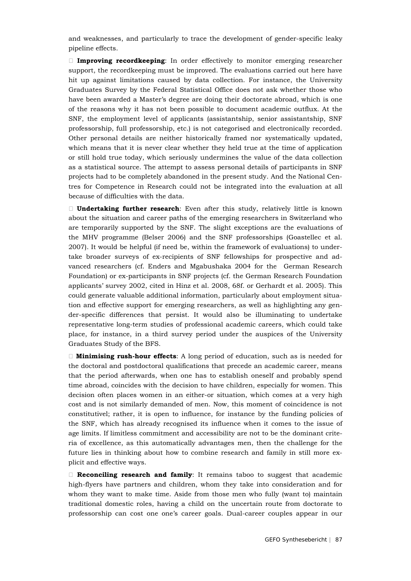and weaknesses, and particularly to trace the development of gender-specific leaky pipeline effects.

 **Improving recordkeeping**: In order effectively to monitor emerging researcher support, the recordkeeping must be improved. The evaluations carried out here have hit up against limitations caused by data collection. For instance, the University Graduates Survey by the Federal Statistical Office does not ask whether those who have been awarded a Master's degree are doing their doctorate abroad, which is one of the reasons why it has not been possible to document academic outflux. At the SNF, the employment level of applicants (assistantship, senior assistantship, SNF professorship, full professorship, etc.) is not categorised and electronically recorded. Other personal details are neither historically framed nor systematically updated, which means that it is never clear whether they held true at the time of application or still hold true today, which seriously undermines the value of the data collection as a statistical source. The attempt to assess personal details of participants in SNF projects had to be completely abandoned in the present study. And the National Centres for Competence in Research could not be integrated into the evaluation at all because of difficulties with the data.

 **Undertaking further research**: Even after this study, relatively little is known about the situation and career paths of the emerging researchers in Switzerland who are temporarily supported by the SNF. The slight exceptions are the evaluations of the MHV programme (Belser 2006) and the SNF professorships (Goastellec et al. 2007). It would be helpful (if need be, within the framework of evaluations) to undertake broader surveys of ex-recipients of SNF fellowships for prospective and advanced researchers (cf. Enders and Mgabushaka 2004 for the German Research Foundation) or ex-participants in SNF projects (cf. the German Research Foundation applicants' survey 2002, cited in Hinz et al. 2008, 68f. or Gerhardt et al. 2005). This could generate valuable additional information, particularly about employment situation and effective support for emerging researchers, as well as highlighting any gender-specific differences that persist. It would also be illuminating to undertake representative long-term studies of professional academic careers, which could take place, for instance, in a third survey period under the auspices of the University Graduates Study of the BFS.

 **Minimising rush-hour effects**: A long period of education, such as is needed for the doctoral and postdoctoral qualifications that precede an academic career, means that the period afterwards, when one has to establish oneself and probably spend time abroad, coincides with the decision to have children, especially for women. This decision often places women in an either-or situation, which comes at a very high cost and is not similarly demanded of men. Now, this moment of coincidence is not constitutivel; rather, it is open to influence, for instance by the funding policies of the SNF, which has already recognised its influence when it comes to the issue of age limits. If limitless commitment and accessibility are not to be the dominant criteria of excellence, as this automatically advantages men, then the challenge for the future lies in thinking about how to combine research and family in still more explicit and effective ways.

 **Reconciling research and family**: It remains taboo to suggest that academic high-flyers have partners and children, whom they take into consideration and for whom they want to make time. Aside from those men who fully (want to) maintain traditional domestic roles, having a child on the uncertain route from doctorate to professorship can cost one one's career goals. Dual-career couples appear in our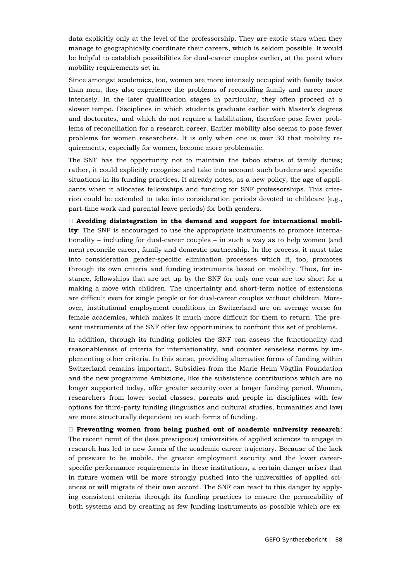data explicitly only at the level of the professorship. They are exotic stars when they manage to geographically coordinate their careers, which is seldom possible. It would be helpful to establish possibilities for dual-career couples earlier, at the point when mobility requirements set in.

Since amongst academics, too, women are more intensely occupied with family tasks than men, they also experience the problems of reconciling family and career more intensely. In the later qualification stages in particular, they often proceed at a slower tempo. Disciplines in which students graduate earlier with Master's degrees and doctorates, and which do not require a habilitation, therefore pose fewer problems of reconciliation for a research career. Earlier mobility also seems to pose fewer problems for women researchers. It is only when one is over 30 that mobility requirements, especially for women, become more problematic.

The SNF has the opportunity not to maintain the taboo status of family duties; rather, it could explicitly recognise and take into account such burdens and specific situations in its funding practices. It already notes, as a new policy, the age of applicants when it allocates fellowships and funding for SNF professorships. This criterion could be extended to take into consideration periods devoted to childcare (e.g., part-time work and parental leave periods) for both genders.

 **Avoiding disintegration in the demand and support for international mobility**: The SNF is encouraged to use the appropriate instruments to promote internationality – including for dual-career couples – in such a way as to help women (and men) reconcile career, family and domestic partnership. In the process, it must take into consideration gender-specific elimination processes which it, too, promotes through its own criteria and funding instruments based on mobility. Thus, for instance, fellowships that are set up by the SNF for only one year are too short for a making a move with children. The uncertainty and short-term notice of extensions are difficult even for single people or for dual-career couples without children. Moreover, institutional employment conditions in Switzerland are on average worse for female academics, which makes it much more difficult for them to return. The present instruments of the SNF offer few opportunities to confront this set of problems.

In addition, through its funding policies the SNF can assess the functionality and reasonableness of criteria for internationality, and counter senseless norms by implementing other criteria. In this sense, providing alternative forms of funding within Switzerland remains important. Subsidies from the Marie Heim Vögtlin Foundation and the new programme Ambizione, like the subsistence contributions which are no longer supported today, offer greater security over a longer funding period. Women, researchers from lower social classes, parents and people in disciplines with few options for third-party funding (linguistics and cultural studies, humanities and law) are more structurally dependent on such forms of funding.

 **Preventing women from being pushed out of academic university research**: The recent remit of the (less prestigious) universities of applied sciences to engage in research has led to new forms of the academic career trajectory. Because of the lack of pressure to be mobile, the greater employment security and the lower careerspecific performance requirements in these institutions, a certain danger arises that in future women will be more strongly pushed into the universities of applied sciences or will migrate of their own accord. The SNF can react to this danger by applying consistent criteria through its funding practices to ensure the permeability of both systems and by creating as few funding instruments as possible which are ex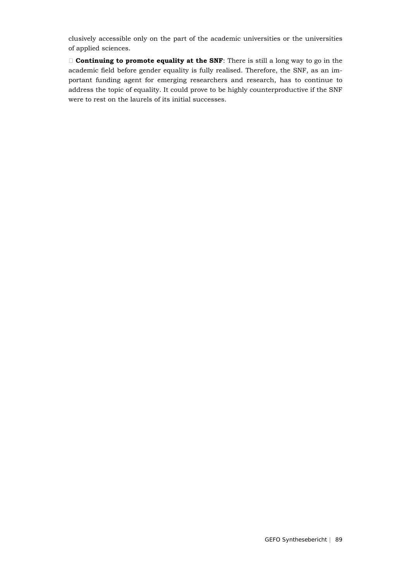clusively accessible only on the part of the academic universities or the universities of applied sciences.

 **Continuing to promote equality at the SNF**: There is still a long way to go in the academic field before gender equality is fully realised. Therefore, the SNF, as an important funding agent for emerging researchers and research, has to continue to address the topic of equality. It could prove to be highly counterproductive if the SNF were to rest on the laurels of its initial successes.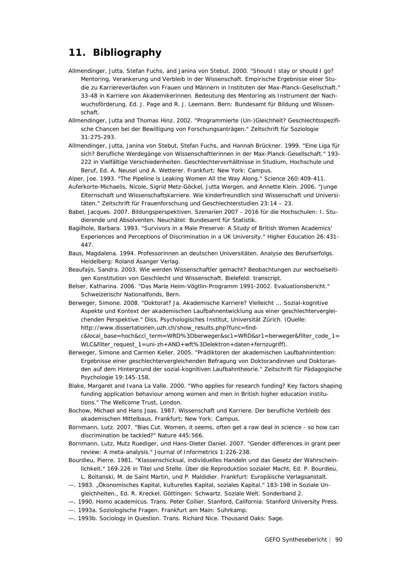## **11. Bibliography**

- Allmendinger, Jutta, Stefan Fuchs, and Janina von Stebut. 2000. "Should I stay or should I go? Mentoring, Verankerung und Verbleib in der Wissenschaft. Empirische Ergebnisse einer Studie zu Karriereverläufen von Frauen und Männern in Instituten der Max-Planck-Gesellschaft." 33-48 in Karriere von Akademikerinnen. Bedeutung des Mentoring als Instrument der Nachwuchsförderung, Ed. J. Page and R. J. Leemann. Bern: Bundesamt für Bildung und Wissenschaft.
- Allmendinger, Jutta and Thomas Hinz. 2002. "Programmierte (Un-)Gleichheit? Geschlechtsspezifische Chancen bei der Bewilligung von Forschungsanträgen." Zeitschrift für Soziologie 31:275-293.
- Allmendinger, Jutta, Janina von Stebut, Stefan Fuchs, and Hannah Brückner. 1999. "Eine Liga für sich? Berufliche Werdegänge von Wissenschaftlerinnen in der Max-Planck-Gesellschaft." 193- 222 in Vielfältige Verschiedenheiten. Geschlechterverhältnisse in Studium, Hochschule und Beruf, Ed. A. Neusel und A. Wetterer. Frankfurt; New York: Campus.
- Alper, Joe. 1993. "The Pipeline is Leaking Women All the Way Along." Science 260:409-411.
- Auferkorte-Michaelis, Nicole, Sigrid Metz-Göckel, Jutta Wergen, and Annette Klein. 2006. "Junge Elternschaft und Wissenschaftskarriere. Wie kinderfreundlich sind Wissenschaft und Universitäten." Zeitschrift für Frauenforschung und Geschlechterstudien 23:14 – 23.
- Babel, Jacques. 2007. Bildungsperspektiven. Szenarien 2007 2016 für die Hochschulen: I. Studierende und Absolventen. Neuchâtel: Bundesamt für Statistik.
- Bagilhole, Barbara. 1993. "Survivors in a Male Preserve: A Study of British Women Academics' Experiences and Perceptions of Discrimination in a UK University." Higher Education 26:431- 447.
- Baus, Magdalena. 1994. Professorinnen an deutschen Universitäten. Analyse des Berufserfolgs. Heidelberg: Roland Asanger Verlag.
- Beaufaÿs, Sandra. 2003. Wie werden Wissenschaftler gemacht? Beobachtungen zur wechselseitigen Konstitution von Geschlecht und Wissenschaft. Bielefeld: transcript.
- Belser, Katharina. 2006. "Das Marie Heim-Vögtlin-Programm 1991-2002. Evaluationsbericht." Schweizerischr Nationalfonds, Bern.
- Berweger, Simone. 2008. "Doktorat? Ja. Akademische Karriere? Vielleicht ... Sozial-kognitive Aspekte und Kontext der akademischen Laufbahnentwicklung aus einer geschlechtervergleichenden Perspektive." Diss, Psychologisches Institut, Universität Zürich. (Quelle: http://www.dissertationen.uzh.ch/show\_results.php?func=find-

c&local\_base=hoch&ccl\_term=WRD%3Dberweger&sc1=WRD&sr1=berweger&filter\_code\_1= WLC&filter\_request\_1=uni-zh+AND+wft%3Delektron+daten+fernzugriff).

- Berweger, Simone and Carmen Keller. 2005. "Prädiktoren der akademischen Laufbahnintention: Ergebnisse einer geschlechtervergleichenden Befragung von Doktorandinnen und Doktoranden auf dem Hintergrund der sozial-kognitiven Laufbahntheorie." Zeitschrift für Pädagogische Psychologie 19:145-158.
- Blake, Margaret and Ivana La Valle. 2000. "Who applies for research funding? Key factors shaping funding application behaviour among women and men in British higher education institutions." The Wellcome Trust, London.
- Bochow, Michael and Hans Joas. 1987. Wissenschaft und Karriere. Der berufliche Verbleib des akademischen Mittelbaus. Frankfurt; New York: Campus.
- Bornmann, Lutz. 2007. "Bias Cut. Women, it seems, often get a raw deal in science so how can discrimination be tackled?" Nature 445:566.
- Bornmann, Lutz, Mutz Ruediger, und Hans-Dieter Daniel. 2007. "Gender differences in grant peer review: A meta-analysis." Journal of Informetrics 1:226-238.
- Bourdieu, Pierre. 1981. "Klassenschicksal, individuelles Handeln und das Gesetz der Wahrscheinlichkeit." 169-226 in Titel und Stelle. Über die Reproduktion sozialer Macht, Ed. P. Bourdieu, L. Boltanski, M. de Saint Martin, und P. Maldidier. Frankfurt: Europäische Verlagsanstalt.
- —. 1983. "Ökonomisches Kapital, kulturelles Kapital, soziales Kapital." 183-198 in Soziale Ungleichheiten., Ed. R. Kreckel. Göttingen: Schwartz. Soziale Welt. Sonderband 2.
- —. 1990. *Homo academicus*. Trans. Peter Collier. Stanford, California: Stanford University Press.
- —. 1993a. Soziologische Fragen. Frankfurt am Main: Suhrkamp.
- —. 1993b. *Sociology in Question*. Trans. Richard Nice. Thousand Oaks: Sage.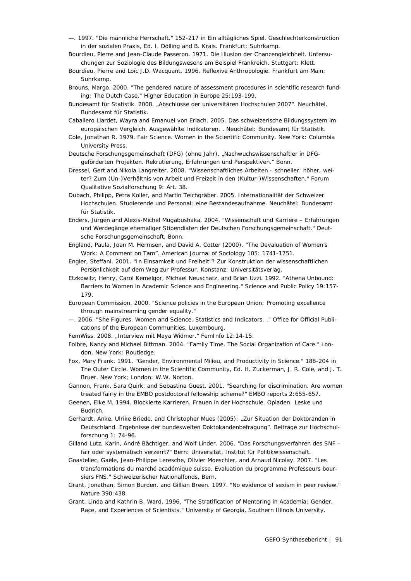- —. 1997. "Die männliche Herrschaft." 152-217 in Ein alltägliches Spiel. Geschlechterkonstruktion in der sozialen Praxis, Ed. I. Dölling and B. Krais. Frankfurt: Suhrkamp.
- Bourdieu, Pierre and Jean-Claude Passeron. 1971. Die Illusion der Chancengleichheit. Untersuchungen zur Soziologie des Bildungswesens am Beispiel Frankreich. Stuttgart: Klett.
- Bourdieu, Pierre and Loïc J.D. Wacquant. 1996. Reflexive Anthropologie. Frankfurt am Main: Suhrkamp.
- Brouns, Margo. 2000. "The gendered nature of assessment procedures in scientific research funding: The Dutch Case." Higher Education in Europe 25:193-199.
- Bundesamt für Statistik. 2008. "Abschlüsse der universitären Hochschulen 2007". Neuchâtel. Bundesamt für Statistik.
- Caballero Liardet, Wayra and Emanuel von Erlach. 2005. Das schweizerische Bildungssystem im europäischen Vergleich. Ausgewählte Indikatoren. . Neuchâtel: Bundesamt für Statistik.
- Cole, Jonathan R. 1979. Fair Science. Women in the Scientific Community. New York: Columbia University Press.
- Deutsche Forschungsgemeinschaft (DFG) (ohne Jahr). "Nachwuchswissenschaftler in DFGgeförderten Projekten. Rekrutierung, Erfahrungen und Perspektiven." Bonn.
- Dressel, Gert and Nikola Langreiter. 2008. "Wissenschaftliches Arbeiten schneller. höher, weiter? Zum (Un-)Verhältnis von Arbeit und Freizeit in den (Kultur-)Wissenschaften." Forum Qualitative Sozialforschung 9: Art. 38.
- Dubach, Philipp, Petra Koller, and Martin Teichgräber. 2005. Internationalität der Schweizer Hochschulen. Studierende und Personal: eine Bestandesaufnahme. Neuchâtel: Bundesamt für Statistik.
- Enders, Jürgen and Alexis-Michel Mugabushaka. 2004. "Wissenschaft und Karriere Erfahrungen und Werdegänge ehemaliger Stipendiaten der Deutschen Forschungsgemeinschaft." Deutsche Forschungsgemeinschaft, Bonn.
- England, Paula, Joan M. Hermsen, and David A. Cotter (2000). "The Devaluation of Women's Work: A Comment on Tam". American Journal of Sociology 105: 1741-1751.
- Engler, Steffani. 2001. "In Einsamkeit und Freiheit"? Zur Konstruktion der wissenschaftlichen Persönlichkeit auf dem Weg zur Professur. Konstanz: Universitätsverlag.
- Etzkowitz, Henry, Carol Kemelgor, Michael Neuschatz, and Brian Uzzi. 1992. "Athena Unbound: Barriers to Women in Academic Science and Engineering." Science and Public Policy 19:157- 179.
- European Commission. 2000. "Science policies in the European Union: Promoting excellence through mainstreaming gender equality."
- —. 2006. "She Figures. Women and Science. Statistics and Indicators. ." Office for Official Publications of the European Communities, Luxembourg.
- FemWiss. 2008. "Interview mit Maya Widmer." FemInfo 12:14-15.
- Folbre, Nancy and Michael Bittman. 2004. "Family Time. The Social Organization of Care." London, New York: Routledge.
- Fox, Mary Frank. 1991. "Gender, Environmental Milieu, and Productivity in Science." 188-204 in The Outer Circle. Women in the Scientific Community, Ed. H. Zuckerman, J. R. Cole, and J. T. Bruer. New York; London: W.W. Norton.
- Gannon, Frank, Sara Quirk, and Sebastina Guest. 2001. "Searching for discrimination. Are women treated fairly in the EMBO postdoctoral fellowship scheme?" EMBO reports 2:655-657.
- Geenen, Elke M. 1994. Blockierte Karrieren. Frauen in der Hochschule. Opladen: Leske und Budrich.
- Gerhardt, Anke, Ulrike Briede, and Christopher Mues (2005): "Zur Situation der Doktoranden in Deutschland. Ergebnisse der bundesweiten Doktokandenbefragung". Beiträge zur Hochschulforschung 1: 74-96.
- Gilland Lutz, Karin, André Bächtiger, and Wolf Linder. 2006. "Das Forschungsverfahren des SNF fair oder systematisch verzerrt?" Bern: Universität, Institut für Politikwissenschaft.
- Goastellec, Gaële, Jean-Philippe Leresche, Olivier Moeschler, and Arnaud Nicolay. 2007. "Les transformations du marché académique suisse. Evaluation du programme Professeurs boursiers FNS." Schweizerischer Nationalfonds, Bern.
- Grant, Jonathan, Simon Burden, and Gillian Breen. 1997. "No evidence of sexism in peer review." Nature 390:438.
- Grant, Linda and Kathrin B. Ward. 1996. "The Stratification of Mentoring in Academia: Gender, Race, and Experiences of Scientists." University of Georgia, Southern Illinois University.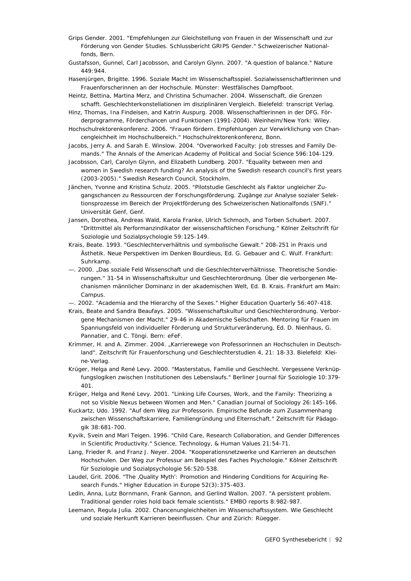- Grips Gender. 2001. "Empfehlungen zur Gleichstellung von Frauen in der Wissenschaft und zur Förderung von Gender Studies. Schlussbericht GRIPS Gender." Schweizerischer Nationalfonds, Bern.
- Gustafsson, Gunnel, Carl Jacobsson, and Carolyn Glynn. 2007. "A question of balance." Nature 449:944.
- Hasenjürgen, Brigitte. 1996. Soziale Macht im Wissenschaftsspiel. Sozialwissenschaftlerinnen und Frauenforscherinnen an der Hochschule. Münster: Westfälisches Dampfboot.
- Heintz, Bettina, Martina Merz, and Christina Schumacher. 2004. Wissenschaft, die Grenzen schafft. Geschlechterkonstellationen im disziplinären Vergleich. Bielefeld: transcript Verlag.
- Hinz, Thomas, Ina Findeisen, and Katrin Auspurg. 2008. Wissenschaftlerinnen in der DFG. Förderprogramme, Förderchancen und Funktionen (1991-2004). Weinheim/New York: Wiley.
- Hochschulrektorenkonferenz. 2006. "Frauen fördern. Empfehlungen zur Verwirklichung von Chancengleichheit im Hochschulbereich." Hochschulrektorenkonferenz, Bonn.
- Jacobs, Jerry A. and Sarah E. Winslow. 2004. "Overworked Faculty: Job stresses and Family Demands." The Annals of the American Academy of Political and Social Science 596:104-129.
- Jacobsson, Carl, Carolyn Glynn, and Elizabeth Lundberg. 2007. "Equality between men and women in Swedish research funding? An analysis of the Swedish research council's first years (2003-2005)." Swedish Research Council, Stockholm.
- Jänchen, Yvonne and Kristina Schulz. 2005. "Pilotstudie Geschlecht als Faktor ungleicher Zugangschancen zu Ressourcen der Forschungsförderung. Zugänge zur Analyse sozialer Selektionsprozesse im Bereich der Projektförderung des Schweizerischen Nationalfonds (SNF)." Universität Genf, Genf.
- Jansen, Dorothea, Andreas Wald, Karola Franke, Ulrich Schmoch, and Torben Schubert. 2007. "Drittmittel als Performanzindikator der wissenschaftlichen Forschung." Kölner Zeitschrift für Soziologie und Sozialpsychologie 59:125-149.
- Krais, Beate. 1993. "Geschlechterverhältnis und symbolische Gewalt." 208-251 in Praxis und Ästhetik. Neue Perspektiven im Denken Bourdieus, Ed. G. Gebauer and C. Wulf. Frankfurt: Suhrkamp.
- —. 2000. "Das soziale Feld Wissenschaft und die Geschlechterverhältnisse. Theoretische Sondierungen." 31-54 in Wissenschaftskultur und Geschlechterordnung. Über die verborgenen Mechanismen männlicher Dominanz in der akademischen Welt, Ed. B. Krais. Frankfurt am Main: Campus.
- —. 2002. "Academia and the Hierarchy of the Sexes." Higher Education Quarterly 56:407-418.
- Krais, Beate and Sandra Beaufays. 2005. "Wissenschaftskultur und Geschlechterordnung. Verborgene Mechanismen der Macht." 29-46 in Akademische Seilschaften. Mentoring für Frauen im Spannungsfeld von individueller Förderung und Strukturveränderung, Ed. D. Nienhaus, G. Pannatier, and C. Töngi. Bern: eFeF.
- Krimmer, H. and A. Zimmer. 2004. "Karrierewege von Professorinnen an Hochschulen in Deutschland". Zeitschrift für Frauenforschung und Geschlechterstudien 4, 21: 18-33. Bielefeld: Kleine-Verlag.
- Krüger, Helga and René Levy. 2000. "Masterstatus, Familie und Geschlecht. Vergessene Verknüpfungslogiken zwischen Institutionen des Lebenslaufs." Berliner Journal für Soziologie 10:379- 401.
- Krüger, Helga and René Levy. 2001. "Linking Life Courses, Work, and the Family: Theorizing a not so Visible Nexus between Women and Men." Canadian Journal of Sociology 26:145-166.
- Kuckartz, Udo. 1992. "Auf dem Weg zur Professorin. Empirische Befunde zum Zusammenhang zwischen Wissenschaftskarriere, Familiengründung und Elternschaft." Zeitschrift für Pädagogik 38:681-700.
- Kyvik, Svein and Mari Teigen. 1996. "Child Care, Research Collaboration, and Gender Differences in Scientific Productivity." Science, Technology, & Human Values 21:54-71.
- Lang, Frieder R. and Franz J. Neyer. 2004. "Kooperationsnetzwerke und Karrieren an deutschen Hochschulen. Der Weg zur Professur am Beispiel des Faches Psychologie." Kölner Zeitschrift für Soziologie und Sozialpsychologie 56:520-538.
- Laudel, Grit. 2006. "The , Quality Myth': Promotion and Hindering Conditions for Acquiring Research Funds." Higher Education in Europe 52(3):375-403.
- Ledin, Anna, Lutz Bornmann, Frank Gannon, and Gerlind Wallon. 2007. "A persistent problem. Traditional gender roles hold back female scientists." EMBO reports 8:982-987.
- Leemann, Regula Julia. 2002. Chancenungleichheiten im Wissenschaftssystem. Wie Geschlecht und soziale Herkunft Karrieren beeinflussen. Chur and Zürich: Rüegger.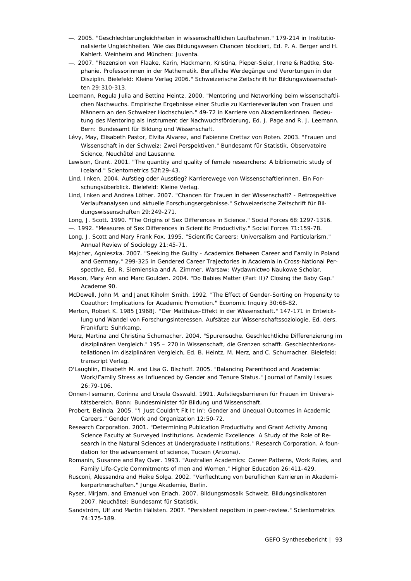- —. 2005. "Geschlechterungleichheiten in wissenschaftlichen Laufbahnen." 179-214 in Institutionalisierte Ungleichheiten. Wie das Bildungswesen Chancen blockiert, Ed. P. A. Berger and H. Kahlert. Weinheim and München: Juventa.
- —. 2007. "Rezension von Flaake, Karin, Hackmann, Kristina, Pieper-Seier, Irene & Radtke, Stephanie. Professorinnen in der Mathematik. Berufliche Werdegänge und Verortungen in der Disziplin. Bielefeld: Kleine Verlag 2006." Schweizerische Zeitschrift für Bildungswissenschaften 29:310-313.
- Leemann, Regula Julia and Bettina Heintz. 2000. "Mentoring und Networking beim wissenschaftlichen Nachwuchs. Empirische Ergebnisse einer Studie zu Karriereverläufen von Frauen und Männern an den Schweizer Hochschulen." 49-72 in Karriere von Akademikerinnen. Bedeutung des Mentoring als Instrument der Nachwuchsförderung, Ed. J. Page and R. J. Leemann. Bern: Bundesamt für Bildung und Wissenschaft.
- Lévy, May, Elisabeth Pastor, Elvita Alvarez, and Fabienne Crettaz von Roten. 2003. "Frauen und Wissenschaft in der Schweiz: Zwei Perspektiven." Bundesamt für Statistik, Observatoire Science, Neuchâtel and Lausanne.
- Lewison, Grant. 2001. "The quantity and quality of female researchers: A bibliometric study of Iceland." Scientometrics 52f:29-43.
- Lind, Inken. 2004. Aufstieg oder Ausstieg? Karrierewege von Wissenschaftlerinnen. Ein Forschungsüberblick. Bielefeld: Kleine Verlag.
- Lind, Inken and Andrea Löther. 2007. "Chancen für Frauen in der Wissenschaft? Retrospektive Verlaufsanalysen und aktuelle Forschungsergebnisse." Schweizerische Zeitschrift für Bildungswissenschaften 29:249-271.
- Long, J. Scott. 1990. "The Origins of Sex Differences in Science." Social Forces 68:1297-1316.
- —. 1992. "Measures of Sex Differences in Scientific Productivity." Social Forces 71:159-78.
- Long, J. Scott and Mary Frank Fox. 1995. "Scientific Careers: Universalism and Particularism." Annual Review of Sociology 21:45-71.
- Majcher, Agnieszka. 2007. "Seeking the Guilty Academics Between Career and Family in Poland and Germany." 299-325 in Gendered Career Trajectories in Academia in Cross-National Perspective, Ed. R. Siemienska and A. Zimmer. Warsaw: Wydawnictwo Naukowe Scholar.
- Mason, Mary Ann and Marc Goulden. 2004. "Do Babies Matter (Part II)? Closing the Baby Gap." Academe 90.
- McDowell, John M. and Janet Kiholm Smith. 1992. "The Effect of Gender-Sorting on Propensity to Coauthor: Implications for Academic Promotion." Economic Inquiry 30:68-82.
- Merton, Robert K. 1985 [1968]. "Der Matthäus-Effekt in der Wissenschaft." 147-171 in Entwicklung und Wandel von Forschungsinteressen. Aufsätze zur Wissenschaftssoziologie, Ed. ders. Frankfurt: Suhrkamp.
- Merz, Martina and Christina Schumacher. 2004. "Spurensuche. Geschlechtliche Differenzierung im disziplinären Vergleich." 195 – 270 in Wissenschaft, die Grenzen schafft. Geschlechterkonstellationen im disziplinären Vergleich, Ed. B. Heintz, M. Merz, and C. Schumacher. Bielefeld: transcript Verlag.
- O'Laughlin, Elisabeth M. and Lisa G. Bischoff. 2005. "Balancing Parenthood and Academia: Work/Family Stress as Influenced by Gender and Tenure Status." Journal of Family Issues 26:79-106.
- Onnen-Isemann, Corinna and Ursula Osswald. 1991. Aufstiegsbarrieren für Frauen im Universitätsbereich. Bonn: Bundesminister für Bildung und Wissenschaft.
- Probert, Belinda. 2005. "'I Just Couldn't Fit It In': Gender and Unequal Outcomes in Academic Careers." Gender Work and Organization 12:50-72.
- Research Corporation. 2001. "Determining Publication Productivity and Grant Activity Among Science Faculty at Surveyed Institutions. Academic Excellence: A Study of the Role of Research in the Natural Sciences at Undergraduate Institutions." Research Corporation. A foundation for the advancement of science, Tucson (Arizona).
- Romanin, Susanne and Ray Over. 1993. "Australien Academics: Career Patterns, Work Roles, and Family Life-Cycle Commitments of men and Women." Higher Education 26:411-429.
- Rusconi, Alessandra and Heike Solga. 2002. "Verflechtung von beruflichen Karrieren in Akademikerpartnerschaften." Junge Akademie, Berlin.
- Ryser, Mirjam, and Emanuel von Erlach. 2007. Bildungsmosaik Schweiz. Bildungsindikatoren 2007. Neuchâtel: Bundesamt für Statistik.
- Sandström, Ulf and Martin Hällsten. 2007. "Persistent nepotism in peer-review." Scientometrics 74:175-189.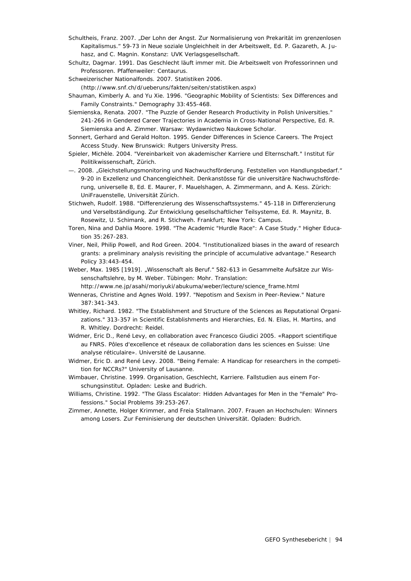- Schultheis, Franz. 2007. "Der Lohn der Angst. Zur Normalisierung von Prekarität im grenzenlosen Kapitalismus." 59-73 in Neue soziale Ungleichheit in der Arbeitswelt, Ed. P. Gazareth, A. Juhasz, and C. Magnin. Konstanz: UVK Verlagsgesellschaft.
- Schultz, Dagmar. 1991. Das Geschlecht läuft immer mit. Die Arbeitswelt von Professorinnen und Professoren. Pfaffenweiler: Centaurus.

Schweizerischer Nationalfonds. 2007. Statistiken 2006.

(http://www.snf.ch/d/ueberuns/fakten/seiten/statistiken.aspx)

- Shauman, Kimberly A. and Yu Xie. 1996. "Geographic Mobility of Scientists: Sex Differences and Family Constraints." Demography 33:455-468.
- Siemienska, Renata. 2007. "The Puzzle of Gender Research Productivity in Polish Universities." 241-266 in Gendered Career Trajectories in Academia in Cross-National Perspective, Ed. R. Siemienska and A. Zimmer. Warsaw: Wydawnictwo Naukowe Scholar.
- Sonnert, Gerhard and Gerald Holton. 1995. Gender Differences in Science Careers. The Project Access Study. New Brunswick: Rutgers University Press.
- Spieler, Michèle. 2004. "Vereinbarkeit von akademischer Karriere und Elternschaft." Institut für Politikwissenschaft, Zürich.
- —. 2008. "Gleichstellungsmonitoring und Nachwuchsförderung. Feststellen von Handlungsbedarf." 9-20 in Exzellenz und Chancengleichheit. Denkanstösse für die universitäre Nachwuchsförderung, universelle 8, Ed. E. Maurer, F. Mauelshagen, A. Zimmermann, and A. Kess. Zürich: UniFrauenstelle, Universität Zürich.
- Stichweh, Rudolf. 1988. "Differenzierung des Wissenschaftssystems." 45-118 in Differenzierung und Verselbständigung. Zur Entwicklung gesellschaftlicher Teilsysteme, Ed. R. Maynitz, B. Rosewitz, U. Schimank, and R. Stichweh. Frankfurt; New York: Campus.
- Toren, Nina and Dahlia Moore. 1998. "The Academic "Hurdle Race": A Case Study." Higher Education 35:267-283.
- Viner, Neil, Philip Powell, and Rod Green. 2004. "Institutionalized biases in the award of research grants: a preliminary analysis revisiting the principle of accumulative advantage." Research Policy 33:443-454.
- Weber, Max. 1985 [1919]. "Wissenschaft als Beruf." 582-613 in Gesammelte Aufsätze zur Wissenschaftslehre, by M. Weber. Tübingen: Mohr. Translation:

http://www.ne.jp/asahi/moriyuki/abukuma/weber/lecture/science\_frame.html Wenneras, Christine and Agnes Wold. 1997. "Nepotism and Sexism in Peer-Review." Nature

387:341-343.

- Whitley, Richard. 1982. "The Establishment and Structure of the Sciences as Reputational Organizations." 313-357 in Scientific Establishments and Hierarchies, Ed. N. Elias, H. Martins, and R. Whitley. Dordrecht: Reidel.
- Widmer, Eric D., René Levy, en collaboration avec Francesco Giudici 2005. «Rapport scientifique au FNRS. Pôles d'excellence et réseaux de collaboration dans les sciences en Suisse: Une analyse réticulaire». Université de Lausanne.
- Widmer, Eric D. and René Levy. 2008. "Being Female: A Handicap for researchers in the competition for NCCRs?" University of Lausanne.

Wimbauer, Christine. 1999. Organisation, Geschlecht, Karriere. Fallstudien aus einem Forschungsinstitut. Opladen: Leske and Budrich.

- Williams, Christine. 1992. "The Glass Escalator: Hidden Advantages for Men in the "Female" Professions." Social Problems 39:253-267.
- Zimmer, Annette, Holger Krimmer, and Freia Stallmann. 2007. Frauen an Hochschulen: Winners among Losers. Zur Feminisierung der deutschen Universität. Opladen: Budrich.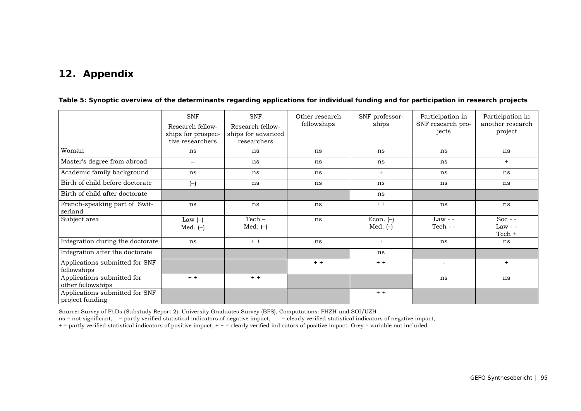## **12. Appendix**

|                                                   | <b>SNF</b><br>Research fellow-<br>ships for prospec-<br>tive researchers | <b>SNF</b><br>Research fellow-<br>ships for advanced<br>researchers | Other research<br>fellowships | SNF professor-<br>ships   | Participation in<br>SNF research pro-<br>jects | Participation in<br>another research<br>project |
|---------------------------------------------------|--------------------------------------------------------------------------|---------------------------------------------------------------------|-------------------------------|---------------------------|------------------------------------------------|-------------------------------------------------|
| Woman                                             | ns                                                                       | ns                                                                  | ns                            | ns                        | ns                                             | ns                                              |
| Master's degree from abroad                       | $\qquad \qquad -$                                                        | ns                                                                  | ns                            | ns                        | ns                                             | $+$                                             |
| Academic family background                        | ns                                                                       | ns                                                                  | ns                            | $+$                       | ns                                             | ns                                              |
| Birth of child before doctorate                   | $(-)$                                                                    | ns                                                                  | ns                            | ns                        | ns                                             | ns                                              |
| Birth of child after doctorate                    |                                                                          |                                                                     |                               | ns                        |                                                |                                                 |
| French-speaking part of Swit-<br>zerland          | ns                                                                       | ns                                                                  | ns                            | $+ +$                     | ns                                             | ns                                              |
| Subject area                                      | Law $(-)$<br>Med. $(-)$                                                  | $Techn -$<br>Med. $(-)$                                             | ns                            | Econ. $(-)$<br>Med. $(-)$ | $Law - -$<br>$Techn - -$                       | Soc - $-$<br>$Law - -$<br>Tech +                |
| Integration during the doctorate                  | ns                                                                       | $+ +$                                                               | ns                            | $+$                       | ns                                             | ns                                              |
| Integration after the doctorate                   |                                                                          |                                                                     |                               | ns                        |                                                |                                                 |
| Applications submitted for SNF<br>fellowships     |                                                                          |                                                                     | $+ +$                         | $+ +$                     | $\overline{\phantom{a}}$                       | $+$                                             |
| Applications submitted for<br>other fellowships   | $+ +$                                                                    | $+ +$                                                               |                               |                           | ns                                             | ns                                              |
| Applications submitted for SNF<br>project funding |                                                                          |                                                                     |                               | $+ +$                     |                                                |                                                 |

**Table 5: Synoptic overview of the determinants regarding applications for individual funding and for participation in research projects**

Source: Survey of PhDs (Substudy Report 2); University Graduates Survey (BFS), Computations: PHZH und SOI/UZH

ns = not significant, − = partly verified statistical indicators of negative impact, − − = clearly verified statistical indicators of negative impact,

+ = partly verified statistical indicators of positive impact, + + = clearly verified indicators of positive impact. Grey = variable not included.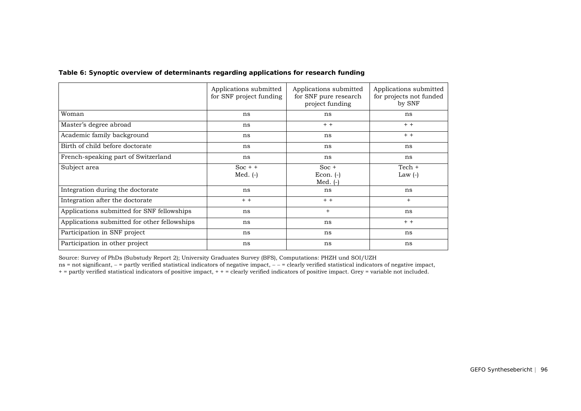| Table 6: Synoptic overview of determinants regarding applications for research funding |  |
|----------------------------------------------------------------------------------------|--|
|                                                                                        |  |

|                                              | Applications submitted<br>for SNF project funding | Applications submitted<br>for SNF pure research<br>project funding | Applications submitted<br>for projects not funded<br>by SNF |
|----------------------------------------------|---------------------------------------------------|--------------------------------------------------------------------|-------------------------------------------------------------|
| Woman                                        | ns                                                | ns                                                                 | ns                                                          |
| Master's degree abroad                       | ns                                                | $+ +$                                                              | $+ +$                                                       |
| Academic family background                   | ns                                                | ns                                                                 | $+ +$                                                       |
| Birth of child before doctorate              | ns                                                | ns                                                                 | ns                                                          |
| French-speaking part of Switzerland          | ns                                                | ns                                                                 | ns                                                          |
| Subject area                                 | $Soc + +$<br>$Med. (-)$                           | $Soc +$<br>$Econ.$ $(-)$<br>Med. $(-)$                             | $Techn +$<br>Law $(-)$                                      |
| Integration during the doctorate             | ns                                                | ns                                                                 | ns                                                          |
| Integration after the doctorate              | $+ +$                                             | $+ +$                                                              | $+$                                                         |
| Applications submitted for SNF fellowships   | ns                                                | $^{+}$                                                             | ns                                                          |
| Applications submitted for other fellowships | ns                                                | ns                                                                 | $+ +$                                                       |
| Participation in SNF project                 | ns                                                | ns                                                                 | ns                                                          |
| Participation in other project               | ns                                                | ns                                                                 | ns                                                          |

Source: Survey of PhDs (Substudy Report 2); University Graduates Survey (BFS), Computations: PHZH und SOI/UZH

ns = not significant, − = partly verified statistical indicators of negative impact, − − = clearly verified statistical indicators of negative impact,

+ = partly verified statistical indicators of positive impact, + + = clearly verified indicators of positive impact. Grey = variable not included.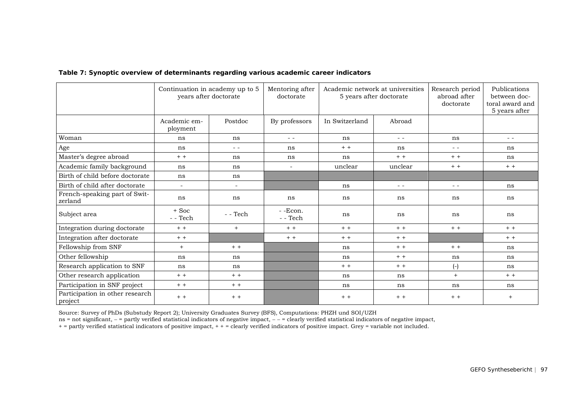|                                            | Continuation in academy up to 5<br>years after doctorate |                                                                                                                                                                                                                                                                                                                                                                                              | Mentoring after<br>doctorate | Academic network at universities<br>5 years after doctorate |                                                                                                                                                                                                                                                                                                                                                                                              | Research period<br>abroad after<br>doctorate                                                                                                                                                                                                                                                                                                                                                 | Publications<br>between doc-<br>toral award and<br>5 years after |
|--------------------------------------------|----------------------------------------------------------|----------------------------------------------------------------------------------------------------------------------------------------------------------------------------------------------------------------------------------------------------------------------------------------------------------------------------------------------------------------------------------------------|------------------------------|-------------------------------------------------------------|----------------------------------------------------------------------------------------------------------------------------------------------------------------------------------------------------------------------------------------------------------------------------------------------------------------------------------------------------------------------------------------------|----------------------------------------------------------------------------------------------------------------------------------------------------------------------------------------------------------------------------------------------------------------------------------------------------------------------------------------------------------------------------------------------|------------------------------------------------------------------|
|                                            | Academic em-<br>ployment                                 | Postdoc                                                                                                                                                                                                                                                                                                                                                                                      | By professors                | In Switzerland                                              | Abroad                                                                                                                                                                                                                                                                                                                                                                                       |                                                                                                                                                                                                                                                                                                                                                                                              |                                                                  |
| Woman                                      | ns                                                       | ns                                                                                                                                                                                                                                                                                                                                                                                           | $ -$                         | ns                                                          | $ -$                                                                                                                                                                                                                                                                                                                                                                                         | ns                                                                                                                                                                                                                                                                                                                                                                                           | $ -$                                                             |
| Age                                        | ns                                                       | $\frac{1}{2} \frac{1}{2} \frac{1}{2} \frac{1}{2} \frac{1}{2} \frac{1}{2} \frac{1}{2} \frac{1}{2} \frac{1}{2} \frac{1}{2} \frac{1}{2} \frac{1}{2} \frac{1}{2} \frac{1}{2} \frac{1}{2} \frac{1}{2} \frac{1}{2} \frac{1}{2} \frac{1}{2} \frac{1}{2} \frac{1}{2} \frac{1}{2} \frac{1}{2} \frac{1}{2} \frac{1}{2} \frac{1}{2} \frac{1}{2} \frac{1}{2} \frac{1}{2} \frac{1}{2} \frac{1}{2} \frac{$ | ns                           | $+ +$                                                       | ns                                                                                                                                                                                                                                                                                                                                                                                           | $\frac{1}{2} \frac{1}{2} \frac{1}{2} \frac{1}{2} \frac{1}{2} \frac{1}{2} \frac{1}{2} \frac{1}{2} \frac{1}{2} \frac{1}{2} \frac{1}{2} \frac{1}{2} \frac{1}{2} \frac{1}{2} \frac{1}{2} \frac{1}{2} \frac{1}{2} \frac{1}{2} \frac{1}{2} \frac{1}{2} \frac{1}{2} \frac{1}{2} \frac{1}{2} \frac{1}{2} \frac{1}{2} \frac{1}{2} \frac{1}{2} \frac{1}{2} \frac{1}{2} \frac{1}{2} \frac{1}{2} \frac{$ | ns                                                               |
| Master's degree abroad                     | $+ +$                                                    | ns                                                                                                                                                                                                                                                                                                                                                                                           | ns                           | ns                                                          | $+ +$                                                                                                                                                                                                                                                                                                                                                                                        | $+ +$                                                                                                                                                                                                                                                                                                                                                                                        | ns                                                               |
| Academic family background                 | ns                                                       | ns                                                                                                                                                                                                                                                                                                                                                                                           | $\sim$                       | unclear                                                     | unclear                                                                                                                                                                                                                                                                                                                                                                                      | $+ +$                                                                                                                                                                                                                                                                                                                                                                                        | $+ +$                                                            |
| Birth of child before doctorate            | ns                                                       | ns                                                                                                                                                                                                                                                                                                                                                                                           |                              |                                                             |                                                                                                                                                                                                                                                                                                                                                                                              |                                                                                                                                                                                                                                                                                                                                                                                              |                                                                  |
| Birth of child after doctorate             | $\overline{\phantom{a}}$                                 | -                                                                                                                                                                                                                                                                                                                                                                                            |                              | ns                                                          | $\frac{1}{2} \frac{1}{2} \frac{1}{2} \frac{1}{2} \frac{1}{2} \frac{1}{2} \frac{1}{2} \frac{1}{2} \frac{1}{2} \frac{1}{2} \frac{1}{2} \frac{1}{2} \frac{1}{2} \frac{1}{2} \frac{1}{2} \frac{1}{2} \frac{1}{2} \frac{1}{2} \frac{1}{2} \frac{1}{2} \frac{1}{2} \frac{1}{2} \frac{1}{2} \frac{1}{2} \frac{1}{2} \frac{1}{2} \frac{1}{2} \frac{1}{2} \frac{1}{2} \frac{1}{2} \frac{1}{2} \frac{$ | $ -$                                                                                                                                                                                                                                                                                                                                                                                         | ns                                                               |
| French-speaking part of Swit-<br>zerland   | ns                                                       | ns                                                                                                                                                                                                                                                                                                                                                                                           | ns                           | ns                                                          | ns                                                                                                                                                                                                                                                                                                                                                                                           | ns                                                                                                                                                                                                                                                                                                                                                                                           | ns                                                               |
| Subject area                               | $+$ Soc<br>- - Tech                                      | $-$ - Tech                                                                                                                                                                                                                                                                                                                                                                                   | $-$ -Econ.<br>$-$ - Tech     | ns                                                          | ns                                                                                                                                                                                                                                                                                                                                                                                           | ns                                                                                                                                                                                                                                                                                                                                                                                           | ns                                                               |
| Integration during doctorate               | $+ +$                                                    | $+$                                                                                                                                                                                                                                                                                                                                                                                          | $+ +$                        | $+ +$                                                       | $+ +$                                                                                                                                                                                                                                                                                                                                                                                        | $+ +$                                                                                                                                                                                                                                                                                                                                                                                        | $+ +$                                                            |
| Integration after doctorate                | $+ +$                                                    |                                                                                                                                                                                                                                                                                                                                                                                              | $+ +$                        | $+ +$                                                       | $+ +$                                                                                                                                                                                                                                                                                                                                                                                        |                                                                                                                                                                                                                                                                                                                                                                                              | $+ +$                                                            |
| Fellowship from SNF                        | $+$                                                      | $+ +$                                                                                                                                                                                                                                                                                                                                                                                        |                              | ns                                                          | $+ +$                                                                                                                                                                                                                                                                                                                                                                                        | $+ +$                                                                                                                                                                                                                                                                                                                                                                                        | ns                                                               |
| Other fellowship                           | ns                                                       | ns                                                                                                                                                                                                                                                                                                                                                                                           |                              | ns                                                          | $+ +$                                                                                                                                                                                                                                                                                                                                                                                        | ns                                                                                                                                                                                                                                                                                                                                                                                           | ns                                                               |
| Research application to SNF                | ns                                                       | ns                                                                                                                                                                                                                                                                                                                                                                                           |                              | $+ +$                                                       | $+ +$                                                                                                                                                                                                                                                                                                                                                                                        | $(-)$                                                                                                                                                                                                                                                                                                                                                                                        | ns                                                               |
| Other research application                 | $+ +$                                                    | $+ +$                                                                                                                                                                                                                                                                                                                                                                                        |                              | ns                                                          | ns                                                                                                                                                                                                                                                                                                                                                                                           | $+$                                                                                                                                                                                                                                                                                                                                                                                          | $+ +$                                                            |
| Participation in SNF project               | $+ +$                                                    | $+ +$                                                                                                                                                                                                                                                                                                                                                                                        |                              | ns                                                          | ns                                                                                                                                                                                                                                                                                                                                                                                           | ns                                                                                                                                                                                                                                                                                                                                                                                           | ns                                                               |
| Participation in other research<br>project | $+ +$                                                    | $+ +$                                                                                                                                                                                                                                                                                                                                                                                        |                              | $+ +$                                                       | $+ +$                                                                                                                                                                                                                                                                                                                                                                                        | $+ +$                                                                                                                                                                                                                                                                                                                                                                                        | $+$                                                              |

#### **Table 7: Synoptic overview of determinants regarding various academic career indicators**

Source: Survey of PhDs (Substudy Report 2); University Graduates Survey (BFS), Computations: PHZH und SOI/UZH

ns = not significant, − = partly verified statistical indicators of negative impact, − − = clearly verified statistical indicators of negative impact,  $\frac{1}{n}$ 

+ = partly verified statistical indicators of positive impact, + + = clearly verified indicators of positive impact. Grey = variable not included.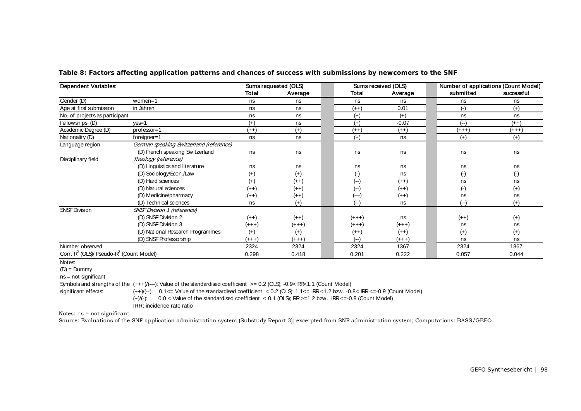| <b>Dependent Variables:</b>                                     |                                         | Sums requested (OLS) |          |           | Sums received (OLS) | Number of applications (Count Model) |            |
|-----------------------------------------------------------------|-----------------------------------------|----------------------|----------|-----------|---------------------|--------------------------------------|------------|
|                                                                 |                                         | Total                | Average  | Total     | Average             | submitted                            | successful |
| Gender (D)                                                      | women=1                                 | ns                   | ns       | ns        | ns                  | ns                                   | ns         |
| Age at first submission                                         | in Jahren                               | ns                   | ns       | $(++)$    | 0.01                | $(\cdot)$                            | $(+)$      |
| No. of projects as participant                                  |                                         | ns                   | ns       | $(+)$     | $(+)$               | ns                                   | ns         |
| Fellowships (D)                                                 | $ves = 1$                               | $(+)$                | ns       | $(+)$     | $-0.07$             | $(-)$                                | $(++)$     |
| Academic Degree (D)                                             | $professor=1$                           | $(++)$               | $(+)$    | $(++)$    | $(++)$              | $(+++)$                              | $(+++)$    |
| Nationality (D)                                                 | $foreigner=1$                           | ns                   | ns       | $(+)$     | ns                  | $(+)$                                | $(+)$      |
| Language region                                                 | German speaking Switzerland (reference) |                      |          |           |                     |                                      |            |
|                                                                 | (D) French speaking Switzerland         | ns                   | ns       | ns        | ns                  | ns                                   | ns         |
| Disciplinary field                                              | Theology (reference)                    |                      |          |           |                     |                                      |            |
|                                                                 | (D) Linguistics and literature          | ns                   | ns       | ns        | ns                  | ns                                   | ns         |
|                                                                 | (D) Sociology/Econ./Law                 | $^{(+)}$             | $(+)$    | $(\cdot)$ | ns                  | $(\cdot)$                            | $(\cdot)$  |
|                                                                 | (D) Hard sciences                       | $^{(+)}$             | $(++)$   | (--)      | $(++)$              | ns                                   | ns         |
|                                                                 | (D) Natural sciences                    | $(++)$               | $(++)$   | (--)      | $(++)$              | $(\cdot)$                            | $^{(+)}$   |
|                                                                 | (D) Medicine/pharmacy                   | $(+ + )$             | $(++)$   | (---)     | $(++)$              | ns                                   | ns         |
|                                                                 | (D) Technical sciences                  | ns                   | $(+)$    | (--)      | ns                  | $(--)$                               | $(+)$      |
| <b>SNSF Division</b>                                            | <b>SNSF Division 1 (reference)</b>      |                      |          |           |                     |                                      |            |
|                                                                 | (D) SNSF Division 2                     | $(++)$               | $(++)$   | $(+ + +)$ | ns                  | $(++)$                               | $(+)$      |
|                                                                 | (D) SNSF Division 3                     | $(+ + +)$            | $(+++)$  | $(+ + +)$ | $(+ + +)$           | ns                                   | ns         |
|                                                                 | (D) National Research Programmes        | $(+)$                | $^{(+)}$ | $(++)$    | $(++)$              | $(+)$                                | $^{(+)}$   |
|                                                                 | (D) SNSF Professorship                  | $(+++)$              | $(+++)$  | (--)      | $(+++)$             | ns                                   | ns         |
| Number observed                                                 |                                         | 2324                 | 2324     | 2324      | 1367                | 2324                                 | 1367       |
| Corr. R <sup>2</sup> (OLS)/ Pseudo-R <sup>2</sup> (Count Model) |                                         | 0.298                | 0.418    | 0.201     | 0.222               | 0.057                                | 0.044      |

**Table 8: Factors affecting application patterns and chances of success with submissions by newcomers to the SNF**

#### Notes:

 $(D) =$  Dummy

ns = not significant

Symbols and strengths of the (+++)/(---): Value of the standardised coefficient >= 0.2 (OLS); -0.9<IRR<1.1 (Count Model)

significant effects:

 $(++)/(-)$ : 0.1<= Value of the standardised coefficient < 0.2 (OLS); 1.1<= IRR <1.2 bzw. -0.8< IRR <= -0.9 (Count Model) (+)/(-): 0.0 < Value of the standardised coefficient < 0.1 (OLS); RR >=1.2 bzw. IRR <=-0.8 (Count Model)

IRR: incidence rate ratio

Notes: ns = not significant.

Source: Evaluations of the SNF application administration system (Substudy Report 3); excerpted from SNF administration system; Computations: BASS/GEFO